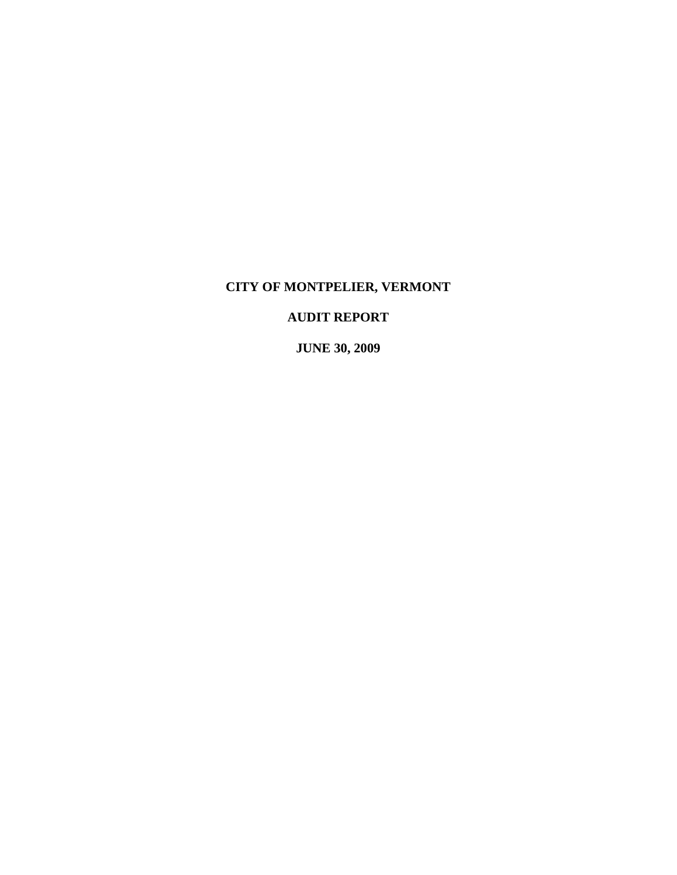# **CITY OF MONTPELIER, VERMONT**

## **AUDIT REPORT**

**JUNE 30, 2009**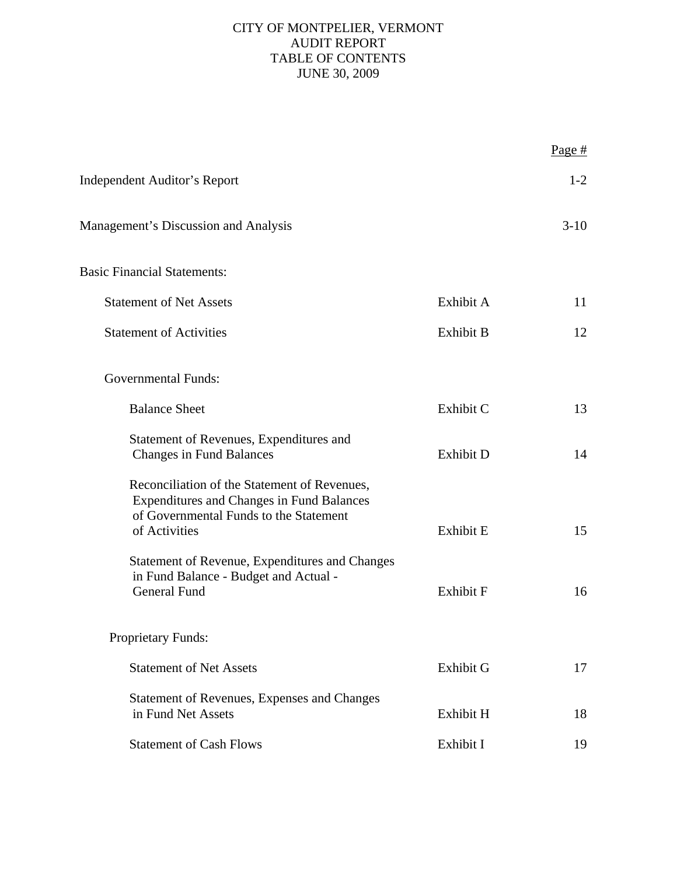## CITY OF MONTPELIER, VERMONT AUDIT REPORT TABLE OF CONTENTS JUNE 30, 2009

|                                                                                                                                                             |                  | Page $#$ |
|-------------------------------------------------------------------------------------------------------------------------------------------------------------|------------------|----------|
| <b>Independent Auditor's Report</b>                                                                                                                         |                  | $1-2$    |
| Management's Discussion and Analysis                                                                                                                        |                  | $3-10$   |
| <b>Basic Financial Statements:</b>                                                                                                                          |                  |          |
| <b>Statement of Net Assets</b>                                                                                                                              | Exhibit A        | 11       |
| <b>Statement of Activities</b>                                                                                                                              | Exhibit B        | 12       |
| <b>Governmental Funds:</b>                                                                                                                                  |                  |          |
| <b>Balance Sheet</b>                                                                                                                                        | Exhibit C        | 13       |
| Statement of Revenues, Expenditures and<br><b>Changes in Fund Balances</b>                                                                                  | Exhibit D        | 14       |
| Reconciliation of the Statement of Revenues,<br><b>Expenditures and Changes in Fund Balances</b><br>of Governmental Funds to the Statement<br>of Activities | <b>Exhibit E</b> | 15       |
| Statement of Revenue, Expenditures and Changes<br>in Fund Balance - Budget and Actual -<br><b>General Fund</b>                                              | Exhibit F        | 16       |
| <b>Proprietary Funds:</b>                                                                                                                                   |                  |          |
| <b>Statement of Net Assets</b>                                                                                                                              | Exhibit G        | 17       |
| Statement of Revenues, Expenses and Changes<br>in Fund Net Assets                                                                                           | Exhibit H        | 18       |
| <b>Statement of Cash Flows</b>                                                                                                                              | Exhibit I        | 19       |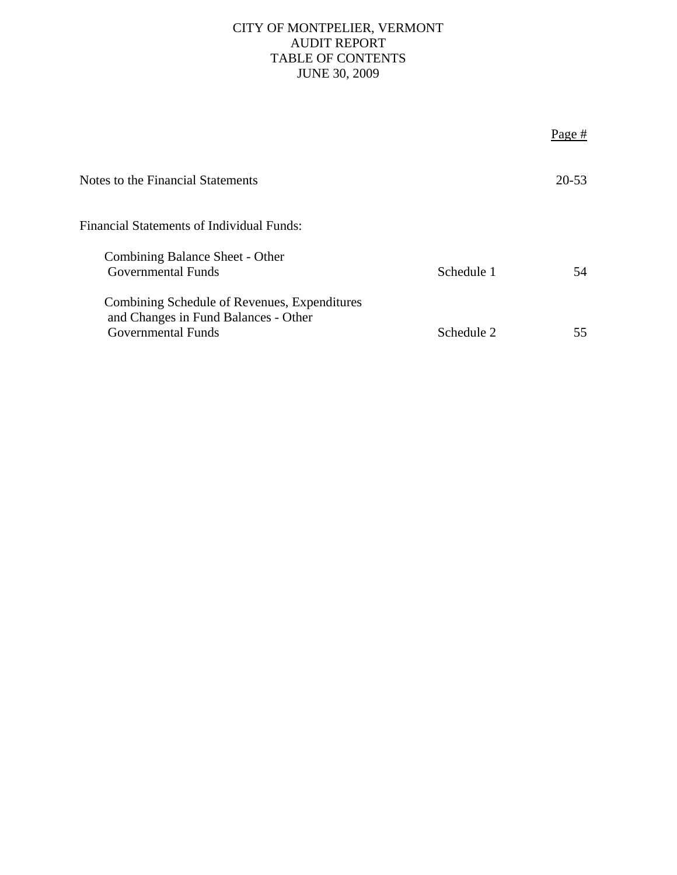## CITY OF MONTPELIER, VERMONT AUDIT REPORT TABLE OF CONTENTS JUNE 30, 2009

|                                                                                                            |            | Page #    |
|------------------------------------------------------------------------------------------------------------|------------|-----------|
| Notes to the Financial Statements                                                                          |            | $20 - 53$ |
| Financial Statements of Individual Funds:                                                                  |            |           |
| Combining Balance Sheet - Other<br>Governmental Funds                                                      | Schedule 1 | 54        |
| Combining Schedule of Revenues, Expenditures<br>and Changes in Fund Balances - Other<br>Governmental Funds | Schedule 2 | 55        |
|                                                                                                            |            |           |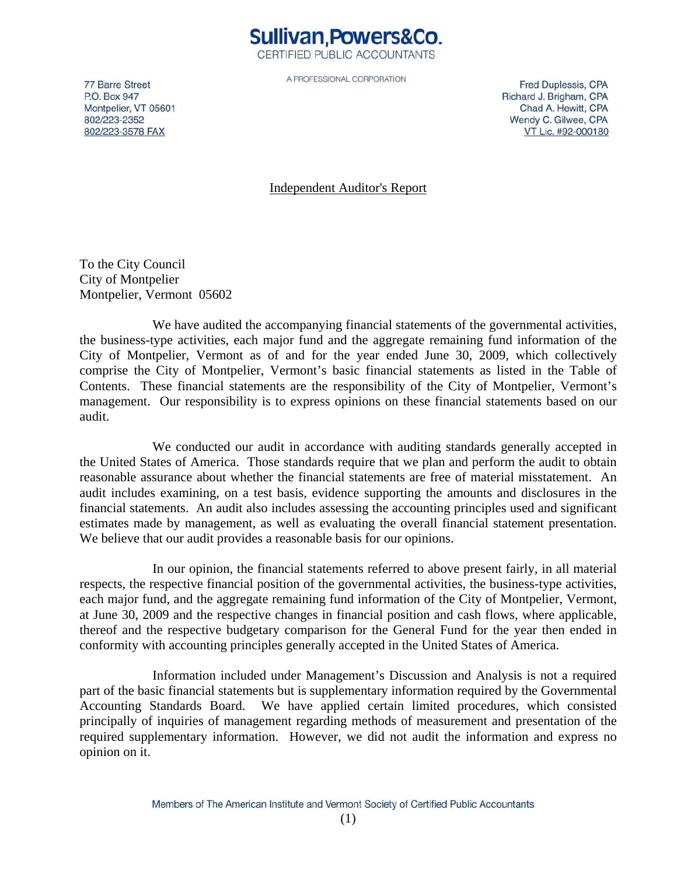

A PROFESSIONAL CORPORATION

**77 Barre Street** P.O. Box 947 Montpelier, VT 05601 802/223-2352 802/223-3578 FAX

Fred Duplessis, CPA Richard J. Brigham, CPA Chad A. Hewitt, CPA Wendy C. Gilwee, CPA VT Lic. #92-000180

#### Independent Auditor's Report

To the City Council City of Montpelier Montpelier, Vermont 05602

We have audited the accompanying financial statements of the governmental activities, the business-type activities, each major fund and the aggregate remaining fund information of the City of Montpelier, Vermont as of and for the year ended June 30, 2009, which collectively comprise the City of Montpelier, Vermont's basic financial statements as listed in the Table of Contents. These financial statements are the responsibility of the City of Montpelier, Vermont's management. Our responsibility is to express opinions on these financial statements based on our audit.

 We conducted our audit in accordance with auditing standards generally accepted in the United States of America. Those standards require that we plan and perform the audit to obtain reasonable assurance about whether the financial statements are free of material misstatement. An audit includes examining, on a test basis, evidence supporting the amounts and disclosures in the financial statements. An audit also includes assessing the accounting principles used and significant estimates made by management, as well as evaluating the overall financial statement presentation. We believe that our audit provides a reasonable basis for our opinions.

 In our opinion, the financial statements referred to above present fairly, in all material respects, the respective financial position of the governmental activities, the business-type activities, each major fund, and the aggregate remaining fund information of the City of Montpelier, Vermont, at June 30, 2009 and the respective changes in financial position and cash flows, where applicable, thereof and the respective budgetary comparison for the General Fund for the year then ended in conformity with accounting principles generally accepted in the United States of America.

 Information included under Management's Discussion and Analysis is not a required part of the basic financial statements but is supplementary information required by the Governmental Accounting Standards Board. We have applied certain limited procedures, which consisted principally of inquiries of management regarding methods of measurement and presentation of the required supplementary information. However, we did not audit the information and express no opinion on it.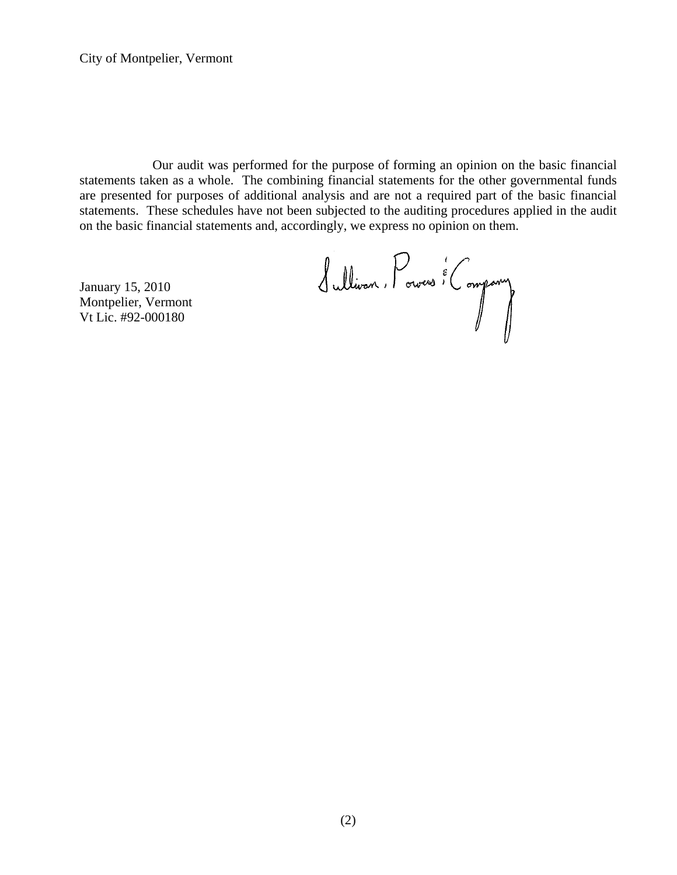City of Montpelier, Vermont

 Our audit was performed for the purpose of forming an opinion on the basic financial statements taken as a whole. The combining financial statements for the other governmental funds are presented for purposes of additional analysis and are not a required part of the basic financial statements. These schedules have not been subjected to the auditing procedures applied in the audit on the basic financial statements and, accordingly, we express no opinion on them.

Sullivan, Powers : Company

January 15, 2010 Montpelier, Vermont Vt Lic. #92-000180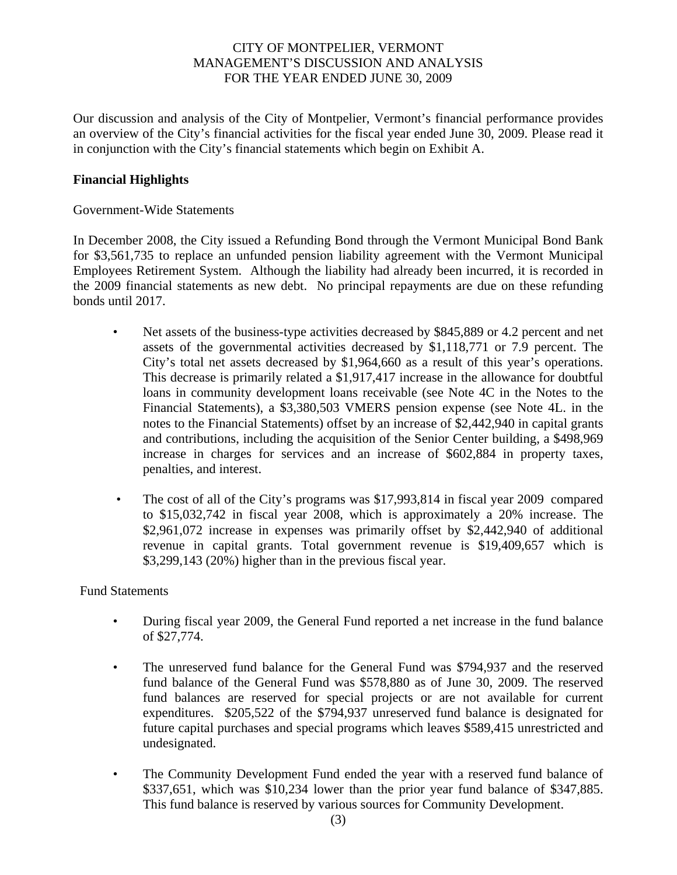Our discussion and analysis of the City of Montpelier, Vermont's financial performance provides an overview of the City's financial activities for the fiscal year ended June 30, 2009. Please read it in conjunction with the City's financial statements which begin on Exhibit A.

## **Financial Highlights**

## Government-Wide Statements

In December 2008, the City issued a Refunding Bond through the Vermont Municipal Bond Bank for \$3,561,735 to replace an unfunded pension liability agreement with the Vermont Municipal Employees Retirement System. Although the liability had already been incurred, it is recorded in the 2009 financial statements as new debt. No principal repayments are due on these refunding bonds until 2017.

- Net assets of the business-type activities decreased by \$845,889 or 4.2 percent and net assets of the governmental activities decreased by \$1,118,771 or 7.9 percent. The City's total net assets decreased by \$1,964,660 as a result of this year's operations. This decrease is primarily related a \$1,917,417 increase in the allowance for doubtful loans in community development loans receivable (see Note 4C in the Notes to the Financial Statements), a \$3,380,503 VMERS pension expense (see Note 4L. in the notes to the Financial Statements) offset by an increase of \$2,442,940 in capital grants and contributions, including the acquisition of the Senior Center building, a \$498,969 increase in charges for services and an increase of \$602,884 in property taxes, penalties, and interest.
- The cost of all of the City's programs was \$17,993,814 in fiscal year 2009 compared to \$15,032,742 in fiscal year 2008, which is approximately a 20% increase. The \$2,961,072 increase in expenses was primarily offset by \$2,442,940 of additional revenue in capital grants. Total government revenue is \$19,409,657 which is \$3,299,143 (20%) higher than in the previous fiscal year.

## Fund Statements

- During fiscal year 2009, the General Fund reported a net increase in the fund balance of \$27,774.
- The unreserved fund balance for the General Fund was \$794,937 and the reserved fund balance of the General Fund was \$578,880 as of June 30, 2009. The reserved fund balances are reserved for special projects or are not available for current expenditures. \$205,522 of the \$794,937 unreserved fund balance is designated for future capital purchases and special programs which leaves \$589,415 unrestricted and undesignated.
- The Community Development Fund ended the year with a reserved fund balance of \$337,651, which was \$10,234 lower than the prior year fund balance of \$347,885. This fund balance is reserved by various sources for Community Development.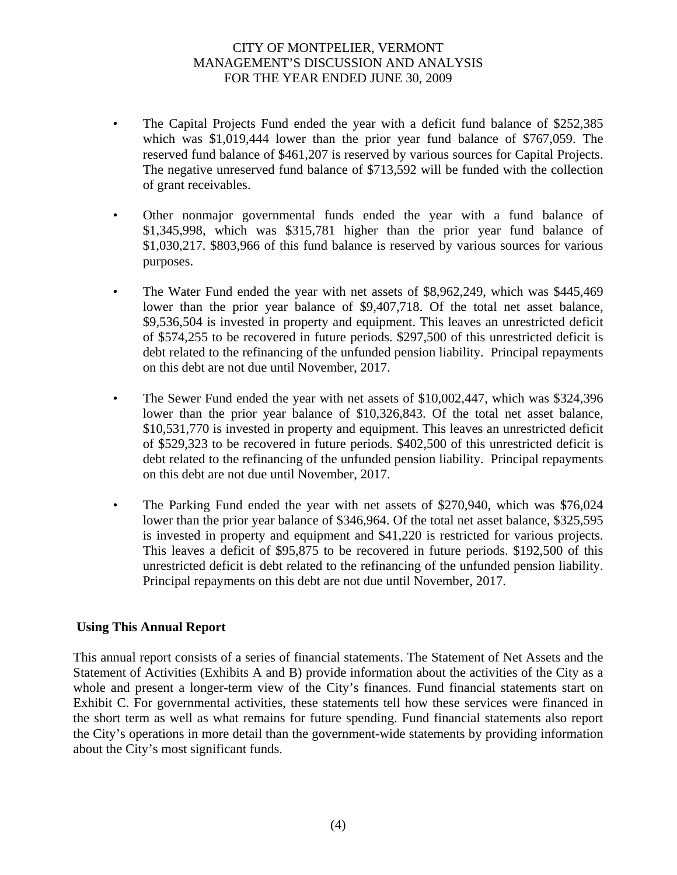- The Capital Projects Fund ended the year with a deficit fund balance of \$252,385 which was \$1,019,444 lower than the prior year fund balance of \$767,059. The reserved fund balance of \$461,207 is reserved by various sources for Capital Projects. The negative unreserved fund balance of \$713,592 will be funded with the collection of grant receivables.
- Other nonmajor governmental funds ended the year with a fund balance of \$1,345,998, which was \$315,781 higher than the prior year fund balance of \$1,030,217. \$803,966 of this fund balance is reserved by various sources for various purposes.
- The Water Fund ended the year with net assets of \$8,962,249, which was \$445,469 lower than the prior year balance of \$9,407,718. Of the total net asset balance, \$9,536,504 is invested in property and equipment. This leaves an unrestricted deficit of \$574,255 to be recovered in future periods. \$297,500 of this unrestricted deficit is debt related to the refinancing of the unfunded pension liability. Principal repayments on this debt are not due until November, 2017.
- The Sewer Fund ended the year with net assets of \$10,002,447, which was \$324,396 lower than the prior year balance of \$10,326,843. Of the total net asset balance, \$10,531,770 is invested in property and equipment. This leaves an unrestricted deficit of \$529,323 to be recovered in future periods. \$402,500 of this unrestricted deficit is debt related to the refinancing of the unfunded pension liability. Principal repayments on this debt are not due until November, 2017.
- The Parking Fund ended the year with net assets of \$270,940, which was \$76,024 lower than the prior year balance of \$346,964. Of the total net asset balance, \$325,595 is invested in property and equipment and \$41,220 is restricted for various projects. This leaves a deficit of \$95,875 to be recovered in future periods. \$192,500 of this unrestricted deficit is debt related to the refinancing of the unfunded pension liability. Principal repayments on this debt are not due until November, 2017.

#### **Using This Annual Report**

This annual report consists of a series of financial statements. The Statement of Net Assets and the Statement of Activities (Exhibits A and B) provide information about the activities of the City as a whole and present a longer-term view of the City's finances. Fund financial statements start on Exhibit C. For governmental activities, these statements tell how these services were financed in the short term as well as what remains for future spending. Fund financial statements also report the City's operations in more detail than the government-wide statements by providing information about the City's most significant funds.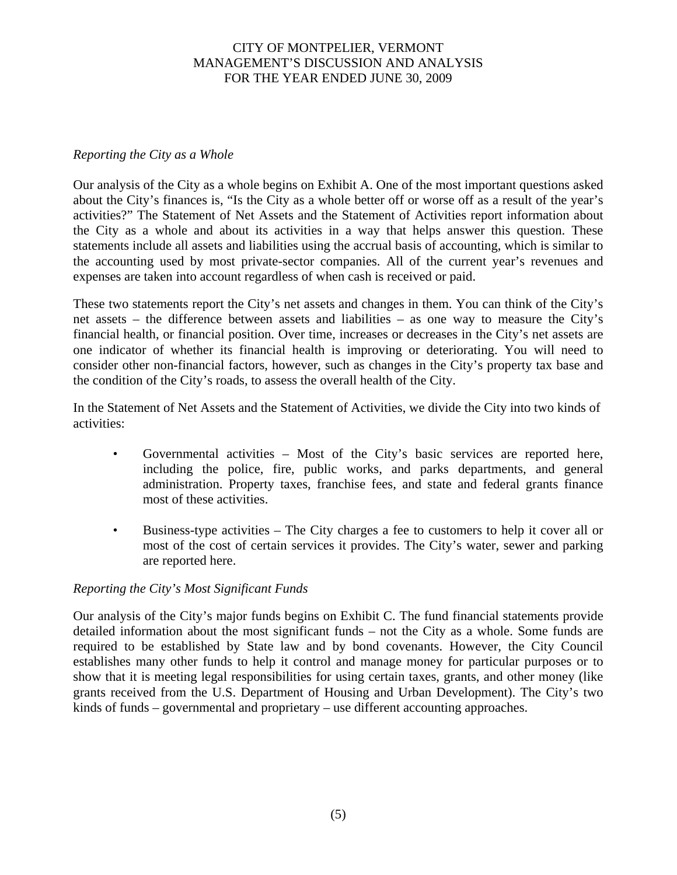#### *Reporting the City as a Whole*

Our analysis of the City as a whole begins on Exhibit A. One of the most important questions asked about the City's finances is, "Is the City as a whole better off or worse off as a result of the year's activities?" The Statement of Net Assets and the Statement of Activities report information about the City as a whole and about its activities in a way that helps answer this question. These statements include all assets and liabilities using the accrual basis of accounting, which is similar to the accounting used by most private-sector companies. All of the current year's revenues and expenses are taken into account regardless of when cash is received or paid.

These two statements report the City's net assets and changes in them. You can think of the City's net assets – the difference between assets and liabilities – as one way to measure the City's financial health, or financial position. Over time, increases or decreases in the City's net assets are one indicator of whether its financial health is improving or deteriorating. You will need to consider other non-financial factors, however, such as changes in the City's property tax base and the condition of the City's roads, to assess the overall health of the City.

In the Statement of Net Assets and the Statement of Activities, we divide the City into two kinds of activities:

- Governmental activities Most of the City's basic services are reported here, including the police, fire, public works, and parks departments, and general administration. Property taxes, franchise fees, and state and federal grants finance most of these activities.
- Business-type activities The City charges a fee to customers to help it cover all or most of the cost of certain services it provides. The City's water, sewer and parking are reported here.

## *Reporting the City's Most Significant Funds*

Our analysis of the City's major funds begins on Exhibit C. The fund financial statements provide detailed information about the most significant funds – not the City as a whole. Some funds are required to be established by State law and by bond covenants. However, the City Council establishes many other funds to help it control and manage money for particular purposes or to show that it is meeting legal responsibilities for using certain taxes, grants, and other money (like grants received from the U.S. Department of Housing and Urban Development). The City's two kinds of funds – governmental and proprietary – use different accounting approaches.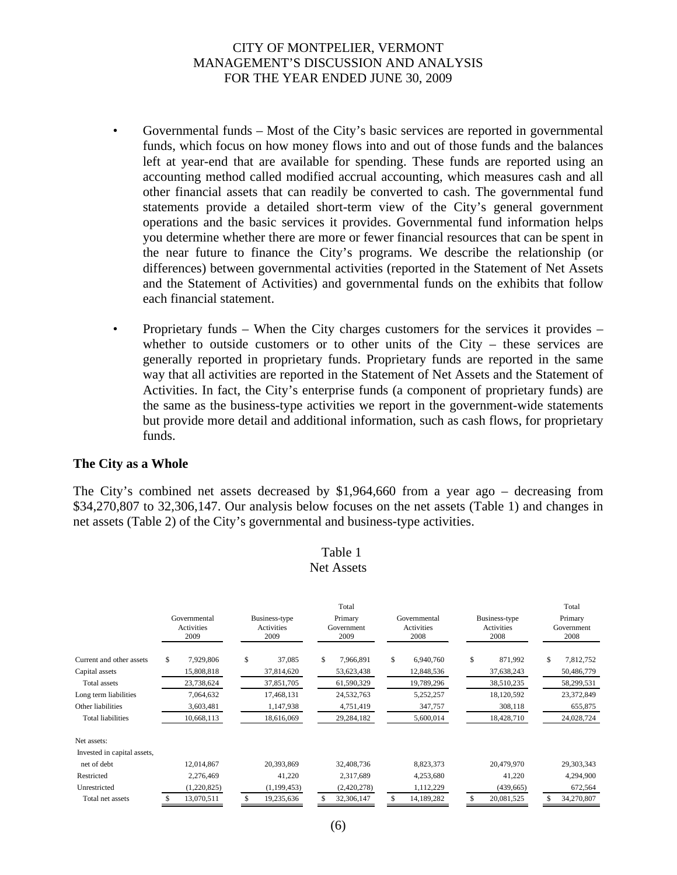- Governmental funds Most of the City's basic services are reported in governmental funds, which focus on how money flows into and out of those funds and the balances left at year-end that are available for spending. These funds are reported using an accounting method called modified accrual accounting, which measures cash and all other financial assets that can readily be converted to cash. The governmental fund statements provide a detailed short-term view of the City's general government operations and the basic services it provides. Governmental fund information helps you determine whether there are more or fewer financial resources that can be spent in the near future to finance the City's programs. We describe the relationship (or differences) between governmental activities (reported in the Statement of Net Assets and the Statement of Activities) and governmental funds on the exhibits that follow each financial statement.
- Proprietary funds When the City charges customers for the services it provides whether to outside customers or to other units of the City – these services are generally reported in proprietary funds. Proprietary funds are reported in the same way that all activities are reported in the Statement of Net Assets and the Statement of Activities. In fact, the City's enterprise funds (a component of proprietary funds) are the same as the business-type activities we report in the government-wide statements but provide more detail and additional information, such as cash flows, for proprietary funds.

#### **The City as a Whole**

The City's combined net assets decreased by \$1,964,660 from a year ago – decreasing from \$34,270,807 to 32,306,147. Our analysis below focuses on the net assets (Table 1) and changes in net assets (Table 2) of the City's governmental and business-type activities.

|                             | Governmental<br>Activities<br>2009 | Business-type<br>Activities<br>2009 | Total<br>Primary<br>Government<br>2009 |    | Governmental<br>Activities<br>2008 | Business-type<br>Activities<br>2008 |    | Total<br>Primary<br>Government<br>2008 |
|-----------------------------|------------------------------------|-------------------------------------|----------------------------------------|----|------------------------------------|-------------------------------------|----|----------------------------------------|
| Current and other assets    | \$<br>7,929,806                    | \$<br>37,085                        | \$<br>7,966,891                        | \$ | 6,940,760                          | \$<br>871,992                       | \$ | 7,812,752                              |
| Capital assets              | 15,808,818                         | 37,814,620                          | 53,623,438                             |    | 12,848,536                         | 37,638,243                          |    | 50,486,779                             |
| Total assets                | 23,738,624                         | 37,851,705                          | 61,590,329                             |    | 19,789,296                         | 38,510,235                          |    | 58,299,531                             |
| Long term liabilities       | 7,064,632                          | 17,468,131                          | 24,532,763                             |    | 5,252,257                          | 18,120,592                          |    | 23,372,849                             |
| Other liabilities           | 3,603,481                          | 1,147,938                           | 4,751,419                              |    | 347,757                            | 308,118                             |    | 655,875                                |
| <b>Total liabilities</b>    | 10,668,113                         | 18,616,069                          | 29, 284, 182                           |    | 5,600,014                          | 18,428,710                          |    | 24,028,724                             |
| Net assets:                 |                                    |                                     |                                        |    |                                    |                                     |    |                                        |
| Invested in capital assets, |                                    |                                     |                                        |    |                                    |                                     |    |                                        |
| net of debt                 | 12,014,867                         | 20,393,869                          | 32,408,736                             |    | 8,823,373                          | 20,479,970                          |    | 29,303,343                             |
| Restricted                  | 2,276,469                          | 41,220                              | 2,317,689                              |    | 4,253,680                          | 41,220                              |    | 4,294,900                              |
| Unrestricted                | (1,220,825)                        | (1, 199, 453)                       | (2,420,278)                            |    | 1,112,229                          | (439, 665)                          |    | 672,564                                |
| Total net assets            | 13,070,511                         | \$<br>19,235,636                    | 32,306,147                             | S  | 14,189,282                         | 20,081,525                          | S  | 34,270,807                             |

#### Table 1 Net Assets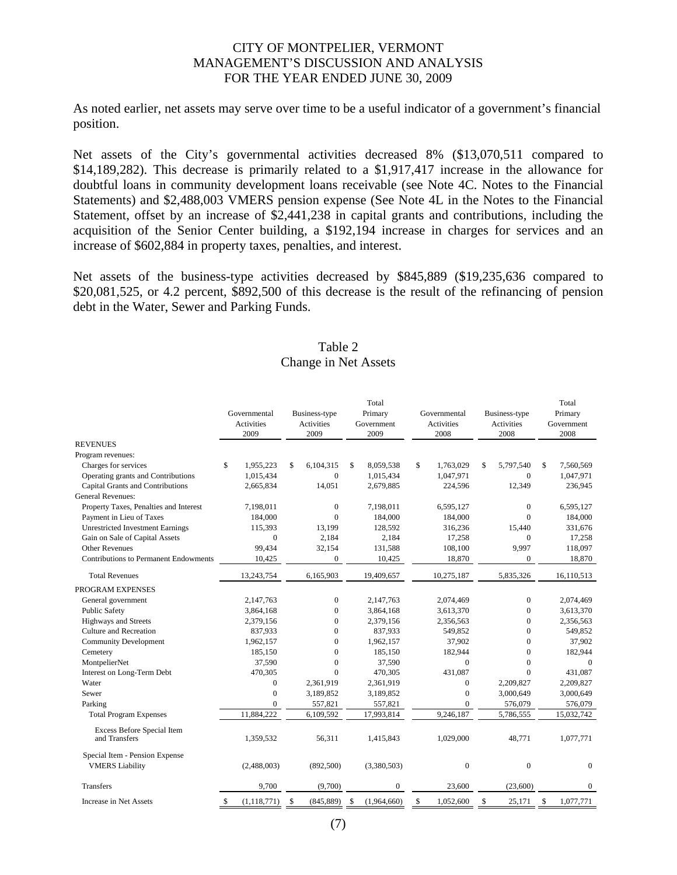As noted earlier, net assets may serve over time to be a useful indicator of a government's financial position.

Net assets of the City's governmental activities decreased 8% (\$13,070,511 compared to \$14,189,282). This decrease is primarily related to a \$1,917,417 increase in the allowance for doubtful loans in community development loans receivable (see Note 4C. Notes to the Financial Statements) and \$2,488,003 VMERS pension expense (See Note 4L in the Notes to the Financial Statement, offset by an increase of \$2,441,238 in capital grants and contributions, including the acquisition of the Senior Center building, a \$192,194 increase in charges for services and an increase of \$602,884 in property taxes, penalties, and interest.

Net assets of the business-type activities decreased by \$845,889 (\$19,235,636 compared to \$20,081,525, or 4.2 percent, \$892,500 of this decrease is the result of the refinancing of pension debt in the Water, Sewer and Parking Funds.

### Table 2 Change in Net Assets

|                                         |                     |                   | Total             |                   |                   | Total           |
|-----------------------------------------|---------------------|-------------------|-------------------|-------------------|-------------------|-----------------|
|                                         | Governmental        | Business-type     | Primary           | Governmental      | Business-type     | Primary         |
|                                         | <b>Activities</b>   | <b>Activities</b> | Government        | <b>Activities</b> | <b>Activities</b> | Government      |
|                                         | 2009                | 2009              | 2009              | 2008              | 2008              | 2008            |
| <b>REVENUES</b>                         |                     |                   |                   |                   |                   |                 |
| Program revenues:                       |                     |                   |                   |                   |                   |                 |
| Charges for services                    | \$<br>1,955,223     | 6,104,315<br>\$   | \$<br>8,059,538   | \$<br>1,763,029   | 5,797,540<br>\$   | \$<br>7,560,569 |
| Operating grants and Contributions      | 1,015,434           | $\boldsymbol{0}$  | 1,015,434         | 1,047,971         | $\mathbf{0}$      | 1,047,971       |
| Capital Grants and Contributions        | 2,665,834           | 14,051            | 2,679,885         | 224,596           | 12,349            | 236,945         |
| <b>General Revenues:</b>                |                     |                   |                   |                   |                   |                 |
| Property Taxes, Penalties and Interest  | 7,198,011           | $\boldsymbol{0}$  | 7,198,011         | 6,595,127         | $\mathbf{0}$      | 6,595,127       |
| Payment in Lieu of Taxes                | 184,000             | $\theta$          | 184,000           | 184,000           | $\Omega$          | 184,000         |
| <b>Unrestricted Investment Earnings</b> | 115,393             | 13,199            | 128,592           | 316,236           | 15.440            | 331,676         |
| Gain on Sale of Capital Assets          | $\overline{0}$      | 2,184             | 2,184             | 17,258            | $\Omega$          | 17,258          |
| <b>Other Revenues</b>                   | 99,434              | 32,154            | 131,588           | 108,100           | 9,997             | 118,097         |
| Contributions to Permanent Endowments   | 10,425              | $\boldsymbol{0}$  | 10,425            | 18,870            | $\mathbf{0}$      | 18,870          |
| <b>Total Revenues</b>                   | 13,243,754          | 6,165,903         | 19,409,657        | 10,275,187        | 5,835,326         | 16,110,513      |
| PROGRAM EXPENSES                        |                     |                   |                   |                   |                   |                 |
| General government                      | 2,147,763           | $\boldsymbol{0}$  | 2,147,763         | 2,074,469         | $\mathbf{0}$      | 2,074,469       |
| <b>Public Safety</b>                    | 3,864,168           | $\overline{0}$    | 3,864,168         | 3,613,370         | $\mathbf{0}$      | 3,613,370       |
| <b>Highways and Streets</b>             | 2,379,156           | $\overline{0}$    | 2,379,156         | 2,356,563         | $\Omega$          | 2,356,563       |
| Culture and Recreation                  | 837,933             | $\overline{0}$    | 837,933           | 549,852           | $\Omega$          | 549,852         |
| <b>Community Development</b>            | 1,962,157           | $\mathbf{0}$      | 1,962,157         | 37,902            | $\Omega$          | 37,902          |
| Cemetery                                | 185,150             | $\overline{0}$    | 185,150           | 182,944           | $\mathbf{0}$      | 182,944         |
| MontpelierNet                           | 37,590              | $\overline{0}$    | 37,590            | $\Omega$          | $\Omega$          | $\theta$        |
| Interest on Long-Term Debt              | 470,305             | $\theta$          | 470,305           | 431,087           | $\Omega$          | 431,087         |
| Water                                   | $\boldsymbol{0}$    | 2,361,919         | 2,361,919         | $\mathbf{0}$      | 2,209,827         | 2,209,827       |
| Sewer                                   | $\boldsymbol{0}$    | 3,189,852         | 3,189,852         | $\mathbf{0}$      | 3,000,649         | 3,000,649       |
| Parking                                 | $\overline{0}$      | 557,821           | 557,821           | $\mathbf{0}$      | 576,079           | 576,079         |
| <b>Total Program Expenses</b>           | 11,884,222          | 6,109,592         | 17,993,814        | 9,246,187         | 5,786,555         | 15,032,742      |
| Excess Before Special Item              |                     |                   |                   |                   |                   |                 |
| and Transfers                           | 1,359,532           | 56,311            | 1,415,843         | 1,029,000         | 48,771            | 1,077,771       |
| Special Item - Pension Expense          |                     |                   |                   |                   |                   |                 |
| <b>VMERS</b> Liability                  | (2,488,003)         | (892,500)         | (3,380,503)       | $\mathbf{0}$      | $\mathbf{0}$      | $\mathbf{0}$    |
| Transfers                               | 9,700               | (9,700)           | $\boldsymbol{0}$  | 23,600            | (23,600)          | $\mathbf{0}$    |
| Increase in Net Assets                  | (1, 118, 771)<br>\$ | (845, 889)<br>\$  | \$<br>(1,964,660) | \$<br>1,052,600   | 25,171<br>\$      | 1,077,771<br>\$ |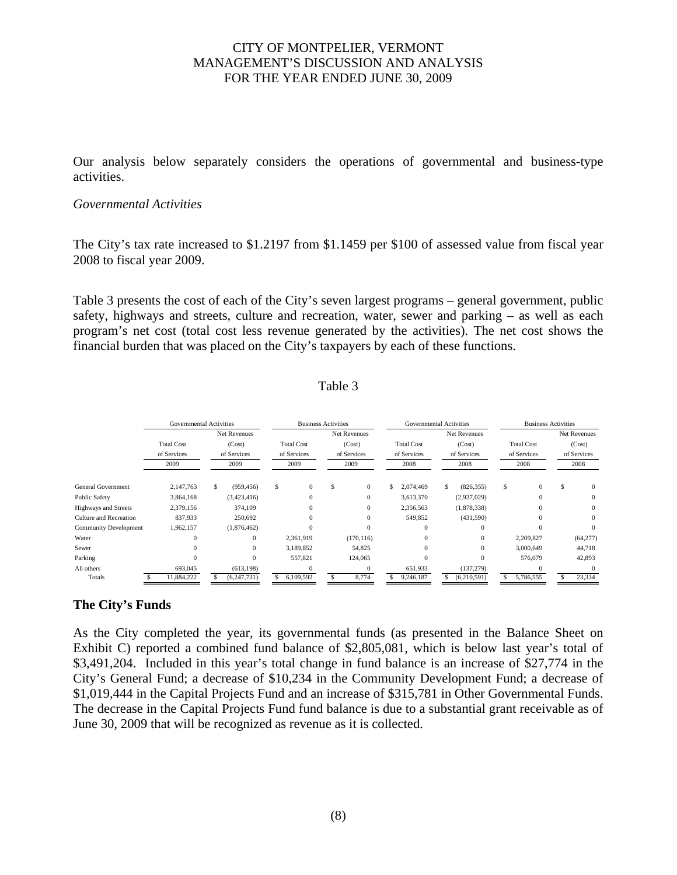Our analysis below separately considers the operations of governmental and business-type activities.

#### *Governmental Activities*

The City's tax rate increased to \$1.2197 from \$1.1459 per \$100 of assessed value from fiscal year 2008 to fiscal year 2009.

Table 3 presents the cost of each of the City's seven largest programs – general government, public safety, highways and streets, culture and recreation, water, sewer and parking – as well as each program's net cost (total cost less revenue generated by the activities). The net cost shows the financial burden that was placed on the City's taxpayers by each of these functions.

#### Table 3

|                              | Governmental Activities |    |              | <b>Business Activities</b> |                      |    | Governmental Activities |    |              | <b>Business Activities</b> |   |                |
|------------------------------|-------------------------|----|--------------|----------------------------|----------------------|----|-------------------------|----|--------------|----------------------------|---|----------------|
|                              |                         |    | Net Revenues |                            | Net Revenues         |    |                         |    | Net Revenues |                            |   | Net Revenues   |
|                              | <b>Total Cost</b>       |    | (Cost)       | <b>Total Cost</b>          | (Cost)               |    | <b>Total Cost</b>       |    | (Cost)       | <b>Total Cost</b>          |   | (Cost)         |
|                              | of Services             |    | of Services  | of Services                | of Services          |    | of Services             |    | of Services  | of Services                |   | of Services    |
|                              | 2009                    |    | 2009         | 2009                       | 2009                 |    | 2008                    |    | 2008         | 2008                       |   | 2008           |
| <b>General Government</b>    | 2,147,763               | S. | (959, 456)   | \$<br>$\mathbf{0}$         | \$<br>$\overline{0}$ | S. | 2,074,469               | S. | (826, 355)   | \$<br>$\mathbf{0}$         | Ś | $\overline{0}$ |
| Public Safety                | 3,864,168               |    | (3,423,416)  | $\Omega$                   | $\Omega$             |    | 3,613,370               |    | (2,937,029)  | $\Omega$                   |   | $\mathbf{0}$   |
| <b>Highways and Streets</b>  | 2,379,156               |    | 374,109      | $\theta$                   | $\Omega$             |    | 2,356,563               |    | (1,878,338)  | $\Omega$                   |   | $\mathbf{0}$   |
| Culture and Recreation       | 837,933                 |    | 250,692      | $\Omega$                   | $\Omega$             |    | 549,852                 |    | (431,590)    | $\mathbf{0}$               |   | $\mathbf{0}$   |
| <b>Community Development</b> | 1,962,157               |    | (1,876,462)  | $\Omega$                   | $\Omega$             |    |                         |    |              | $\Omega$                   |   | $\Omega$       |
| Water                        |                         |    | $\Omega$     | 2,361,919                  | (170, 116)           |    | 0                       |    | 0            | 2,209,827                  |   | (64,277)       |
| Sewer                        |                         |    | 0            | 3,189,852                  | 54,825               |    |                         |    | 0            | 3,000,649                  |   | 44,718         |
| Parking                      | O                       |    | $\Omega$     | 557,821                    | 124,065              |    | $\Omega$                |    | $\Omega$     | 576,079                    |   | 42,893         |
| All others                   | 693,045                 |    | (613, 198)   |                            |                      |    | 651,933                 |    | (137, 279)   |                            |   | $\Omega$       |
| Totals                       | 11,884,222              |    | (6,247,731)  | 6,109,592                  | 8,774                |    | 9,246,187               |    | (6,210,591)  | 5,786,555                  |   | 23,334         |

#### **The City's Funds**

As the City completed the year, its governmental funds (as presented in the Balance Sheet on Exhibit C) reported a combined fund balance of \$2,805,081, which is below last year's total of \$3,491,204. Included in this year's total change in fund balance is an increase of \$27,774 in the City's General Fund; a decrease of \$10,234 in the Community Development Fund; a decrease of \$1,019,444 in the Capital Projects Fund and an increase of \$315,781 in Other Governmental Funds. The decrease in the Capital Projects Fund fund balance is due to a substantial grant receivable as of June 30, 2009 that will be recognized as revenue as it is collected.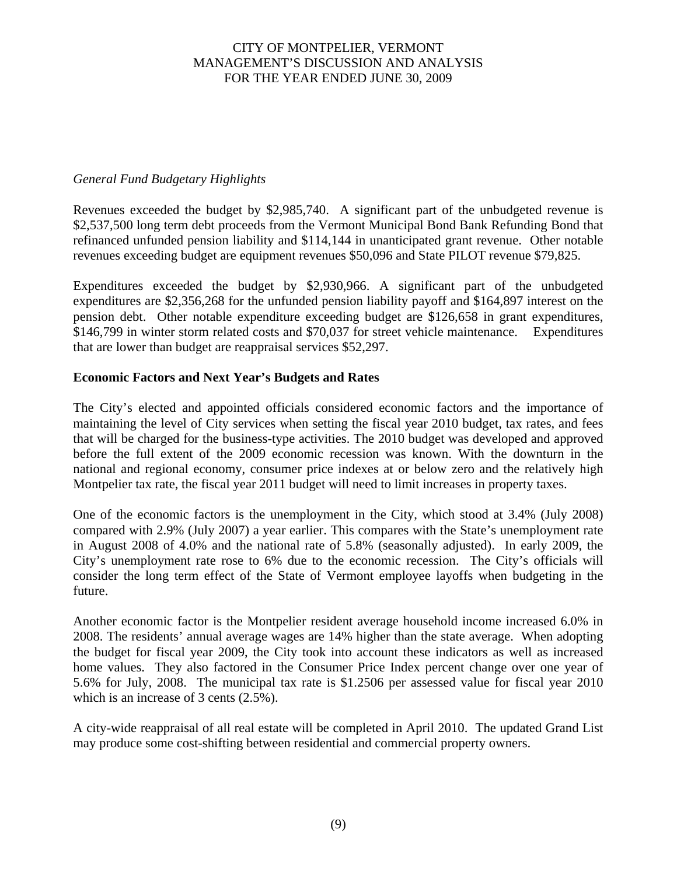## *General Fund Budgetary Highlights*

Revenues exceeded the budget by \$2,985,740. A significant part of the unbudgeted revenue is \$2,537,500 long term debt proceeds from the Vermont Municipal Bond Bank Refunding Bond that refinanced unfunded pension liability and \$114,144 in unanticipated grant revenue. Other notable revenues exceeding budget are equipment revenues \$50,096 and State PILOT revenue \$79,825.

Expenditures exceeded the budget by \$2,930,966. A significant part of the unbudgeted expenditures are \$2,356,268 for the unfunded pension liability payoff and \$164,897 interest on the pension debt. Other notable expenditure exceeding budget are \$126,658 in grant expenditures, \$146,799 in winter storm related costs and \$70,037 for street vehicle maintenance. Expenditures that are lower than budget are reappraisal services \$52,297.

## **Economic Factors and Next Year's Budgets and Rates**

The City's elected and appointed officials considered economic factors and the importance of maintaining the level of City services when setting the fiscal year 2010 budget, tax rates, and fees that will be charged for the business-type activities. The 2010 budget was developed and approved before the full extent of the 2009 economic recession was known. With the downturn in the national and regional economy, consumer price indexes at or below zero and the relatively high Montpelier tax rate, the fiscal year 2011 budget will need to limit increases in property taxes.

One of the economic factors is the unemployment in the City, which stood at 3.4% (July 2008) compared with 2.9% (July 2007) a year earlier. This compares with the State's unemployment rate in August 2008 of 4.0% and the national rate of 5.8% (seasonally adjusted). In early 2009, the City's unemployment rate rose to 6% due to the economic recession. The City's officials will consider the long term effect of the State of Vermont employee layoffs when budgeting in the future.

Another economic factor is the Montpelier resident average household income increased 6.0% in 2008. The residents' annual average wages are 14% higher than the state average. When adopting the budget for fiscal year 2009, the City took into account these indicators as well as increased home values. They also factored in the Consumer Price Index percent change over one year of 5.6% for July, 2008. The municipal tax rate is \$1.2506 per assessed value for fiscal year 2010 which is an increase of 3 cents (2.5%).

A city-wide reappraisal of all real estate will be completed in April 2010. The updated Grand List may produce some cost-shifting between residential and commercial property owners.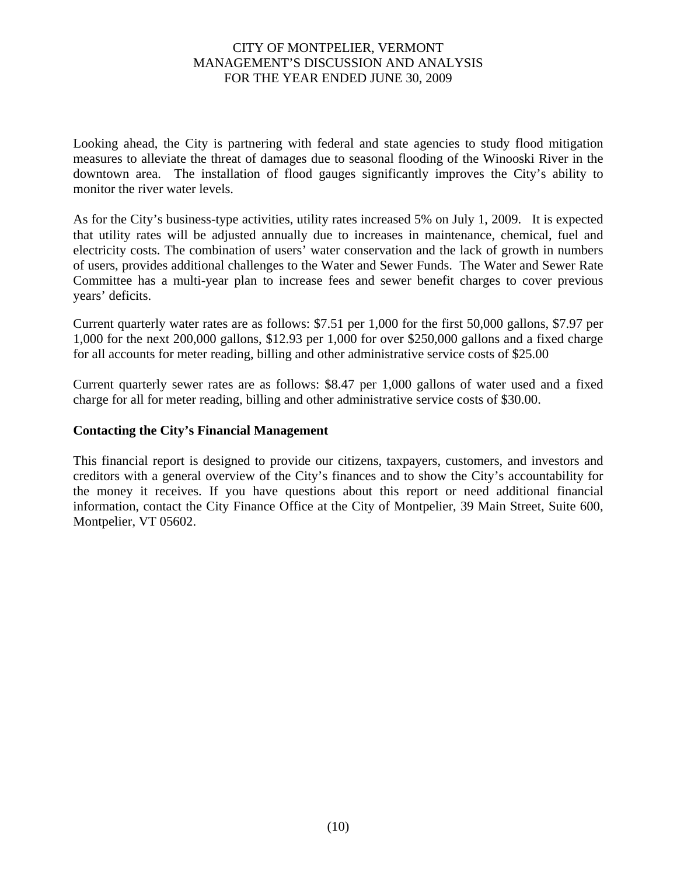Looking ahead, the City is partnering with federal and state agencies to study flood mitigation measures to alleviate the threat of damages due to seasonal flooding of the Winooski River in the downtown area. The installation of flood gauges significantly improves the City's ability to monitor the river water levels.

As for the City's business-type activities, utility rates increased 5% on July 1, 2009. It is expected that utility rates will be adjusted annually due to increases in maintenance, chemical, fuel and electricity costs. The combination of users' water conservation and the lack of growth in numbers of users, provides additional challenges to the Water and Sewer Funds. The Water and Sewer Rate Committee has a multi-year plan to increase fees and sewer benefit charges to cover previous years' deficits.

Current quarterly water rates are as follows: \$7.51 per 1,000 for the first 50,000 gallons, \$7.97 per 1,000 for the next 200,000 gallons, \$12.93 per 1,000 for over \$250,000 gallons and a fixed charge for all accounts for meter reading, billing and other administrative service costs of \$25.00

Current quarterly sewer rates are as follows: \$8.47 per 1,000 gallons of water used and a fixed charge for all for meter reading, billing and other administrative service costs of \$30.00.

#### **Contacting the City's Financial Management**

This financial report is designed to provide our citizens, taxpayers, customers, and investors and creditors with a general overview of the City's finances and to show the City's accountability for the money it receives. If you have questions about this report or need additional financial information, contact the City Finance Office at the City of Montpelier, 39 Main Street, Suite 600, Montpelier, VT 05602.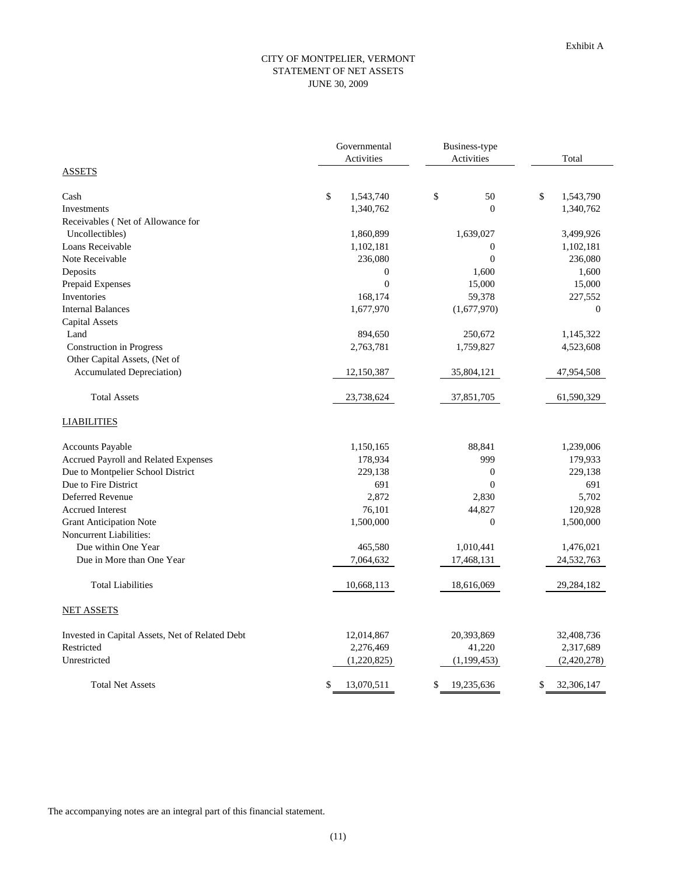#### CITY OF MONTPELIER, VERMONT STATEMENT OF NET ASSETS JUNE 30, 2009

|                                                 | Governmental<br>Activities | Business-type<br>Activities | Total            |
|-------------------------------------------------|----------------------------|-----------------------------|------------------|
| <b>ASSETS</b>                                   |                            |                             |                  |
| Cash                                            | \$<br>1,543,740            | \$<br>50                    | \$<br>1,543,790  |
| Investments                                     | 1,340,762                  | $\Omega$                    | 1,340,762        |
| Receivables (Net of Allowance for               |                            |                             |                  |
| Uncollectibles)                                 | 1,860,899                  | 1,639,027                   | 3,499,926        |
| Loans Receivable                                | 1,102,181                  | $\boldsymbol{0}$            | 1,102,181        |
| Note Receivable                                 | 236,080                    | $\boldsymbol{0}$            | 236,080          |
| Deposits                                        | $\boldsymbol{0}$           | 1,600                       | 1,600            |
| Prepaid Expenses                                | $\boldsymbol{0}$           | 15,000                      | 15,000           |
| Inventories                                     | 168,174                    | 59,378                      | 227,552          |
| <b>Internal Balances</b>                        | 1,677,970                  | (1,677,970)                 | $\theta$         |
| <b>Capital Assets</b>                           |                            |                             |                  |
| Land                                            | 894,650                    | 250,672                     | 1,145,322        |
| <b>Construction in Progress</b>                 | 2,763,781                  | 1,759,827                   | 4,523,608        |
| Other Capital Assets, (Net of                   |                            |                             |                  |
| <b>Accumulated Depreciation</b> )               | 12,150,387                 | 35,804,121                  | 47,954,508       |
| <b>Total Assets</b>                             | 23,738,624                 | 37,851,705                  | 61,590,329       |
| <b>LIABILITIES</b>                              |                            |                             |                  |
| <b>Accounts Payable</b>                         | 1,150,165                  | 88,841                      | 1,239,006        |
| Accrued Payroll and Related Expenses            | 178,934                    | 999                         | 179,933          |
| Due to Montpelier School District               | 229,138                    | $\boldsymbol{0}$            | 229,138          |
| Due to Fire District                            | 691                        | $\overline{0}$              | 691              |
| <b>Deferred Revenue</b>                         | 2,872                      | 2,830                       | 5,702            |
| <b>Accrued Interest</b>                         | 76,101                     | 44,827                      | 120,928          |
| <b>Grant Anticipation Note</b>                  | 1,500,000                  | $\boldsymbol{0}$            | 1,500,000        |
| Noncurrent Liabilities:                         |                            |                             |                  |
| Due within One Year                             | 465,580                    | 1,010,441                   | 1,476,021        |
| Due in More than One Year                       | 7,064,632                  | 17,468,131                  | 24,532,763       |
| <b>Total Liabilities</b>                        | 10,668,113                 | 18,616,069                  | 29,284,182       |
| <b>NET ASSETS</b>                               |                            |                             |                  |
| Invested in Capital Assets, Net of Related Debt | 12,014,867                 | 20,393,869                  | 32,408,736       |
| Restricted                                      | 2,276,469                  | 41,220                      | 2,317,689        |
| Unrestricted                                    | (1,220,825)                | (1,199,453)                 | (2,420,278)      |
| <b>Total Net Assets</b>                         | \$<br>13,070,511           | \$<br>19,235,636            | \$<br>32,306,147 |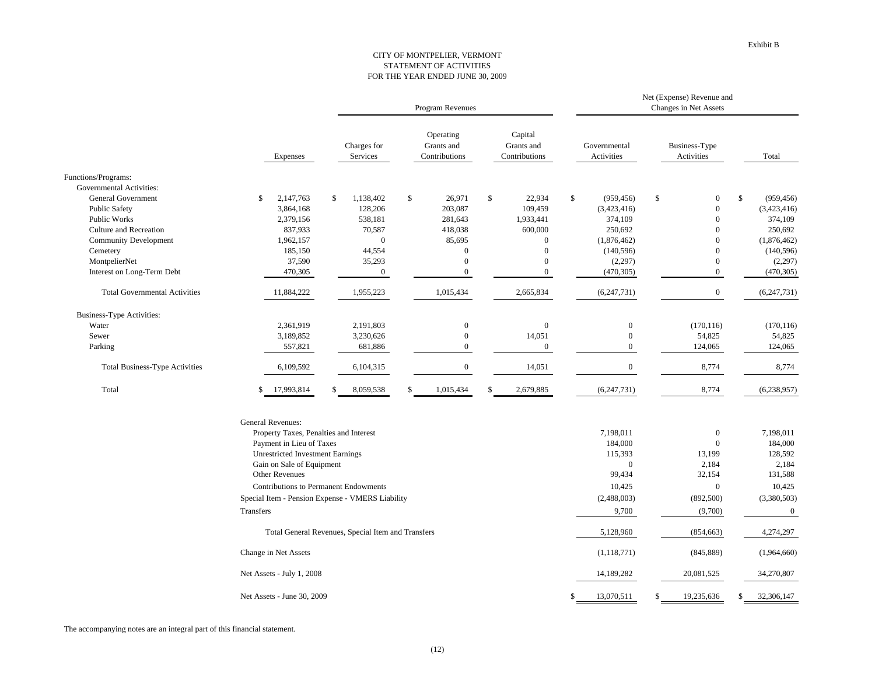#### CITY OF MONTPELIER, VERMONT STATEMENT OF ACTIVITIES FOR THE YEAR ENDED JUNE 30, 2009

|                                       |                                                                                                                                                                                                                                                                                                    | Program Revenues                                   |    |                                          |               |                                        |    |                                                                                             | Net (Expense) Revenue and<br>Changes in Net Assets                                                     |              |                                                                                                |
|---------------------------------------|----------------------------------------------------------------------------------------------------------------------------------------------------------------------------------------------------------------------------------------------------------------------------------------------------|----------------------------------------------------|----|------------------------------------------|---------------|----------------------------------------|----|---------------------------------------------------------------------------------------------|--------------------------------------------------------------------------------------------------------|--------------|------------------------------------------------------------------------------------------------|
|                                       | Expenses                                                                                                                                                                                                                                                                                           | Charges for<br>Services                            |    | Operating<br>Grants and<br>Contributions |               | Capital<br>Grants and<br>Contributions |    | Governmental<br>Activities                                                                  | Business-Type<br>Activities                                                                            |              | Total                                                                                          |
| Functions/Programs:                   |                                                                                                                                                                                                                                                                                                    |                                                    |    |                                          |               |                                        |    |                                                                                             |                                                                                                        |              |                                                                                                |
| Governmental Activities:              |                                                                                                                                                                                                                                                                                                    |                                                    |    |                                          |               |                                        |    |                                                                                             |                                                                                                        |              |                                                                                                |
| General Government                    | 2,147,763<br>\$                                                                                                                                                                                                                                                                                    | \$<br>1,138,402                                    | \$ | 26,971                                   | \$            | 22,934                                 | \$ | (959, 456)                                                                                  | \$<br>$\boldsymbol{0}$                                                                                 | $\mathbf S$  | (959, 456)                                                                                     |
| <b>Public Safety</b>                  | 3,864,168                                                                                                                                                                                                                                                                                          | 128,206                                            |    | 203,087                                  |               | 109,459                                |    | (3,423,416)                                                                                 | $\boldsymbol{0}$                                                                                       |              | (3,423,416)                                                                                    |
| Public Works                          | 2,379,156                                                                                                                                                                                                                                                                                          | 538,181                                            |    | 281,643                                  |               | 1,933,441                              |    | 374,109                                                                                     | $\mathbf{0}$                                                                                           |              | 374,109                                                                                        |
| Culture and Recreation                | 837,933                                                                                                                                                                                                                                                                                            | 70,587                                             |    | 418,038                                  |               | 600,000                                |    | 250,692                                                                                     | $\mathbf{0}$                                                                                           |              | 250,692                                                                                        |
| <b>Community Development</b>          | 1,962,157                                                                                                                                                                                                                                                                                          | $\boldsymbol{0}$                                   |    | 85,695                                   |               | $\Omega$                               |    | (1,876,462)                                                                                 | $\Omega$                                                                                               |              | (1,876,462)                                                                                    |
| Cemetery                              | 185,150                                                                                                                                                                                                                                                                                            | 44,554                                             |    | $\mathbf{0}$                             |               | $\overline{0}$                         |    | (140, 596)                                                                                  | $\boldsymbol{0}$                                                                                       |              | (140, 596)                                                                                     |
| MontpelierNet                         | 37,590                                                                                                                                                                                                                                                                                             | 35,293                                             |    | $\mathbf{0}$                             |               | $\mathbf{0}$                           |    | (2,297)                                                                                     | $\boldsymbol{0}$                                                                                       |              | (2,297)                                                                                        |
| Interest on Long-Term Debt            | 470,305                                                                                                                                                                                                                                                                                            | $\mathbf{0}$                                       |    | $\mathbf{0}$                             |               | $\mathbf{0}$                           |    | (470, 305)                                                                                  | $\mathbf{0}$                                                                                           |              | (470, 305)                                                                                     |
| <b>Total Governmental Activities</b>  | 11,884,222                                                                                                                                                                                                                                                                                         | 1,955,223                                          |    | 1,015,434                                |               | 2,665,834                              |    | (6,247,731)                                                                                 | $\mathbf{0}$                                                                                           |              | (6,247,731)                                                                                    |
| <b>Business-Type Activities:</b>      |                                                                                                                                                                                                                                                                                                    |                                                    |    |                                          |               |                                        |    |                                                                                             |                                                                                                        |              |                                                                                                |
| Water                                 | 2,361,919                                                                                                                                                                                                                                                                                          | 2,191,803                                          |    | $\overline{0}$                           |               | $\mathbf{0}$                           |    | $\boldsymbol{0}$                                                                            | (170, 116)                                                                                             |              | (170, 116)                                                                                     |
| Sewer                                 | 3,189,852                                                                                                                                                                                                                                                                                          | 3,230,626                                          |    | $\mathbf{0}$                             |               | 14,051                                 |    | $\mathbf{0}$                                                                                | 54,825                                                                                                 |              | 54,825                                                                                         |
| Parking                               | 557,821                                                                                                                                                                                                                                                                                            | 681,886                                            |    | $\mathbf{0}$                             |               | $\mathbf{0}$                           |    | $\mathbf{0}$                                                                                | 124,065                                                                                                |              | 124,065                                                                                        |
| <b>Total Business-Type Activities</b> | 6,109,592                                                                                                                                                                                                                                                                                          | 6,104,315                                          |    | $\mathbf{0}$                             |               | 14,051                                 |    | $\mathbf{0}$                                                                                | 8,774                                                                                                  |              | 8,774                                                                                          |
| Total                                 | 17,993,814<br>£.                                                                                                                                                                                                                                                                                   | \$<br>8,059,538                                    | \$ | 1,015,434                                | <sup>\$</sup> | 2,679,885                              |    | (6,247,731)                                                                                 | 8,774                                                                                                  |              | (6, 238, 957)                                                                                  |
|                                       | <b>General Revenues:</b><br>Property Taxes, Penalties and Interest<br>Payment in Lieu of Taxes<br><b>Unrestricted Investment Earnings</b><br>Gain on Sale of Equipment<br>Other Revenues<br>Contributions to Permanent Endowments<br>Special Item - Pension Expense - VMERS Liability<br>Transfers |                                                    |    |                                          |               |                                        |    | 7,198,011<br>184,000<br>115,393<br>$\mathbf{0}$<br>99,434<br>10,425<br>(2,488,003)<br>9,700 | $\mathbf{0}$<br>$\mathbf{0}$<br>13,199<br>2,184<br>32,154<br>$\boldsymbol{0}$<br>(892, 500)<br>(9,700) |              | 7,198,011<br>184,000<br>128,592<br>2,184<br>131,588<br>10,425<br>(3,380,503)<br>$\overline{0}$ |
|                                       |                                                                                                                                                                                                                                                                                                    | Total General Revenues, Special Item and Transfers |    |                                          |               |                                        |    | 5,128,960                                                                                   | (854, 663)                                                                                             |              | 4,274,297                                                                                      |
|                                       | Change in Net Assets                                                                                                                                                                                                                                                                               |                                                    |    |                                          |               |                                        |    | (1, 118, 771)                                                                               | (845, 889)                                                                                             |              | (1,964,660)                                                                                    |
|                                       | Net Assets - July 1, 2008                                                                                                                                                                                                                                                                          |                                                    |    |                                          |               |                                        |    | 14,189,282                                                                                  | 20,081,525                                                                                             |              | 34,270,807                                                                                     |
|                                       | Net Assets - June 30, 2009                                                                                                                                                                                                                                                                         |                                                    |    |                                          |               |                                        | \$ | 13,070,511                                                                                  | \$<br>19,235,636                                                                                       | $\mathbb{S}$ | 32,306,147                                                                                     |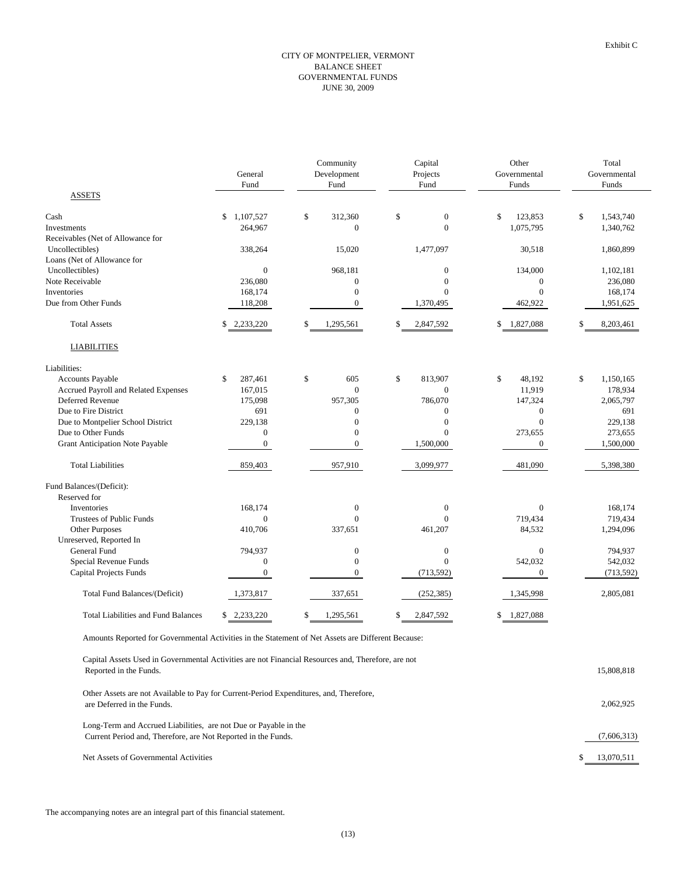|                                                                                                                              | General<br>Fund            | Community<br>Development<br>Fund | Capital<br>Projects<br>Fund    | Other<br>Governmental<br>Funds | Total<br>Governmental<br>Funds |
|------------------------------------------------------------------------------------------------------------------------------|----------------------------|----------------------------------|--------------------------------|--------------------------------|--------------------------------|
| <b>ASSETS</b>                                                                                                                |                            |                                  |                                |                                |                                |
| Cash<br>Investments                                                                                                          | 1,107,527<br>\$<br>264,967 | \$<br>312,360<br>$\theta$        | \$<br>$\mathbf{0}$<br>$\Omega$ | \$<br>123,853<br>1,075,795     | \$<br>1,543,740<br>1,340,762   |
| Receivables (Net of Allowance for<br>Uncollectibles)                                                                         | 338,264                    | 15,020                           | 1,477,097                      | 30,518                         | 1,860,899                      |
| Loans (Net of Allowance for<br>Uncollectibles)                                                                               | $\boldsymbol{0}$           | 968,181                          | $\boldsymbol{0}$               | 134,000                        | 1,102,181                      |
| Note Receivable                                                                                                              | 236,080                    | $\overline{0}$                   | $\theta$                       | $\mathbf{0}$                   | 236,080                        |
| Inventories                                                                                                                  | 168,174                    | $\boldsymbol{0}$                 | $\mathbf{0}$                   | $\overline{0}$                 | 168,174                        |
| Due from Other Funds                                                                                                         | 118,208                    | $\boldsymbol{0}$                 | 1,370,495                      | 462,922                        | 1,951,625                      |
| <b>Total Assets</b>                                                                                                          | 2,233,220<br>\$            | \$<br>1,295,561                  | 2,847,592                      | 1,827,088<br>\$                | \$<br>8,203,461                |
| <b>LIABILITIES</b>                                                                                                           |                            |                                  |                                |                                |                                |
| Liabilities:                                                                                                                 |                            |                                  |                                |                                |                                |
| <b>Accounts Payable</b>                                                                                                      | \$<br>287,461              | \$<br>605                        | \$<br>813,907                  | \$<br>48.192                   | \$<br>1,150,165                |
| Accrued Payroll and Related Expenses                                                                                         | 167,015                    | $\overline{0}$                   | $\mathbf{0}$                   | 11,919                         | 178,934                        |
| Deferred Revenue                                                                                                             | 175,098                    | 957,305                          | 786,070                        | 147,324                        | 2,065,797                      |
| Due to Fire District                                                                                                         | 691                        | $\overline{0}$                   | $\mathbf{0}$                   | $\mathbf{0}$                   | 691                            |
| Due to Montpelier School District                                                                                            | 229,138                    | $\overline{0}$                   | $\mathbf{0}$                   | $\mathbf{0}$                   | 229,138                        |
| Due to Other Funds                                                                                                           | $\boldsymbol{0}$           | $\mathbf{0}$                     | $\theta$                       | 273,655                        | 273,655                        |
| Grant Anticipation Note Payable                                                                                              | $\boldsymbol{0}$           | $\boldsymbol{0}$                 | 1,500,000                      | $\boldsymbol{0}$               | 1,500,000                      |
| <b>Total Liabilities</b>                                                                                                     | 859,403                    | 957,910                          | 3,099,977                      | 481,090                        | 5,398,380                      |
| Fund Balances/(Deficit):                                                                                                     |                            |                                  |                                |                                |                                |
| Reserved for                                                                                                                 |                            |                                  |                                |                                |                                |
| Inventories                                                                                                                  | 168,174                    | $\mathbf{0}$                     | $\mathbf{0}$                   | $\overline{0}$                 | 168,174                        |
| <b>Trustees of Public Funds</b>                                                                                              | $\overline{0}$             | $\theta$                         | $\Omega$                       | 719,434                        | 719.434                        |
| <b>Other Purposes</b>                                                                                                        | 410,706                    | 337,651                          | 461,207                        | 84,532                         | 1,294,096                      |
| Unreserved, Reported In                                                                                                      |                            |                                  |                                |                                |                                |
| General Fund                                                                                                                 | 794,937                    | $\overline{0}$                   | $\mathbf{0}$                   | $\mathbf{0}$                   | 794,937                        |
| Special Revenue Funds                                                                                                        | $\mathbf{0}$               | $\mathbf{0}$                     | $\theta$                       | 542,032                        | 542,032                        |
| Capital Projects Funds                                                                                                       | $\boldsymbol{0}$           | $\boldsymbol{0}$                 | (713, 592)                     | $\boldsymbol{0}$               | (713, 592)                     |
| Total Fund Balances/(Deficit)                                                                                                | 1,373,817                  | 337,651                          | (252, 385)                     | 1,345,998                      | 2,805,081                      |
| <b>Total Liabilities and Fund Balances</b>                                                                                   | \$<br>2,233,220            | \$<br>1,295,561                  | 2,847,592                      | 1,827,088<br>\$                |                                |
| Amounts Reported for Governmental Activities in the Statement of Net Assets are Different Because:                           |                            |                                  |                                |                                |                                |
| Capital Assets Used in Governmental Activities are not Financial Resources and, Therefore, are not<br>Reported in the Funds. |                            |                                  |                                |                                | 15,808,818                     |
| Other Assets are not Available to Pay for Current-Period Expenditures, and, Therefore,<br>are Deferred in the Funds.         |                            |                                  |                                |                                | 2,062,925                      |
| Long-Term and Accrued Liabilities, are not Due or Payable in the                                                             |                            |                                  |                                |                                |                                |

 Current Period and, Therefore, are Not Reported in the Funds. (7,606,313) Net Assets of Governmental Activities  $\qquad \qquad$  13,070,511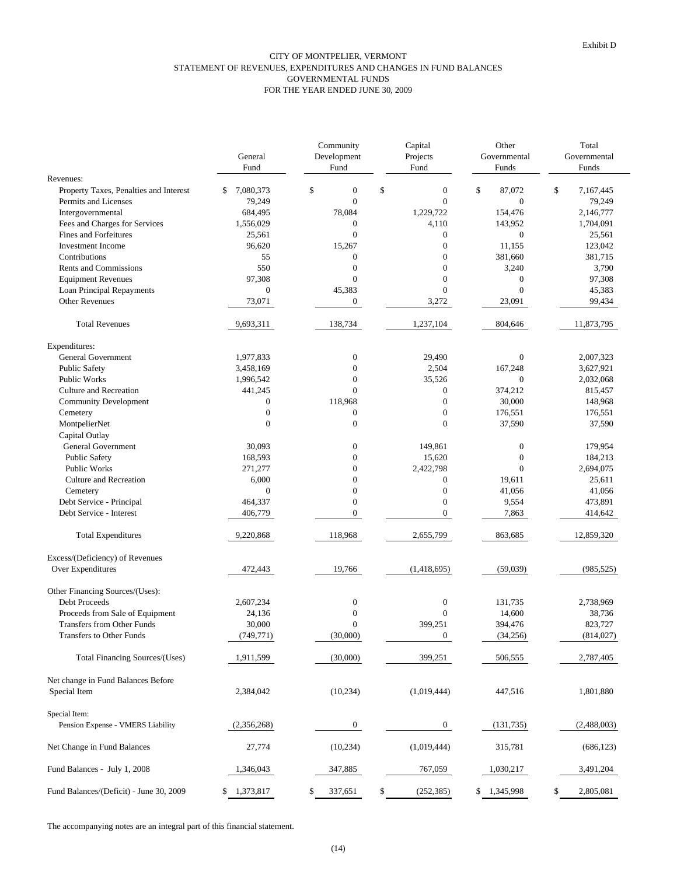#### CITY OF MONTPELIER, VERMONT STATEMENT OF REVENUES, EXPENDITURES AND CHANGES IN FUND BALANCES GOVERNMENTAL FUNDS FOR THE YEAR ENDED JUNE 30, 2009

|                                         | General<br>Fund  | Community<br>Development<br>Fund | Capital<br>Projects<br>Fund | Other<br>Governmental<br>Funds | Total<br>Governmental<br>Funds |
|-----------------------------------------|------------------|----------------------------------|-----------------------------|--------------------------------|--------------------------------|
| Revenues:                               |                  |                                  |                             |                                |                                |
| Property Taxes, Penalties and Interest  | 7,080,373<br>S   | \$<br>$\mathbf{0}$               | \$<br>$\mathbf{0}$          | \$<br>87,072                   | \$<br>7,167,445                |
| Permits and Licenses                    | 79,249           | $\Omega$                         | $\mathbf{0}$                | $\overline{0}$                 | 79,249                         |
| Intergovernmental                       | 684,495          | 78,084                           | 1.229.722                   | 154,476                        | 2,146,777                      |
| Fees and Charges for Services           | 1,556,029        | $\mathbf{0}$                     | 4,110                       | 143,952                        | 1,704,091                      |
| <b>Fines and Forfeitures</b>            | 25,561           | $\Omega$                         | $\boldsymbol{0}$            | $\boldsymbol{0}$               | 25,561                         |
| <b>Investment Income</b>                | 96,620           | 15,267                           | $\boldsymbol{0}$            | 11,155                         | 123,042                        |
| Contributions                           | 55               | 0                                | $\mathbf{0}$                | 381,660                        | 381,715                        |
| <b>Rents and Commissions</b>            | 550              | $\Omega$                         | $\theta$                    | 3,240                          | 3,790                          |
| <b>Equipment Revenues</b>               | 97,308           | $\Omega$                         | $\boldsymbol{0}$            | $\boldsymbol{0}$               | 97,308                         |
| Loan Principal Repayments               | $\mathbf{0}$     | 45,383                           | $\theta$                    | $\overline{0}$                 | 45,383                         |
| <b>Other Revenues</b>                   | 73,071           | 0                                | 3,272                       | 23,091                         | 99,434                         |
| <b>Total Revenues</b>                   | 9,693,311        | 138,734                          | 1,237,104                   | 804,646                        | 11,873,795                     |
| Expenditures:                           |                  |                                  |                             |                                |                                |
| <b>General Government</b>               | 1,977,833        | $\boldsymbol{0}$                 | 29,490                      | $\boldsymbol{0}$               | 2,007,323                      |
| <b>Public Safety</b>                    | 3,458,169        | $\mathbf{0}$                     | 2,504                       | 167,248                        | 3,627,921                      |
| Public Works                            | 1,996,542        | $\mathbf{0}$                     | 35,526                      | $\mathbf{0}$                   | 2,032,068                      |
| Culture and Recreation                  | 441,245          | $\overline{0}$                   | $\boldsymbol{0}$            | 374,212                        | 815,457                        |
| <b>Community Development</b>            | $\boldsymbol{0}$ | 118,968                          | $\mathbf{0}$                | 30,000                         | 148,968                        |
| Cemetery                                | $\overline{0}$   | $\overline{0}$                   | $\mathbf{0}$                | 176,551                        | 176,551                        |
| MontpelierNet                           | $\mathbf{0}$     | $\mathbf{0}$                     | $\mathbf{0}$                | 37,590                         | 37,590                         |
| Capital Outlay                          |                  |                                  |                             |                                |                                |
| <b>General Government</b>               | 30,093           | $\mathbf{0}$                     | 149,861                     | $\overline{0}$                 | 179,954                        |
| Public Safety                           | 168,593          | $\mathbf{0}$                     | 15,620                      | $\boldsymbol{0}$               | 184,213                        |
| <b>Public Works</b>                     | 271,277          | $\overline{0}$                   | 2,422,798                   | $\overline{0}$                 | 2,694,075                      |
| Culture and Recreation                  | 6,000            | $\Omega$                         | $\mathbf{0}$                | 19,611                         | 25,611                         |
| Cemetery                                | $\mathbf{0}$     | $\mathbf{0}$                     | $\boldsymbol{0}$            | 41,056                         | 41,056                         |
| Debt Service - Principal                | 464,337          | $\overline{0}$                   | $\mathbf{0}$                | 9,554                          | 473,891                        |
| Debt Service - Interest                 | 406,779          | $\overline{0}$                   | $\overline{0}$              | 7,863                          | 414,642                        |
|                                         |                  |                                  |                             |                                |                                |
| <b>Total Expenditures</b>               | 9,220,868        | 118,968                          | 2,655,799                   | 863,685                        | 12,859,320                     |
| Excess/(Deficiency) of Revenues         |                  |                                  |                             |                                |                                |
| Over Expenditures                       | 472,443          | 19,766                           | (1,418,695)                 | (59,039)                       | (985, 525)                     |
|                                         |                  |                                  |                             |                                |                                |
| Other Financing Sources/(Uses):         |                  |                                  |                             |                                |                                |
| Debt Proceeds                           | 2,607,234        | $\boldsymbol{0}$                 | $\boldsymbol{0}$            | 131,735                        | 2,738,969                      |
| Proceeds from Sale of Equipment         | 24,136           | $\Omega$                         | $\mathbf{0}$                | 14,600                         | 38,736                         |
| <b>Transfers from Other Funds</b>       | 30,000           | $\theta$                         | 399,251                     | 394,476                        | 823,727                        |
| Transfers to Other Funds                | (749, 771)       | (30,000)                         | $\boldsymbol{0}$            | (34, 256)                      | (814, 027)                     |
| <b>Total Financing Sources/(Uses)</b>   | 1,911,599        | (30,000)                         | 399,251                     | 506,555                        | 2,787,405                      |
| Net change in Fund Balances Before      |                  |                                  |                             |                                |                                |
| Special Item                            | 2,384,042        | (10, 234)                        | (1,019,444)                 | 447,516                        | 1,801,880                      |
| Special Item:                           |                  |                                  |                             |                                |                                |
| Pension Expense - VMERS Liability       | (2,356,268)      | $\mathbf{0}$                     | $\mathbf{0}$                | (131, 735)                     | (2,488,003)                    |
| Net Change in Fund Balances             | 27,774           | (10, 234)                        | (1,019,444)                 | 315,781                        | (686, 123)                     |
| Fund Balances - July 1, 2008            | 1,346,043        | 347,885                          | 767,059                     | 1,030,217                      | 3,491,204                      |
| Fund Balances/(Deficit) - June 30, 2009 | \$1,373,817      | \$<br>337,651                    | \$<br>(252, 385)            | 1,345,998<br>\$                | \$<br>2,805,081                |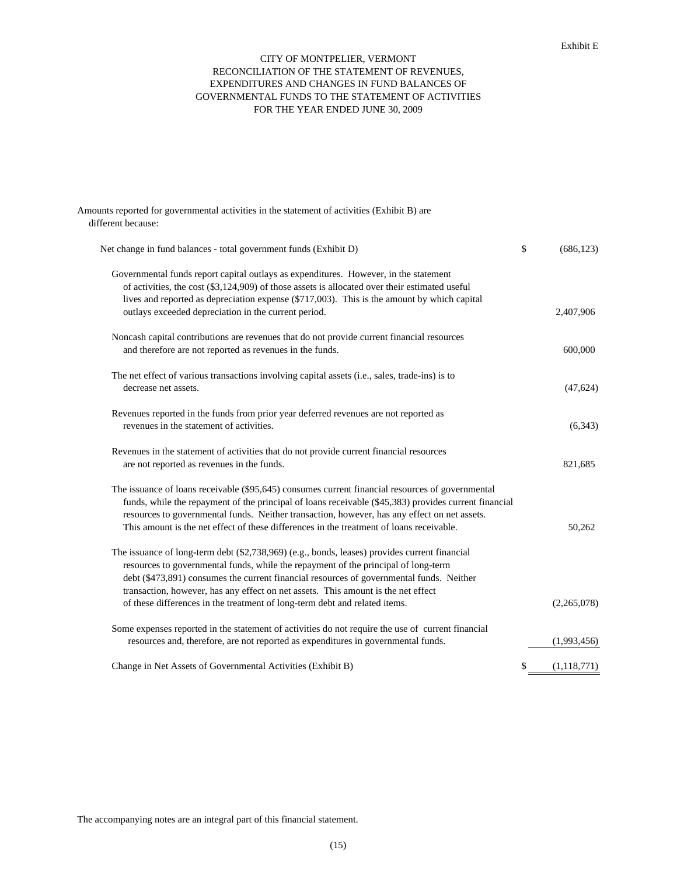#### FOR THE YEAR ENDED JUNE 30, 2009 CITY OF MONTPELIER, VERMONT RECONCILIATION OF THE STATEMENT OF REVENUES, EXPENDITURES AND CHANGES IN FUND BALANCES OF GOVERNMENTAL FUNDS TO THE STATEMENT OF ACTIVITIES

| Amounts reported for governmental activities in the statement of activities (Exhibit B) are<br>different because:                                                                                                                                                                                                                                                                                     |                     |
|-------------------------------------------------------------------------------------------------------------------------------------------------------------------------------------------------------------------------------------------------------------------------------------------------------------------------------------------------------------------------------------------------------|---------------------|
| Net change in fund balances - total government funds (Exhibit D)                                                                                                                                                                                                                                                                                                                                      | \$<br>(686, 123)    |
| Governmental funds report capital outlays as expenditures. However, in the statement<br>of activities, the cost (\$3,124,909) of those assets is allocated over their estimated useful                                                                                                                                                                                                                |                     |
| lives and reported as depreciation expense (\$717,003). This is the amount by which capital<br>outlays exceeded depreciation in the current period.                                                                                                                                                                                                                                                   | 2,407,906           |
| Noncash capital contributions are revenues that do not provide current financial resources<br>and therefore are not reported as revenues in the funds.                                                                                                                                                                                                                                                | 600,000             |
| The net effect of various transactions involving capital assets (i.e., sales, trade-ins) is to<br>decrease net assets.                                                                                                                                                                                                                                                                                | (47, 624)           |
| Revenues reported in the funds from prior year deferred revenues are not reported as<br>revenues in the statement of activities.                                                                                                                                                                                                                                                                      | (6,343)             |
| Revenues in the statement of activities that do not provide current financial resources<br>are not reported as revenues in the funds.                                                                                                                                                                                                                                                                 | 821,685             |
| The issuance of loans receivable (\$95,645) consumes current financial resources of governmental<br>funds, while the repayment of the principal of loans receivable (\$45,383) provides current financial<br>resources to governmental funds. Neither transaction, however, has any effect on net assets.<br>This amount is the net effect of these differences in the treatment of loans receivable. | 50,262              |
| The issuance of long-term debt (\$2,738,969) (e.g., bonds, leases) provides current financial<br>resources to governmental funds, while the repayment of the principal of long-term<br>debt (\$473,891) consumes the current financial resources of governmental funds. Neither                                                                                                                       |                     |
| transaction, however, has any effect on net assets. This amount is the net effect<br>of these differences in the treatment of long-term debt and related items.                                                                                                                                                                                                                                       | (2,265,078)         |
| Some expenses reported in the statement of activities do not require the use of current financial<br>resources and, therefore, are not reported as expenditures in governmental funds.                                                                                                                                                                                                                | (1,993,456)         |
| Change in Net Assets of Governmental Activities (Exhibit B)                                                                                                                                                                                                                                                                                                                                           | \$<br>(1, 118, 771) |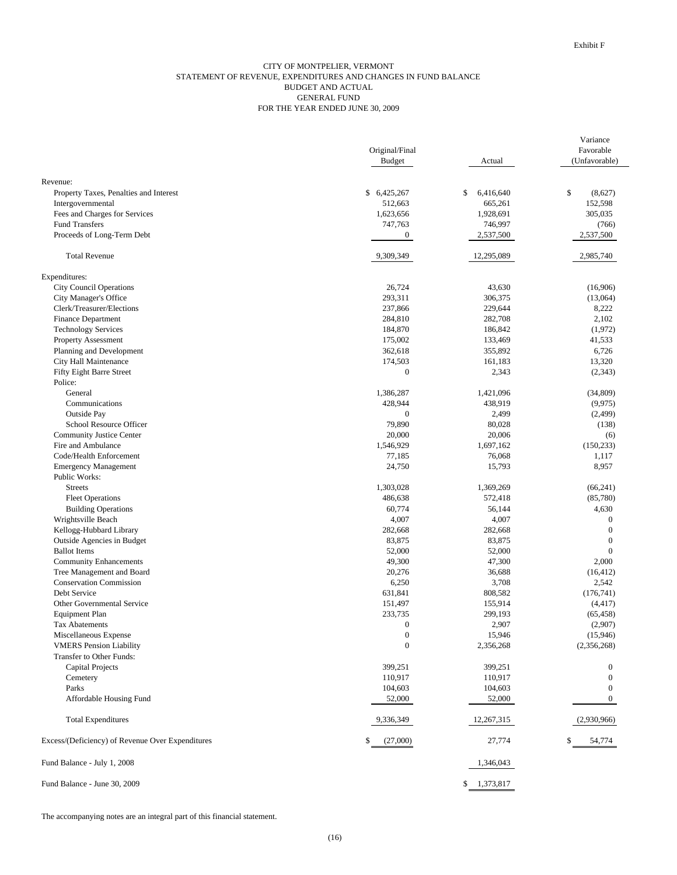#### CITY OF MONTPELIER, VERMONT STATEMENT OF REVENUE, EXPENDITURES AND CHANGES IN FUND BALANCE BUDGET AND ACTUAL GENERAL FUND FOR THE YEAR ENDED JUNE 30, 2009

|                                                  |                  |                 | Variance         |
|--------------------------------------------------|------------------|-----------------|------------------|
|                                                  | Original/Final   |                 | Favorable        |
|                                                  | Budget           | Actual          | (Unfavorable)    |
|                                                  |                  |                 |                  |
| Revenue:                                         |                  |                 |                  |
| Property Taxes, Penalties and Interest           | \$6,425,267      | \$<br>6,416,640 | \$<br>(8,627)    |
| Intergovernmental                                | 512,663          | 665,261         | 152,598          |
| Fees and Charges for Services                    | 1,623,656        | 1,928,691       | 305,035          |
| <b>Fund Transfers</b>                            | 747,763          | 746,997         | (766)            |
| Proceeds of Long-Term Debt                       | $\boldsymbol{0}$ | 2,537,500       | 2,537,500        |
| <b>Total Revenue</b>                             | 9,309,349        | 12,295,089      | 2,985,740        |
| Expenditures:                                    |                  |                 |                  |
| City Council Operations                          | 26,724           | 43,630          | (16,906)         |
| City Manager's Office                            | 293,311          | 306,375         | (13,064)         |
| Clerk/Treasurer/Elections                        | 237,866          | 229,644         | 8,222            |
| Finance Department                               | 284,810          | 282,708         | 2,102            |
| <b>Technology Services</b>                       | 184,870          | 186,842         | (1,972)          |
| <b>Property Assessment</b>                       | 175,002          | 133,469         | 41,533           |
| Planning and Development                         | 362,618          | 355,892         | 6,726            |
| City Hall Maintenance                            | 174,503          | 161,183         | 13,320           |
| Fifty Eight Barre Street                         | $\boldsymbol{0}$ | 2,343           | (2, 343)         |
| Police:                                          |                  |                 |                  |
| General                                          | 1,386,287        | 1,421,096       | (34, 809)        |
| Communications                                   | 428,944          | 438,919         | (9, 975)         |
| Outside Pay                                      | $\boldsymbol{0}$ | 2,499           | (2,499)          |
| School Resource Officer                          | 79,890           | 80,028          | (138)            |
| <b>Community Justice Center</b>                  | 20,000           | 20,006          | (6)              |
| Fire and Ambulance                               | 1,546,929        | 1,697,162       | (150, 233)       |
| Code/Health Enforcement                          | 77,185           | 76,068          | 1,117            |
|                                                  |                  | 15,793          |                  |
| <b>Emergency Management</b>                      | 24,750           |                 | 8,957            |
| Public Works:                                    |                  |                 |                  |
| <b>Streets</b>                                   | 1,303,028        | 1,369,269       | (66, 241)        |
| <b>Fleet Operations</b>                          | 486,638          | 572,418         | (85,780)         |
| <b>Building Operations</b>                       | 60,774           | 56,144          | 4,630            |
| Wrightsville Beach                               | 4,007            | 4,007           | $\theta$         |
| Kellogg-Hubbard Library                          | 282,668          | 282,668         | $\theta$         |
| Outside Agencies in Budget                       | 83,875           | 83,875          | $\mathbf{0}$     |
| <b>Ballot</b> Items                              | 52,000           | 52,000          | $\overline{0}$   |
| <b>Community Enhancements</b>                    | 49,300           | 47,300          | 2,000            |
| Tree Management and Board                        | 20,276           | 36,688          | (16, 412)        |
| <b>Conservation Commission</b>                   | 6,250            | 3,708           | 2,542            |
| Debt Service                                     | 631,841          | 808,582         | (176, 741)       |
| Other Governmental Service                       | 151,497          | 155,914         | (4, 417)         |
| <b>Equipment Plan</b>                            | 233,735          | 299,193         | (65, 458)        |
| Tax Abatements                                   | $\mathbf{0}$     | 2,907           | (2,907)          |
| Miscellaneous Expense                            | $\boldsymbol{0}$ | 15,946          | (15,946)         |
| <b>VMERS Pension Liability</b>                   | $\boldsymbol{0}$ | 2,356,268       | (2,356,268)      |
| Transfer to Other Funds:                         |                  |                 |                  |
| Capital Projects                                 | 399,251          | 399,251         | $\mathbf{0}$     |
| Cemetery                                         | 110,917          | 110,917         | $\mathbf{0}$     |
| Parks                                            | 104,603          | 104,603         | $\mathbf{0}$     |
| Affordable Housing Fund                          | 52,000           | 52,000          | $\boldsymbol{0}$ |
| <b>Total Expenditures</b>                        | 9,336,349        | 12,267,315      | (2,930,966)      |
| Excess/(Deficiency) of Revenue Over Expenditures | (27,000)<br>\$   | 27,774          | \$<br>54,774     |
| Fund Balance - July 1, 2008                      |                  | 1,346,043       |                  |
| Fund Balance - June 30, 2009                     |                  | 1,373,817<br>\$ |                  |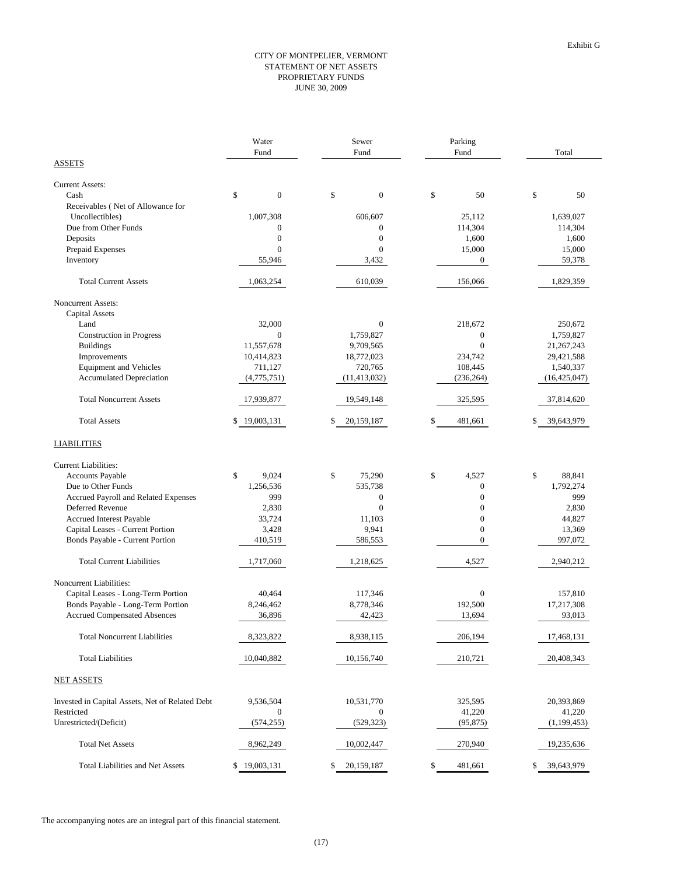#### CITY OF MONTPELIER, VERMONT STATEMENT OF NET ASSETS PROPRIETARY FUNDS JUNE 30, 2009

|                                                 | Water                            | Sewer                   | Parking          |                |  |  |
|-------------------------------------------------|----------------------------------|-------------------------|------------------|----------------|--|--|
| <b>ASSETS</b>                                   | Fund                             | Fund                    | Fund             | Total          |  |  |
|                                                 |                                  |                         |                  |                |  |  |
| <b>Current Assets:</b>                          |                                  | $\overline{0}$          | 50               | 50             |  |  |
| Cash                                            | \$<br>$\boldsymbol{0}$           | \$                      | \$               | \$             |  |  |
| Receivables (Net of Allowance for               |                                  |                         |                  |                |  |  |
| Uncollectibles)                                 | 1,007,308                        | 606,607<br>$\mathbf{0}$ | 25,112           | 1,639,027      |  |  |
| Due from Other Funds                            | $\boldsymbol{0}$<br>$\mathbf{0}$ | $\overline{0}$          | 114,304          | 114,304        |  |  |
| Deposits                                        | $\theta$                         |                         | 1,600            | 1,600          |  |  |
| Prepaid Expenses                                |                                  | $\Omega$                | 15,000           | 15,000         |  |  |
| Inventory                                       | 55,946                           | 3,432                   | $\boldsymbol{0}$ | 59,378         |  |  |
| <b>Total Current Assets</b>                     | 1,063,254                        | 610,039                 | 156,066          | 1,829,359      |  |  |
| Noncurrent Assets:                              |                                  |                         |                  |                |  |  |
| <b>Capital Assets</b>                           |                                  |                         |                  |                |  |  |
| Land                                            | 32,000                           | $\boldsymbol{0}$        | 218,672          | 250,672        |  |  |
| <b>Construction</b> in Progress                 | $\mathbf{0}$                     | 1,759,827               | $\boldsymbol{0}$ | 1,759,827      |  |  |
| <b>Buildings</b>                                | 11,557,678                       | 9,709,565               | $\overline{0}$   | 21, 267, 243   |  |  |
| Improvements                                    | 10,414,823                       | 18,772,023              | 234,742          | 29,421,588     |  |  |
| <b>Equipment and Vehicles</b>                   | 711,127                          | 720,765                 | 108,445          | 1,540,337      |  |  |
| <b>Accumulated Depreciation</b>                 | (4,775,751)                      | (11, 413, 032)          | (236, 264)       | (16, 425, 047) |  |  |
| <b>Total Noncurrent Assets</b>                  | 17,939,877                       | 19,549,148              | 325,595          | 37,814,620     |  |  |
| <b>Total Assets</b>                             | \$<br>19,003,131                 | \$<br>20,159,187        | \$<br>481,661    | 39,643,979     |  |  |
| <b>LIABILITIES</b>                              |                                  |                         |                  |                |  |  |
| <b>Current Liabilities:</b>                     |                                  |                         |                  |                |  |  |
| Accounts Payable                                | \$<br>9,024                      | \$<br>75,290            | \$<br>4,527      | \$<br>88,841   |  |  |
| Due to Other Funds                              | 1,256,536                        | 535,738                 | $\mathbf{0}$     | 1,792,274      |  |  |
| Accrued Payroll and Related Expenses            | 999                              | $\overline{0}$          | $\overline{0}$   | 999            |  |  |
| Deferred Revenue                                | 2,830                            | $\overline{0}$          | $\theta$         | 2,830          |  |  |
| Accrued Interest Payable                        | 33,724                           | 11,103                  | $\overline{0}$   | 44,827         |  |  |
| Capital Leases - Current Portion                | 3,428                            | 9,941                   | $\overline{0}$   | 13,369         |  |  |
| Bonds Payable - Current Portion                 | 410,519                          | 586,553                 | $\overline{0}$   | 997,072        |  |  |
| <b>Total Current Liabilities</b>                | 1,717,060                        | 1,218,625               | 4,527            | 2,940,212      |  |  |
| Noncurrent Liabilities:                         |                                  |                         |                  |                |  |  |
| Capital Leases - Long-Term Portion              | 40,464                           | 117,346                 | $\boldsymbol{0}$ | 157,810        |  |  |
| Bonds Payable - Long-Term Portion               | 8,246,462                        | 8,778,346               | 192,500          | 17,217,308     |  |  |
| <b>Accrued Compensated Absences</b>             | 36,896                           | 42,423                  | 13,694           | 93,013         |  |  |
| <b>Total Noncurrent Liabilities</b>             | 8,323,822                        | 8,938,115               | 206,194          | 17,468,131     |  |  |
| <b>Total Liabilities</b>                        | 10,040,882                       | 10,156,740              | 210,721          | 20,408,343     |  |  |
| <b>NET ASSETS</b>                               |                                  |                         |                  |                |  |  |
| Invested in Capital Assets, Net of Related Debt | 9,536,504                        | 10,531,770              | 325,595          | 20,393,869     |  |  |
| Restricted                                      | $\mathbf{0}$                     | 0                       | 41,220           | 41,220         |  |  |
| Unrestricted/(Deficit)                          | (574, 255)                       | (529, 323)              | (95, 875)        | (1, 199, 453)  |  |  |
| <b>Total Net Assets</b>                         | 8,962,249                        | 10,002,447              | 270,940          | 19,235,636     |  |  |
| Total Liabilities and Net Assets                | \$19,003,131                     | \$<br>20,159,187        | \$<br>481,661    | \$ 39,643,979  |  |  |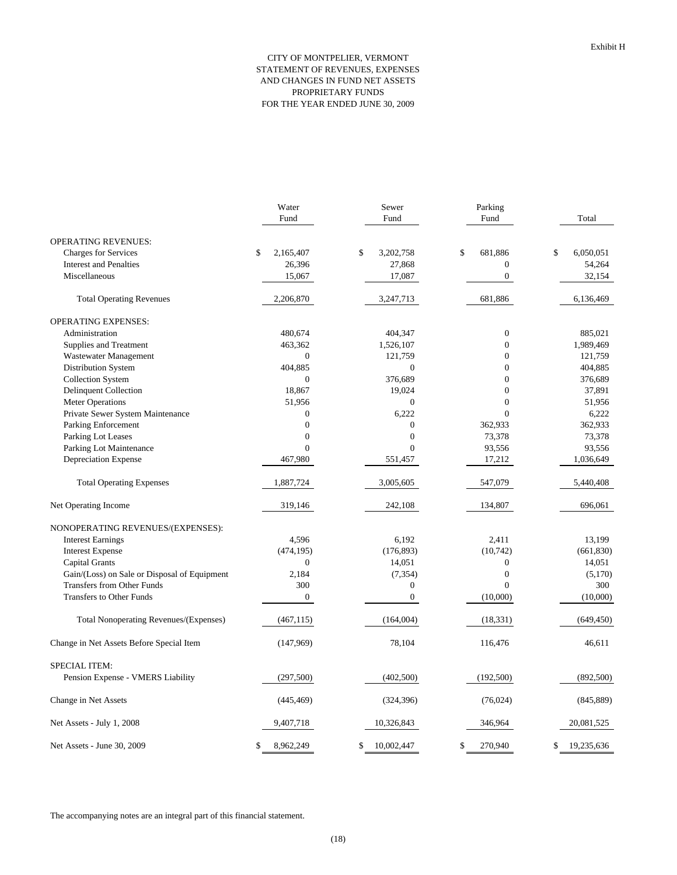#### CITY OF MONTPELIER, VERMONT STATEMENT OF REVENUES, EXPENSES AND CHANGES IN FUND NET ASSETS PROPRIETARY FUNDS FOR THE YEAR ENDED JUNE 30, 2009

|                                              | Water            | Sewer            | Parking          |                  |
|----------------------------------------------|------------------|------------------|------------------|------------------|
|                                              | Fund             | Fund             | Fund             | Total            |
| <b>OPERATING REVENUES:</b>                   |                  |                  |                  |                  |
| <b>Charges for Services</b>                  | \$<br>2,165,407  | \$<br>3,202,758  | \$<br>681,886    | \$<br>6,050,051  |
| <b>Interest and Penalties</b>                | 26,396           | 27,868           | $\boldsymbol{0}$ | 54,264           |
| Miscellaneous                                | 15,067           | 17,087           | $\boldsymbol{0}$ | 32,154           |
| <b>Total Operating Revenues</b>              | 2,206,870        | 3,247,713        | 681,886          | 6,136,469        |
| <b>OPERATING EXPENSES:</b>                   |                  |                  |                  |                  |
| Administration                               | 480,674          | 404,347          | $\boldsymbol{0}$ | 885,021          |
| Supplies and Treatment                       | 463,362          | 1,526,107        | $\overline{0}$   | 1,989,469        |
| Wastewater Management                        | $\boldsymbol{0}$ | 121,759          | $\overline{0}$   | 121,759          |
| Distribution System                          | 404,885          | $\boldsymbol{0}$ | $\overline{0}$   | 404,885          |
| <b>Collection System</b>                     | $\boldsymbol{0}$ | 376,689          | $\boldsymbol{0}$ | 376,689          |
| Delinquent Collection                        | 18,867           | 19,024           | $\boldsymbol{0}$ | 37,891           |
| <b>Meter Operations</b>                      | 51,956           | $\overline{0}$   | $\overline{0}$   | 51,956           |
| Private Sewer System Maintenance             | $\boldsymbol{0}$ | 6,222            | $\overline{0}$   | 6,222            |
| Parking Enforcement                          | $\overline{0}$   | $\overline{0}$   | 362,933          | 362,933          |
| Parking Lot Leases                           | $\boldsymbol{0}$ | $\overline{0}$   | 73,378           | 73,378           |
| Parking Lot Maintenance                      | $\theta$         | $\Omega$         | 93,556           | 93,556           |
| Depreciation Expense                         | 467,980          | 551,457          | 17,212           | 1,036,649        |
| <b>Total Operating Expenses</b>              | 1,887,724        | 3,005,605        | 547,079          | 5,440,408        |
| Net Operating Income                         | 319,146          | 242,108          | 134,807          | 696,061          |
| NONOPERATING REVENUES/(EXPENSES):            |                  |                  |                  |                  |
| <b>Interest Earnings</b>                     | 4,596            | 6,192            | 2,411            | 13,199           |
| <b>Interest Expense</b>                      | (474, 195)       | (176, 893)       | (10,742)         | (661, 830)       |
| <b>Capital Grants</b>                        | $\mathbf{0}$     | 14,051           | $\boldsymbol{0}$ | 14,051           |
| Gain/(Loss) on Sale or Disposal of Equipment | 2,184            | (7, 354)         | $\boldsymbol{0}$ | (5,170)          |
| Transfers from Other Funds                   | 300              | $\boldsymbol{0}$ | $\overline{0}$   | 300              |
| <b>Transfers to Other Funds</b>              | $\boldsymbol{0}$ | $\boldsymbol{0}$ | (10,000)         | (10,000)         |
|                                              |                  |                  |                  |                  |
| Total Nonoperating Revenues/(Expenses)       | (467, 115)       | (164,004)        | (18, 331)        | (649, 450)       |
| Change in Net Assets Before Special Item     | (147,969)        | 78,104           | 116,476          | 46,611           |
| <b>SPECIAL ITEM:</b>                         |                  |                  |                  |                  |
| Pension Expense - VMERS Liability            | (297, 500)       | (402, 500)       | (192, 500)       | (892, 500)       |
| Change in Net Assets                         | (445, 469)       | (324, 396)       | (76, 024)        | (845, 889)       |
| Net Assets - July 1, 2008                    | 9,407,718        | 10,326,843       | 346,964          | 20,081,525       |
| Net Assets - June 30, 2009                   | \$<br>8,962,249  | \$<br>10,002,447 | \$<br>270,940    | \$<br>19,235,636 |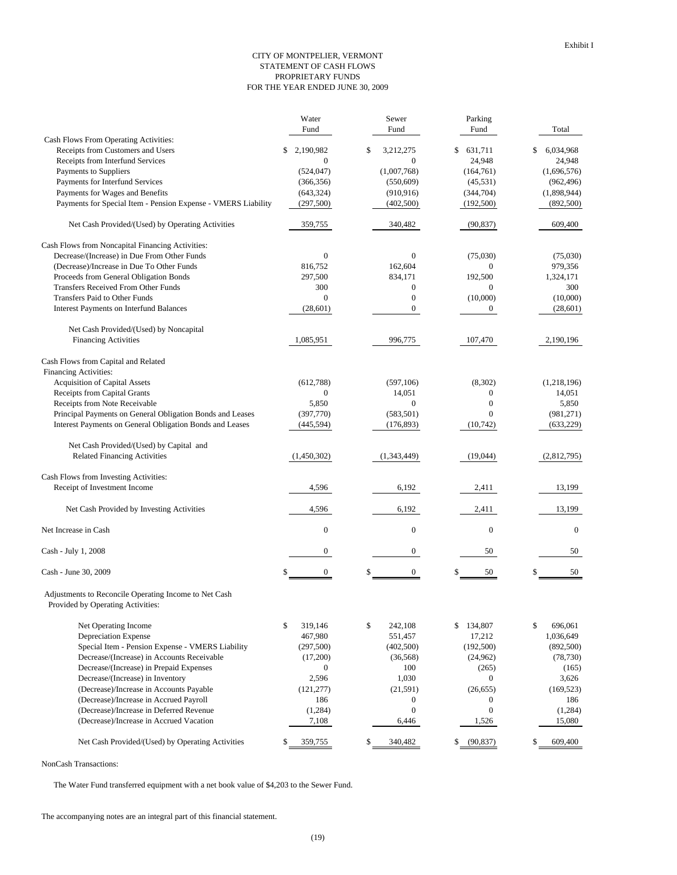#### CITY OF MONTPELIER, VERMONT STATEMENT OF CASH FLOWS PROPRIETARY FUNDS FOR THE YEAR ENDED JUNE 30, 2009

|                                                                                            | Water<br>Fund                   | Sewer<br>Fund                       | Parking<br>Fund             | Total                     |
|--------------------------------------------------------------------------------------------|---------------------------------|-------------------------------------|-----------------------------|---------------------------|
| Cash Flows From Operating Activities:<br>Receipts from Customers and Users                 |                                 |                                     |                             |                           |
| Receipts from Interfund Services                                                           | \$<br>2,190,982<br>$\mathbf{0}$ | \$<br>3,212,275<br>$\boldsymbol{0}$ | \$<br>631,711<br>24,948     | \$<br>6,034,968<br>24,948 |
| Payments to Suppliers                                                                      | (524, 047)                      | (1,007,768)                         | (164, 761)                  | (1,696,576)               |
| Payments for Interfund Services                                                            | (366, 356)                      | (550, 609)                          | (45, 531)                   | (962, 496)                |
| Payments for Wages and Benefits                                                            | (643, 324)                      | (910, 916)                          | (344, 704)                  | (1,898,944)               |
| Payments for Special Item - Pension Expense - VMERS Liability                              | (297,500)                       | (402,500)                           | (192, 500)                  | (892, 500)                |
| Net Cash Provided/(Used) by Operating Activities                                           | 359,755                         | 340,482                             | (90, 837)                   | 609,400                   |
| Cash Flows from Noncapital Financing Activities:                                           |                                 |                                     |                             |                           |
| Decrease/(Increase) in Due From Other Funds                                                | $\boldsymbol{0}$                | $\mathbf{0}$                        | (75,030)                    | (75,030)                  |
| (Decrease)/Increase in Due To Other Funds                                                  | 816,752                         | 162,604                             | $\boldsymbol{0}$            | 979,356                   |
| Proceeds from General Obligation Bonds                                                     | 297,500                         | 834,171                             | 192,500                     | 1,324,171                 |
| <b>Transfers Received From Other Funds</b>                                                 | 300                             | $\boldsymbol{0}$                    | $\mathbf{0}$                | 300                       |
| Transfers Paid to Other Funds                                                              | $\boldsymbol{0}$                | $\boldsymbol{0}$                    | (10,000)                    | (10,000)                  |
| <b>Interest Payments on Interfund Balances</b>                                             | (28, 601)                       | $\boldsymbol{0}$                    | 0                           | (28, 601)                 |
| Net Cash Provided/(Used) by Noncapital                                                     |                                 |                                     |                             |                           |
| <b>Financing Activities</b>                                                                | 1,085,951                       | 996,775                             | 107,470                     | 2,190,196                 |
| Cash Flows from Capital and Related                                                        |                                 |                                     |                             |                           |
| Financing Activities:                                                                      | (612,788)                       |                                     |                             |                           |
| <b>Acquisition of Capital Assets</b><br>Receipts from Capital Grants                       | $\mathbf{0}$                    | (597, 106)<br>14,051                | (8,302)<br>$\boldsymbol{0}$ | (1,218,196)<br>14,051     |
| Receipts from Note Receivable                                                              | 5,850                           | $\mathbf{0}$                        | $\mathbf{0}$                | 5,850                     |
| Principal Payments on General Obligation Bonds and Leases                                  | (397,770)                       | (583, 501)                          | $\Omega$                    | (981, 271)                |
| Interest Payments on General Obligation Bonds and Leases                                   | (445, 594)                      | (176, 893)                          | (10,742)                    | (633, 229)                |
| Net Cash Provided/(Used) by Capital and                                                    |                                 |                                     |                             |                           |
| <b>Related Financing Activities</b>                                                        | (1,450,302)                     | (1,343,449)                         | (19,044)                    | (2,812,795)               |
| Cash Flows from Investing Activities:                                                      |                                 |                                     |                             |                           |
| Receipt of Investment Income                                                               | 4,596                           | 6,192                               | 2,411                       | 13,199                    |
| Net Cash Provided by Investing Activities                                                  | 4,596                           | 6,192                               | 2,411                       | 13,199                    |
| Net Increase in Cash                                                                       | $\boldsymbol{0}$                | $\boldsymbol{0}$                    | $\boldsymbol{0}$            | $\boldsymbol{0}$          |
| Cash - July 1, 2008                                                                        | $\boldsymbol{0}$                | $\boldsymbol{0}$                    | 50                          | 50                        |
| Cash - June 30, 2009                                                                       | \$<br>$\overline{0}$            | \$<br>$\boldsymbol{0}$              | \$<br>50                    | \$<br>50                  |
| Adjustments to Reconcile Operating Income to Net Cash<br>Provided by Operating Activities: |                                 |                                     |                             |                           |
| Net Operating Income                                                                       | \$<br>319,146                   | \$<br>242,108                       | \$134,807                   | \$<br>696,061             |
| Depreciation Expense                                                                       | 467,980                         | 551,457                             | 17,212                      | 1,036,649                 |
| Special Item - Pension Expense - VMERS Liability                                           | (297,500)                       | (402, 500)                          | (192, 500)                  | (892, 500)                |
| Decrease/(Increase) in Accounts Receivable                                                 | (17,200)                        | (36, 568)                           | (24, 962)                   | (78, 730)                 |
| Decrease/(Increase) in Prepaid Expenses                                                    | $\boldsymbol{0}$                | 100                                 | (265)                       | (165)                     |
| Decrease/(Increase) in Inventory                                                           | 2,596                           | 1,030                               | $\overline{0}$              | 3,626                     |
| (Decrease)/Increase in Accounts Payable                                                    | (121, 277)                      | (21,591)                            | (26, 655)                   | (169, 523)                |
| (Decrease)/Increase in Accrued Payroll                                                     | 186                             | $\boldsymbol{0}$                    | 0                           | 186                       |
| (Decrease)/Increase in Deferred Revenue<br>(Decrease)/Increase in Accrued Vacation         | (1,284)                         | $\boldsymbol{0}$                    | $\boldsymbol{0}$            | (1,284)                   |
|                                                                                            | 7,108                           | 6,446                               | 1,526                       | 15,080                    |
| Net Cash Provided/(Used) by Operating Activities                                           | 359,755<br>\$                   | 340,482<br>\$                       | (90, 837)<br>\$             | \$<br>609,400             |

NonCash Transactions:

The Water Fund transferred equipment with a net book value of \$4,203 to the Sewer Fund.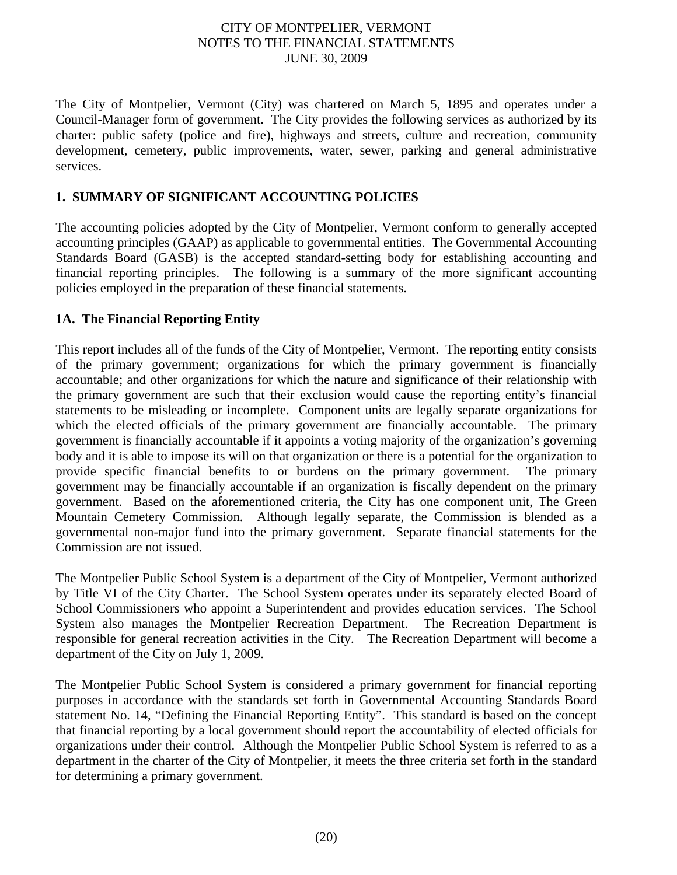The City of Montpelier, Vermont (City) was chartered on March 5, 1895 and operates under a Council-Manager form of government. The City provides the following services as authorized by its charter: public safety (police and fire), highways and streets, culture and recreation, community development, cemetery, public improvements, water, sewer, parking and general administrative services.

## **1. SUMMARY OF SIGNIFICANT ACCOUNTING POLICIES**

The accounting policies adopted by the City of Montpelier, Vermont conform to generally accepted accounting principles (GAAP) as applicable to governmental entities. The Governmental Accounting Standards Board (GASB) is the accepted standard-setting body for establishing accounting and financial reporting principles. The following is a summary of the more significant accounting policies employed in the preparation of these financial statements.

### **1A. The Financial Reporting Entity**

This report includes all of the funds of the City of Montpelier, Vermont. The reporting entity consists of the primary government; organizations for which the primary government is financially accountable; and other organizations for which the nature and significance of their relationship with the primary government are such that their exclusion would cause the reporting entity's financial statements to be misleading or incomplete. Component units are legally separate organizations for which the elected officials of the primary government are financially accountable. The primary government is financially accountable if it appoints a voting majority of the organization's governing body and it is able to impose its will on that organization or there is a potential for the organization to provide specific financial benefits to or burdens on the primary government. The primary government may be financially accountable if an organization is fiscally dependent on the primary government. Based on the aforementioned criteria, the City has one component unit, The Green Mountain Cemetery Commission. Although legally separate, the Commission is blended as a governmental non-major fund into the primary government. Separate financial statements for the Commission are not issued.

The Montpelier Public School System is a department of the City of Montpelier, Vermont authorized by Title VI of the City Charter. The School System operates under its separately elected Board of School Commissioners who appoint a Superintendent and provides education services. The School System also manages the Montpelier Recreation Department. The Recreation Department is responsible for general recreation activities in the City. The Recreation Department will become a department of the City on July 1, 2009.

The Montpelier Public School System is considered a primary government for financial reporting purposes in accordance with the standards set forth in Governmental Accounting Standards Board statement No. 14, "Defining the Financial Reporting Entity". This standard is based on the concept that financial reporting by a local government should report the accountability of elected officials for organizations under their control. Although the Montpelier Public School System is referred to as a department in the charter of the City of Montpelier, it meets the three criteria set forth in the standard for determining a primary government.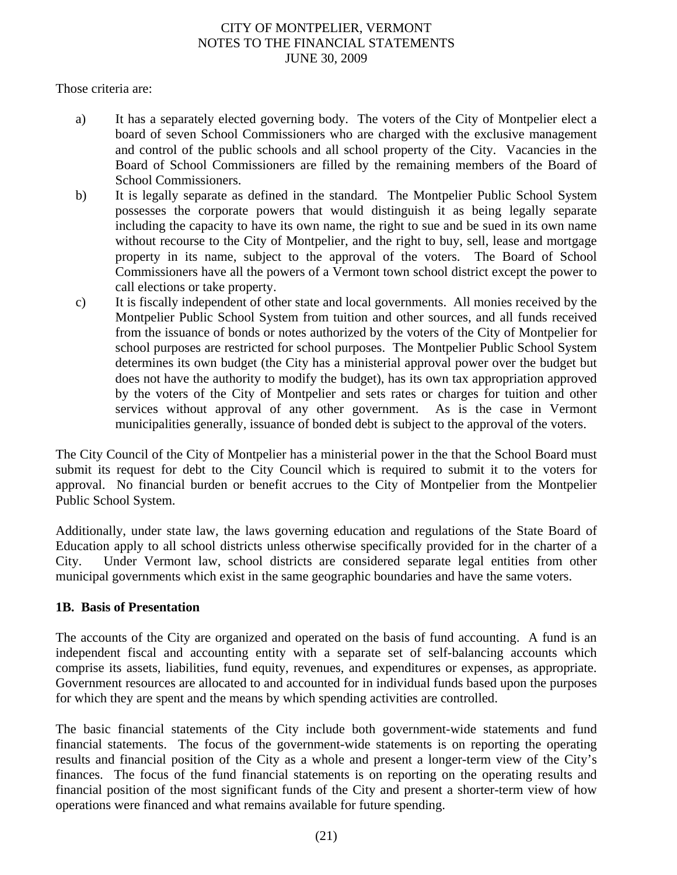Those criteria are:

- a) It has a separately elected governing body. The voters of the City of Montpelier elect a board of seven School Commissioners who are charged with the exclusive management and control of the public schools and all school property of the City. Vacancies in the Board of School Commissioners are filled by the remaining members of the Board of School Commissioners.
- b) It is legally separate as defined in the standard. The Montpelier Public School System possesses the corporate powers that would distinguish it as being legally separate including the capacity to have its own name, the right to sue and be sued in its own name without recourse to the City of Montpelier, and the right to buy, sell, lease and mortgage property in its name, subject to the approval of the voters. The Board of School Commissioners have all the powers of a Vermont town school district except the power to call elections or take property.
- c) It is fiscally independent of other state and local governments. All monies received by the Montpelier Public School System from tuition and other sources, and all funds received from the issuance of bonds or notes authorized by the voters of the City of Montpelier for school purposes are restricted for school purposes. The Montpelier Public School System determines its own budget (the City has a ministerial approval power over the budget but does not have the authority to modify the budget), has its own tax appropriation approved by the voters of the City of Montpelier and sets rates or charges for tuition and other services without approval of any other government. As is the case in Vermont municipalities generally, issuance of bonded debt is subject to the approval of the voters.

The City Council of the City of Montpelier has a ministerial power in the that the School Board must submit its request for debt to the City Council which is required to submit it to the voters for approval. No financial burden or benefit accrues to the City of Montpelier from the Montpelier Public School System.

Additionally, under state law, the laws governing education and regulations of the State Board of Education apply to all school districts unless otherwise specifically provided for in the charter of a City. Under Vermont law, school districts are considered separate legal entities from other municipal governments which exist in the same geographic boundaries and have the same voters.

#### **1B. Basis of Presentation**

The accounts of the City are organized and operated on the basis of fund accounting. A fund is an independent fiscal and accounting entity with a separate set of self-balancing accounts which comprise its assets, liabilities, fund equity, revenues, and expenditures or expenses, as appropriate. Government resources are allocated to and accounted for in individual funds based upon the purposes for which they are spent and the means by which spending activities are controlled.

The basic financial statements of the City include both government-wide statements and fund financial statements. The focus of the government-wide statements is on reporting the operating results and financial position of the City as a whole and present a longer-term view of the City's finances. The focus of the fund financial statements is on reporting on the operating results and financial position of the most significant funds of the City and present a shorter-term view of how operations were financed and what remains available for future spending.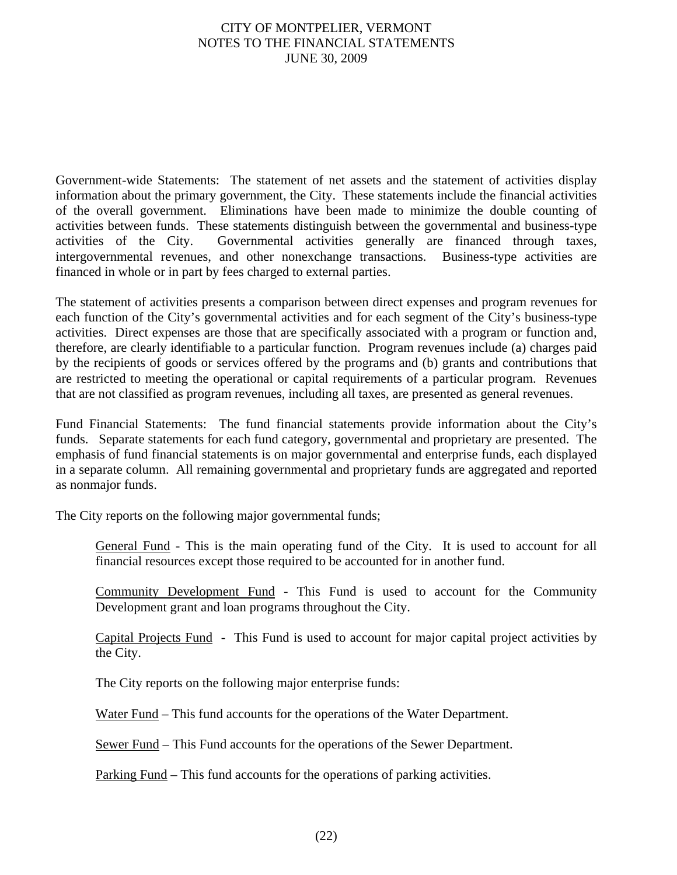Government-wide Statements: The statement of net assets and the statement of activities display information about the primary government, the City. These statements include the financial activities of the overall government. Eliminations have been made to minimize the double counting of activities between funds. These statements distinguish between the governmental and business-type activities of the City. Governmental activities generally are financed through taxes, intergovernmental revenues, and other nonexchange transactions. Business-type activities are financed in whole or in part by fees charged to external parties.

The statement of activities presents a comparison between direct expenses and program revenues for each function of the City's governmental activities and for each segment of the City's business-type activities. Direct expenses are those that are specifically associated with a program or function and, therefore, are clearly identifiable to a particular function. Program revenues include (a) charges paid by the recipients of goods or services offered by the programs and (b) grants and contributions that are restricted to meeting the operational or capital requirements of a particular program. Revenues that are not classified as program revenues, including all taxes, are presented as general revenues.

Fund Financial Statements: The fund financial statements provide information about the City's funds. Separate statements for each fund category, governmental and proprietary are presented. The emphasis of fund financial statements is on major governmental and enterprise funds, each displayed in a separate column. All remaining governmental and proprietary funds are aggregated and reported as nonmajor funds.

The City reports on the following major governmental funds;

General Fund - This is the main operating fund of the City. It is used to account for all financial resources except those required to be accounted for in another fund.

Community Development Fund - This Fund is used to account for the Community Development grant and loan programs throughout the City.

Capital Projects Fund - This Fund is used to account for major capital project activities by the City.

The City reports on the following major enterprise funds:

Water Fund – This fund accounts for the operations of the Water Department.

Sewer Fund – This Fund accounts for the operations of the Sewer Department.

Parking Fund – This fund accounts for the operations of parking activities.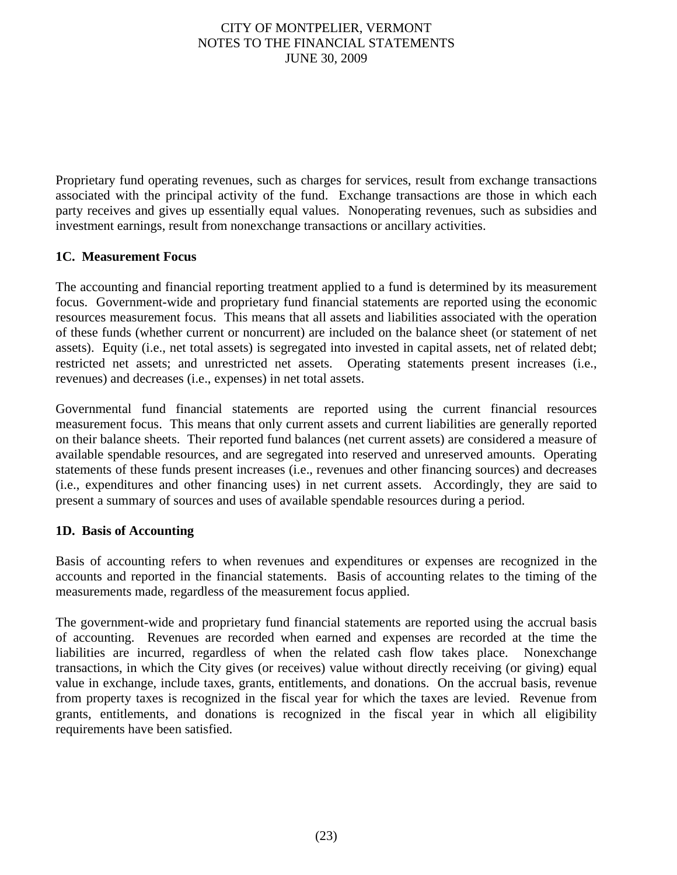Proprietary fund operating revenues, such as charges for services, result from exchange transactions associated with the principal activity of the fund. Exchange transactions are those in which each party receives and gives up essentially equal values. Nonoperating revenues, such as subsidies and investment earnings, result from nonexchange transactions or ancillary activities.

### **1C. Measurement Focus**

The accounting and financial reporting treatment applied to a fund is determined by its measurement focus. Government-wide and proprietary fund financial statements are reported using the economic resources measurement focus. This means that all assets and liabilities associated with the operation of these funds (whether current or noncurrent) are included on the balance sheet (or statement of net assets). Equity (i.e., net total assets) is segregated into invested in capital assets, net of related debt; restricted net assets; and unrestricted net assets. Operating statements present increases (i.e., revenues) and decreases (i.e., expenses) in net total assets.

Governmental fund financial statements are reported using the current financial resources measurement focus. This means that only current assets and current liabilities are generally reported on their balance sheets. Their reported fund balances (net current assets) are considered a measure of available spendable resources, and are segregated into reserved and unreserved amounts. Operating statements of these funds present increases (i.e., revenues and other financing sources) and decreases (i.e., expenditures and other financing uses) in net current assets. Accordingly, they are said to present a summary of sources and uses of available spendable resources during a period.

#### **1D. Basis of Accounting**

Basis of accounting refers to when revenues and expenditures or expenses are recognized in the accounts and reported in the financial statements. Basis of accounting relates to the timing of the measurements made, regardless of the measurement focus applied.

The government-wide and proprietary fund financial statements are reported using the accrual basis of accounting. Revenues are recorded when earned and expenses are recorded at the time the liabilities are incurred, regardless of when the related cash flow takes place. Nonexchange transactions, in which the City gives (or receives) value without directly receiving (or giving) equal value in exchange, include taxes, grants, entitlements, and donations. On the accrual basis, revenue from property taxes is recognized in the fiscal year for which the taxes are levied. Revenue from grants, entitlements, and donations is recognized in the fiscal year in which all eligibility requirements have been satisfied.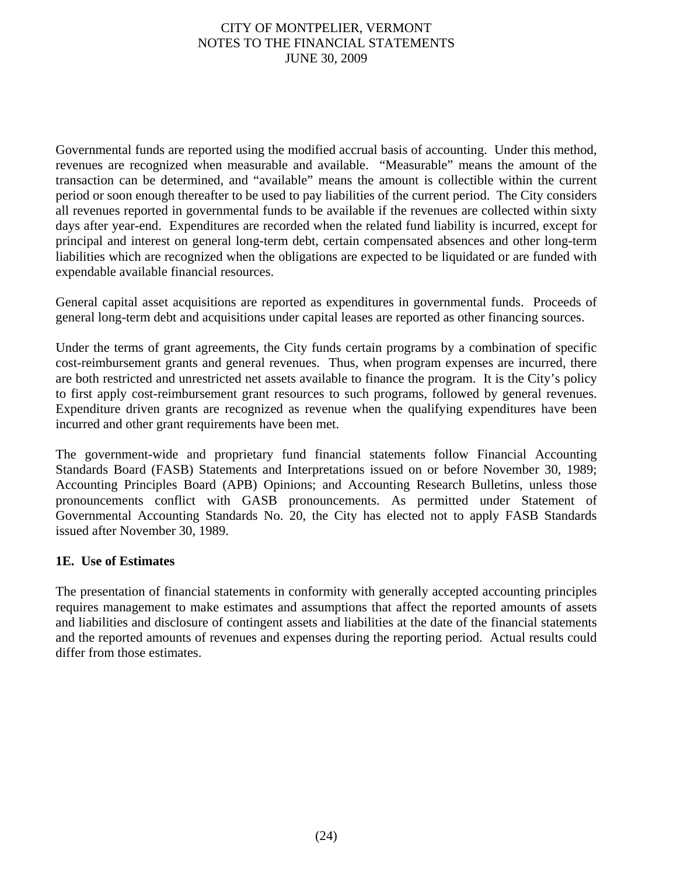Governmental funds are reported using the modified accrual basis of accounting. Under this method, revenues are recognized when measurable and available. "Measurable" means the amount of the transaction can be determined, and "available" means the amount is collectible within the current period or soon enough thereafter to be used to pay liabilities of the current period. The City considers all revenues reported in governmental funds to be available if the revenues are collected within sixty days after year-end. Expenditures are recorded when the related fund liability is incurred, except for principal and interest on general long-term debt, certain compensated absences and other long-term liabilities which are recognized when the obligations are expected to be liquidated or are funded with expendable available financial resources.

General capital asset acquisitions are reported as expenditures in governmental funds. Proceeds of general long-term debt and acquisitions under capital leases are reported as other financing sources.

Under the terms of grant agreements, the City funds certain programs by a combination of specific cost-reimbursement grants and general revenues. Thus, when program expenses are incurred, there are both restricted and unrestricted net assets available to finance the program. It is the City's policy to first apply cost-reimbursement grant resources to such programs, followed by general revenues. Expenditure driven grants are recognized as revenue when the qualifying expenditures have been incurred and other grant requirements have been met.

The government-wide and proprietary fund financial statements follow Financial Accounting Standards Board (FASB) Statements and Interpretations issued on or before November 30, 1989; Accounting Principles Board (APB) Opinions; and Accounting Research Bulletins, unless those pronouncements conflict with GASB pronouncements. As permitted under Statement of Governmental Accounting Standards No. 20, the City has elected not to apply FASB Standards issued after November 30, 1989.

#### **1E. Use of Estimates**

The presentation of financial statements in conformity with generally accepted accounting principles requires management to make estimates and assumptions that affect the reported amounts of assets and liabilities and disclosure of contingent assets and liabilities at the date of the financial statements and the reported amounts of revenues and expenses during the reporting period. Actual results could differ from those estimates.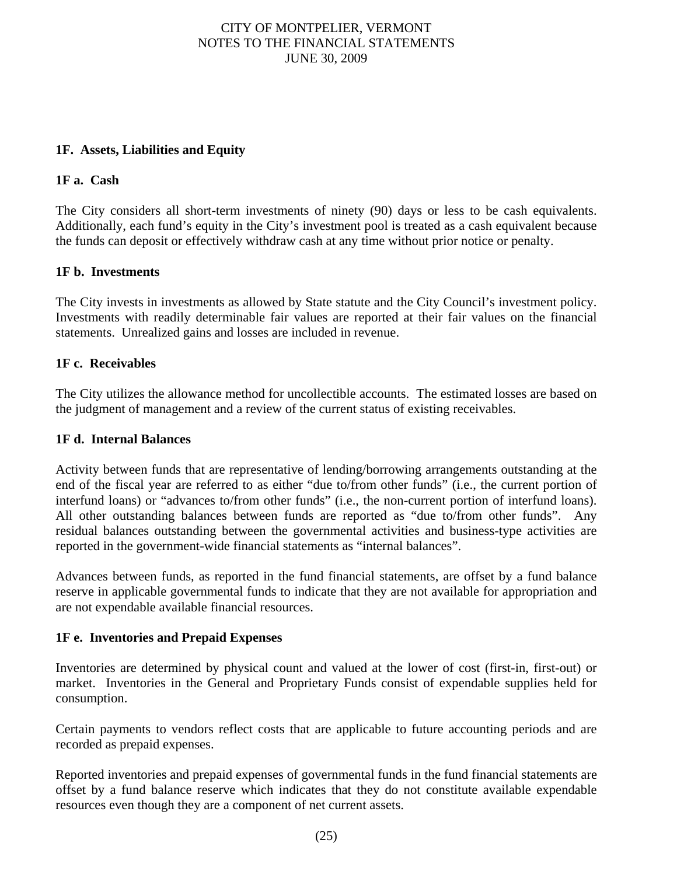## **1F. Assets, Liabilities and Equity**

### **1F a. Cash**

The City considers all short-term investments of ninety (90) days or less to be cash equivalents. Additionally, each fund's equity in the City's investment pool is treated as a cash equivalent because the funds can deposit or effectively withdraw cash at any time without prior notice or penalty.

### **1F b. Investments**

The City invests in investments as allowed by State statute and the City Council's investment policy. Investments with readily determinable fair values are reported at their fair values on the financial statements. Unrealized gains and losses are included in revenue.

### **1F c. Receivables**

The City utilizes the allowance method for uncollectible accounts. The estimated losses are based on the judgment of management and a review of the current status of existing receivables.

#### **1F d. Internal Balances**

Activity between funds that are representative of lending/borrowing arrangements outstanding at the end of the fiscal year are referred to as either "due to/from other funds" (i.e., the current portion of interfund loans) or "advances to/from other funds" (i.e., the non-current portion of interfund loans). All other outstanding balances between funds are reported as "due to/from other funds". Any residual balances outstanding between the governmental activities and business-type activities are reported in the government-wide financial statements as "internal balances".

Advances between funds, as reported in the fund financial statements, are offset by a fund balance reserve in applicable governmental funds to indicate that they are not available for appropriation and are not expendable available financial resources.

## **1F e. Inventories and Prepaid Expenses**

Inventories are determined by physical count and valued at the lower of cost (first-in, first-out) or market. Inventories in the General and Proprietary Funds consist of expendable supplies held for consumption.

Certain payments to vendors reflect costs that are applicable to future accounting periods and are recorded as prepaid expenses.

Reported inventories and prepaid expenses of governmental funds in the fund financial statements are offset by a fund balance reserve which indicates that they do not constitute available expendable resources even though they are a component of net current assets.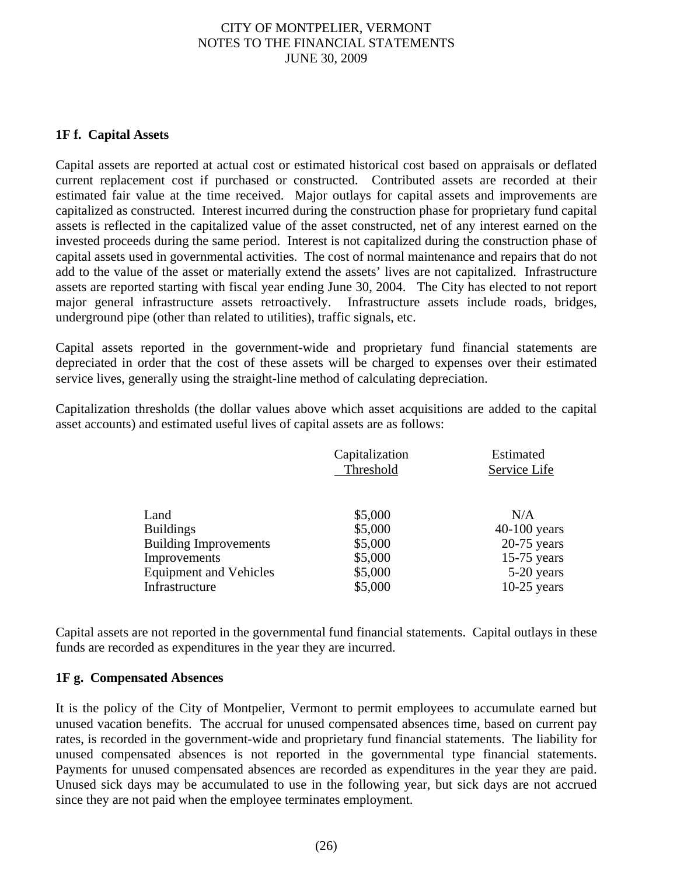#### **1F f. Capital Assets**

Capital assets are reported at actual cost or estimated historical cost based on appraisals or deflated current replacement cost if purchased or constructed. Contributed assets are recorded at their estimated fair value at the time received. Major outlays for capital assets and improvements are capitalized as constructed. Interest incurred during the construction phase for proprietary fund capital assets is reflected in the capitalized value of the asset constructed, net of any interest earned on the invested proceeds during the same period. Interest is not capitalized during the construction phase of capital assets used in governmental activities. The cost of normal maintenance and repairs that do not add to the value of the asset or materially extend the assets' lives are not capitalized. Infrastructure assets are reported starting with fiscal year ending June 30, 2004. The City has elected to not report major general infrastructure assets retroactively. Infrastructure assets include roads, bridges, underground pipe (other than related to utilities), traffic signals, etc.

Capital assets reported in the government-wide and proprietary fund financial statements are depreciated in order that the cost of these assets will be charged to expenses over their estimated service lives, generally using the straight-line method of calculating depreciation.

Capitalization thresholds (the dollar values above which asset acquisitions are added to the capital asset accounts) and estimated useful lives of capital assets are as follows:

|                               | Capitalization | Estimated      |
|-------------------------------|----------------|----------------|
|                               | Threshold      | Service Life   |
|                               |                |                |
| Land                          | \$5,000        | N/A            |
| <b>Buildings</b>              | \$5,000        | $40-100$ years |
| <b>Building Improvements</b>  | \$5,000        | $20-75$ years  |
| Improvements                  | \$5,000        | $15-75$ years  |
| <b>Equipment and Vehicles</b> | \$5,000        | 5-20 years     |
| Infrastructure                | \$5,000        | $10-25$ years  |
|                               |                |                |

Capital assets are not reported in the governmental fund financial statements. Capital outlays in these funds are recorded as expenditures in the year they are incurred.

#### **1F g. Compensated Absences**

It is the policy of the City of Montpelier, Vermont to permit employees to accumulate earned but unused vacation benefits. The accrual for unused compensated absences time, based on current pay rates, is recorded in the government-wide and proprietary fund financial statements. The liability for unused compensated absences is not reported in the governmental type financial statements. Payments for unused compensated absences are recorded as expenditures in the year they are paid. Unused sick days may be accumulated to use in the following year, but sick days are not accrued since they are not paid when the employee terminates employment.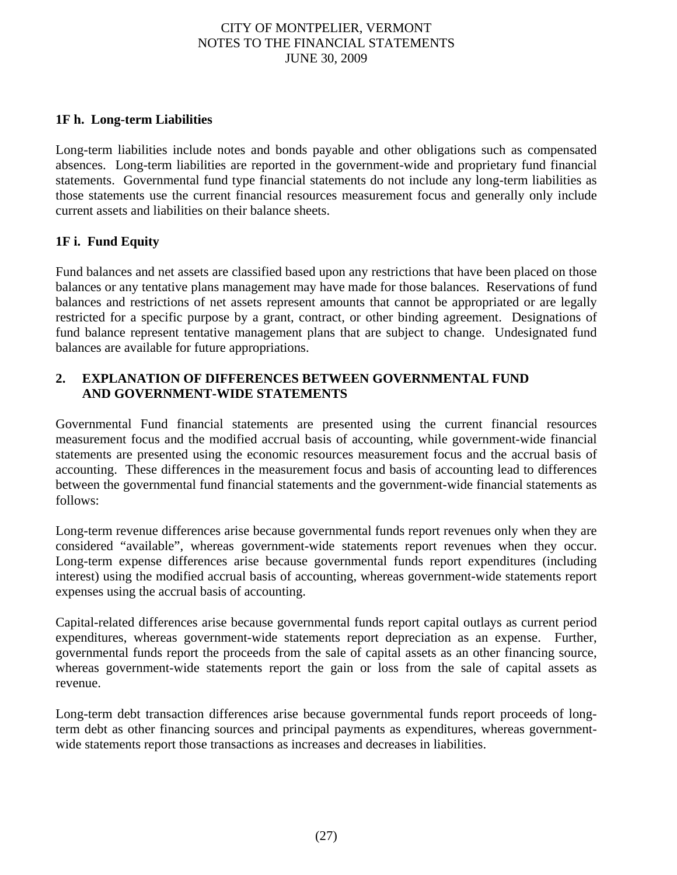## **1F h. Long-term Liabilities**

Long-term liabilities include notes and bonds payable and other obligations such as compensated absences. Long-term liabilities are reported in the government-wide and proprietary fund financial statements. Governmental fund type financial statements do not include any long-term liabilities as those statements use the current financial resources measurement focus and generally only include current assets and liabilities on their balance sheets.

## **1F i. Fund Equity**

Fund balances and net assets are classified based upon any restrictions that have been placed on those balances or any tentative plans management may have made for those balances. Reservations of fund balances and restrictions of net assets represent amounts that cannot be appropriated or are legally restricted for a specific purpose by a grant, contract, or other binding agreement. Designations of fund balance represent tentative management plans that are subject to change. Undesignated fund balances are available for future appropriations.

### **2. EXPLANATION OF DIFFERENCES BETWEEN GOVERNMENTAL FUND AND GOVERNMENT-WIDE STATEMENTS**

Governmental Fund financial statements are presented using the current financial resources measurement focus and the modified accrual basis of accounting, while government-wide financial statements are presented using the economic resources measurement focus and the accrual basis of accounting. These differences in the measurement focus and basis of accounting lead to differences between the governmental fund financial statements and the government-wide financial statements as follows:

Long-term revenue differences arise because governmental funds report revenues only when they are considered "available", whereas government-wide statements report revenues when they occur. Long-term expense differences arise because governmental funds report expenditures (including interest) using the modified accrual basis of accounting, whereas government-wide statements report expenses using the accrual basis of accounting.

Capital-related differences arise because governmental funds report capital outlays as current period expenditures, whereas government-wide statements report depreciation as an expense. Further, governmental funds report the proceeds from the sale of capital assets as an other financing source, whereas government-wide statements report the gain or loss from the sale of capital assets as revenue.

Long-term debt transaction differences arise because governmental funds report proceeds of longterm debt as other financing sources and principal payments as expenditures, whereas governmentwide statements report those transactions as increases and decreases in liabilities.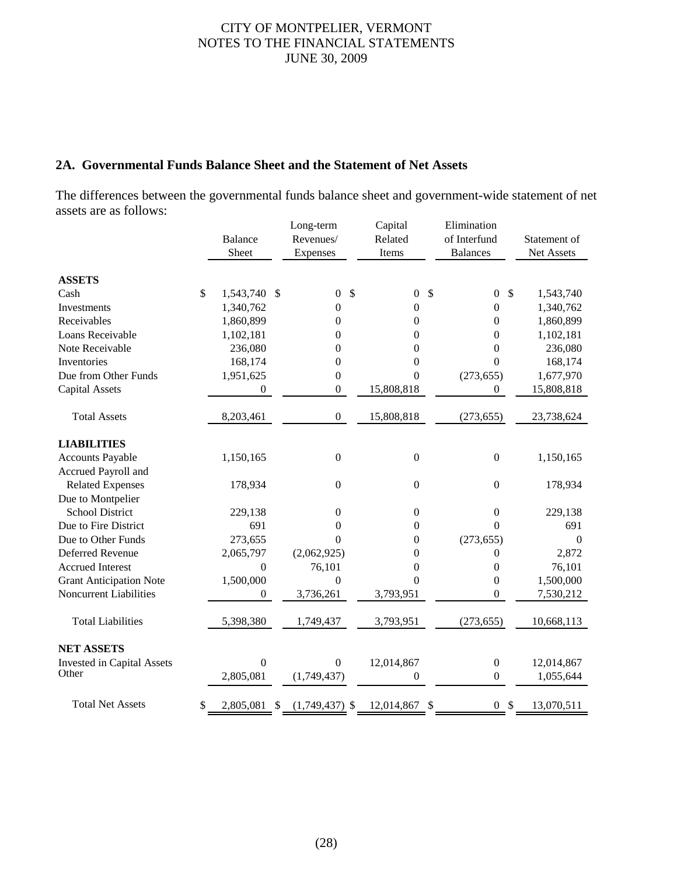## **2A. Governmental Funds Balance Sheet and the Statement of Net Assets**

The differences between the governmental funds balance sheet and government-wide statement of net assets are as follows:

|                                |                    | Long-term          |               | Capital          |               | Elimination                     |                  |
|--------------------------------|--------------------|--------------------|---------------|------------------|---------------|---------------------------------|------------------|
|                                | <b>Balance</b>     | Revenues/          |               | Related          |               | of Interfund                    | Statement of     |
|                                | Sheet              | Expenses           |               | Items            |               | <b>Balances</b>                 | Net Assets       |
| <b>ASSETS</b>                  |                    |                    |               |                  |               |                                 |                  |
| Cash                           | \$<br>1,543,740    | \$<br>$\mathbf{0}$ | $\mathcal{S}$ | $\boldsymbol{0}$ | $\mathcal{S}$ | $\overline{0}$<br>$\mathcal{S}$ | 1,543,740        |
| Investments                    | 1,340,762          | $\boldsymbol{0}$   |               | $\boldsymbol{0}$ |               | $\mathbf{0}$                    | 1,340,762        |
| Receivables                    | 1,860,899          | $\boldsymbol{0}$   |               | $\boldsymbol{0}$ |               | $\boldsymbol{0}$                | 1,860,899        |
| Loans Receivable               | 1,102,181          | $\Omega$           |               | $\boldsymbol{0}$ |               | $\mathbf{0}$                    | 1,102,181        |
| Note Receivable                | 236,080            | $\mathbf{0}$       |               | $\theta$         |               | $\mathbf{0}$                    | 236,080          |
| Inventories                    | 168,174            | $\boldsymbol{0}$   |               | $\theta$         |               | $\overline{0}$                  | 168,174          |
| Due from Other Funds           | 1,951,625          | $\boldsymbol{0}$   |               | $\theta$         |               | (273, 655)                      | 1,677,970        |
| <b>Capital Assets</b>          | $\Omega$           | $\boldsymbol{0}$   |               | 15,808,818       |               | $\overline{0}$                  | 15,808,818       |
| <b>Total Assets</b>            | 8,203,461          | $\boldsymbol{0}$   |               | 15,808,818       |               | (273, 655)                      | 23,738,624       |
| <b>LIABILITIES</b>             |                    |                    |               |                  |               |                                 |                  |
| <b>Accounts Payable</b>        | 1,150,165          | $\mathbf{0}$       |               | $\boldsymbol{0}$ |               | $\boldsymbol{0}$                | 1,150,165        |
| Accrued Payroll and            |                    |                    |               |                  |               |                                 |                  |
| <b>Related Expenses</b>        | 178,934            | $\boldsymbol{0}$   |               | $\boldsymbol{0}$ |               | $\boldsymbol{0}$                | 178,934          |
| Due to Montpelier              |                    |                    |               |                  |               |                                 |                  |
| <b>School District</b>         | 229,138            | $\boldsymbol{0}$   |               | $\boldsymbol{0}$ |               | $\boldsymbol{0}$                | 229,138          |
| Due to Fire District           | 691                | $\overline{0}$     |               | $\boldsymbol{0}$ |               | $\Omega$                        | 691              |
| Due to Other Funds             | 273,655            | $\theta$           |               | $\boldsymbol{0}$ |               | (273, 655)                      | $\boldsymbol{0}$ |
| Deferred Revenue               | 2,065,797          | (2,062,925)        |               | $\mathbf{0}$     |               | $\boldsymbol{0}$                | 2,872            |
| <b>Accrued Interest</b>        | $\boldsymbol{0}$   | 76,101             |               | $\boldsymbol{0}$ |               | $\mathbf{0}$                    | 76,101           |
| <b>Grant Anticipation Note</b> | 1,500,000          | $\boldsymbol{0}$   |               | $\theta$         |               | $\mathbf{0}$                    | 1,500,000        |
| Noncurrent Liabilities         | $\mathbf{0}$       | 3,736,261          |               | 3,793,951        |               | $\boldsymbol{0}$                | 7,530,212        |
| <b>Total Liabilities</b>       | 5,398,380          | 1,749,437          |               | 3,793,951        |               | (273, 655)                      | 10,668,113       |
| <b>NET ASSETS</b>              |                    |                    |               |                  |               |                                 |                  |
| Invested in Capital Assets     | $\boldsymbol{0}$   | $\boldsymbol{0}$   |               | 12,014,867       |               | $\boldsymbol{0}$                | 12,014,867       |
| Other                          | 2,805,081          | (1,749,437)        |               | $\Omega$         |               | $\mathbf{0}$                    | 1,055,644        |
| <b>Total Net Assets</b>        | \$<br>2,805,081 \$ | $(1,749,437)$ \$   |               | 12,014,867       | S             | $\boldsymbol{0}$<br>\$          | 13,070,511       |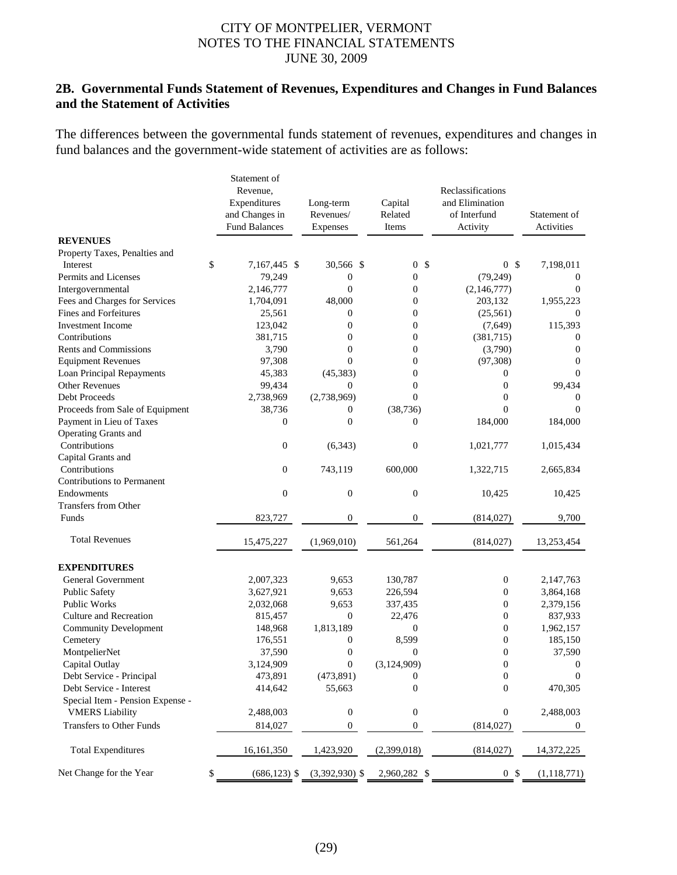## **2B. Governmental Funds Statement of Revenues, Expenditures and Changes in Fund Balances and the Statement of Activities**

The differences between the governmental funds statement of revenues, expenditures and changes in fund balances and the government-wide statement of activities are as follows:

|                                   | Statement of<br>Revenue,<br>Expenditures<br>and Changes in<br><b>Fund Balances</b> | Long-term<br>Revenues/<br>Expenses | Capital<br>Related<br>Items       | Reclassifications<br>and Elimination<br>of Interfund<br>Activity | Statement of<br>Activities |
|-----------------------------------|------------------------------------------------------------------------------------|------------------------------------|-----------------------------------|------------------------------------------------------------------|----------------------------|
| <b>REVENUES</b>                   |                                                                                    |                                    |                                   |                                                                  |                            |
| Property Taxes, Penalties and     |                                                                                    |                                    |                                   |                                                                  |                            |
| Interest                          | \$<br>7,167,445 \$                                                                 | 30,566 \$                          | $\mathcal{S}$<br>$\boldsymbol{0}$ | 0 <sup>5</sup>                                                   | 7,198,011                  |
| Permits and Licenses              | 79,249                                                                             | $\overline{0}$                     | $\boldsymbol{0}$                  | (79, 249)                                                        | $\bf{0}$                   |
| Intergovernmental                 | 2,146,777                                                                          | $\overline{0}$                     | $\overline{0}$                    | (2,146,777)                                                      | $\Omega$                   |
| Fees and Charges for Services     | 1,704,091                                                                          | 48,000                             | $\boldsymbol{0}$                  | 203,132                                                          | 1,955,223                  |
| <b>Fines and Forfeitures</b>      | 25,561                                                                             | $\boldsymbol{0}$                   | $\boldsymbol{0}$                  | (25,561)                                                         | $\Omega$                   |
| <b>Investment Income</b>          | 123,042                                                                            | $\overline{0}$                     | $\overline{0}$                    | (7,649)                                                          | 115,393                    |
| Contributions                     | 381,715                                                                            | $\overline{0}$                     | $\boldsymbol{0}$                  | (381,715)                                                        | $\overline{0}$             |
| Rents and Commissions             | 3,790                                                                              | $\overline{0}$                     | $\overline{0}$                    | (3,790)                                                          | $\overline{0}$             |
| <b>Equipment Revenues</b>         | 97,308                                                                             | $\overline{0}$                     | $\overline{0}$                    | (97, 308)                                                        | $\mathbf{0}$               |
| Loan Principal Repayments         | 45,383                                                                             | (45, 383)                          | $\boldsymbol{0}$                  | 0                                                                | $\overline{0}$             |
| <b>Other Revenues</b>             | 99,434                                                                             | $\overline{0}$                     | $\boldsymbol{0}$                  | $\overline{0}$                                                   | 99,434                     |
| <b>Debt Proceeds</b>              | 2,738,969                                                                          | (2,738,969)                        | $\overline{0}$                    | $\overline{0}$                                                   | $\boldsymbol{0}$           |
| Proceeds from Sale of Equipment   | 38,736                                                                             | 0                                  | (38, 736)                         | $\theta$                                                         | $\Omega$                   |
| Payment in Lieu of Taxes          | $\mathbf{0}$                                                                       | $\overline{0}$                     | $\overline{0}$                    | 184,000                                                          | 184,000                    |
| Operating Grants and              |                                                                                    |                                    |                                   |                                                                  |                            |
| Contributions                     | $\boldsymbol{0}$                                                                   | (6, 343)                           | $\boldsymbol{0}$                  | 1,021,777                                                        | 1,015,434                  |
| Capital Grants and                |                                                                                    |                                    |                                   |                                                                  |                            |
| Contributions                     | $\boldsymbol{0}$                                                                   | 743,119                            | 600,000                           | 1,322,715                                                        | 2,665,834                  |
| <b>Contributions to Permanent</b> |                                                                                    |                                    |                                   |                                                                  |                            |
| Endowments                        | $\boldsymbol{0}$                                                                   | $\boldsymbol{0}$                   | $\boldsymbol{0}$                  | 10,425                                                           | 10,425                     |
| <b>Transfers from Other</b>       |                                                                                    |                                    |                                   |                                                                  |                            |
| Funds                             | 823,727                                                                            | $\boldsymbol{0}$                   | $\overline{0}$                    | (814, 027)                                                       | 9,700                      |
| <b>Total Revenues</b>             | 15,475,227                                                                         | (1,969,010)                        | 561,264                           | (814, 027)                                                       | 13,253,454                 |
| <b>EXPENDITURES</b>               |                                                                                    |                                    |                                   |                                                                  |                            |
| <b>General Government</b>         | 2,007,323                                                                          | 9,653                              | 130,787                           | $\boldsymbol{0}$                                                 | 2,147,763                  |
| <b>Public Safety</b>              | 3,627,921                                                                          | 9,653                              | 226,594                           | 0                                                                | 3,864,168                  |
| <b>Public Works</b>               | 2,032,068                                                                          | 9,653                              | 337,435                           | $\boldsymbol{0}$                                                 | 2,379,156                  |
| Culture and Recreation            | 815,457                                                                            | $\overline{0}$                     | 22,476                            | $\boldsymbol{0}$                                                 | 837,933                    |
| <b>Community Development</b>      | 148,968                                                                            | 1,813,189                          | $\boldsymbol{0}$                  | $\boldsymbol{0}$                                                 | 1,962,157                  |
| Cemetery                          | 176,551                                                                            | $\boldsymbol{0}$                   | 8,599                             | $\boldsymbol{0}$                                                 | 185,150                    |
| MontpelierNet                     | 37,590                                                                             | $\boldsymbol{0}$                   | $\overline{0}$                    | $\boldsymbol{0}$                                                 | 37,590                     |
| Capital Outlay                    | 3,124,909                                                                          | $\boldsymbol{0}$                   | (3, 124, 909)                     | $\overline{0}$                                                   | $\boldsymbol{0}$           |
| Debt Service - Principal          | 473,891                                                                            | (473, 891)                         | $\boldsymbol{0}$                  | $\boldsymbol{0}$                                                 | $\boldsymbol{0}$           |
| Debt Service - Interest           | 414,642                                                                            | 55,663                             | $\overline{0}$                    | $\overline{0}$                                                   | 470,305                    |
| Special Item - Pension Expense -  |                                                                                    |                                    |                                   |                                                                  |                            |
| <b>VMERS</b> Liability            | 2,488,003                                                                          | $\boldsymbol{0}$                   | $\boldsymbol{0}$                  | $\boldsymbol{0}$                                                 | 2,488,003                  |
| <b>Transfers to Other Funds</b>   | 814,027                                                                            | $\boldsymbol{0}$                   | $\boldsymbol{0}$                  | (814, 027)                                                       | $\boldsymbol{0}$           |
| <b>Total Expenditures</b>         | 16,161,350                                                                         | 1,423,920                          | (2,399,018)                       | (814, 027)                                                       | 14,372,225                 |
| Net Change for the Year           | \$<br>$(686, 123)$ \$                                                              | $(3,392,930)$ \$                   | 2,960,282 \$                      | 0 <sup>5</sup>                                                   | (1, 118, 771)              |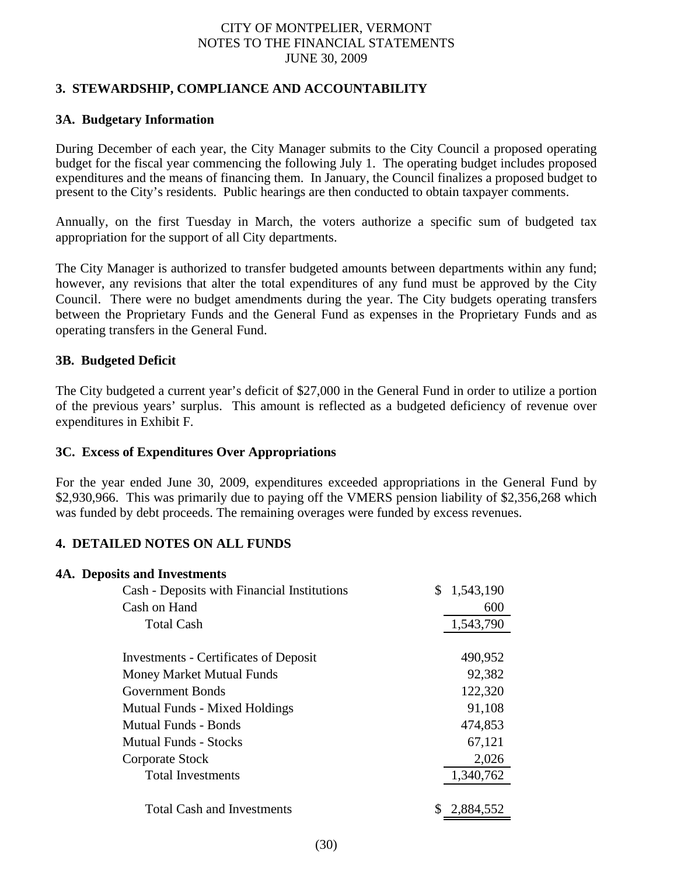## **3. STEWARDSHIP, COMPLIANCE AND ACCOUNTABILITY**

#### **3A. Budgetary Information**

During December of each year, the City Manager submits to the City Council a proposed operating budget for the fiscal year commencing the following July 1. The operating budget includes proposed expenditures and the means of financing them. In January, the Council finalizes a proposed budget to present to the City's residents. Public hearings are then conducted to obtain taxpayer comments.

Annually, on the first Tuesday in March, the voters authorize a specific sum of budgeted tax appropriation for the support of all City departments.

The City Manager is authorized to transfer budgeted amounts between departments within any fund; however, any revisions that alter the total expenditures of any fund must be approved by the City Council. There were no budget amendments during the year. The City budgets operating transfers between the Proprietary Funds and the General Fund as expenses in the Proprietary Funds and as operating transfers in the General Fund.

#### **3B. Budgeted Deficit**

The City budgeted a current year's deficit of \$27,000 in the General Fund in order to utilize a portion of the previous years' surplus. This amount is reflected as a budgeted deficiency of revenue over expenditures in Exhibit F.

#### **3C. Excess of Expenditures Over Appropriations**

For the year ended June 30, 2009, expenditures exceeded appropriations in the General Fund by \$2,930,966. This was primarily due to paying off the VMERS pension liability of \$2,356,268 which was funded by debt proceeds. The remaining overages were funded by excess revenues.

## **4. DETAILED NOTES ON ALL FUNDS**

#### **4A. Deposits and Investments**

| Cash - Deposits with Financial Institutions  | \$<br>1,543,190 |
|----------------------------------------------|-----------------|
| Cash on Hand                                 | 600             |
| <b>Total Cash</b>                            | 1,543,790       |
|                                              |                 |
| <b>Investments - Certificates of Deposit</b> | 490,952         |
| <b>Money Market Mutual Funds</b>             | 92,382          |
| <b>Government Bonds</b>                      | 122,320         |
| <b>Mutual Funds - Mixed Holdings</b>         | 91,108          |
| Mutual Funds - Bonds                         | 474,853         |
| <b>Mutual Funds - Stocks</b>                 | 67,121          |
| Corporate Stock                              | 2,026           |
| <b>Total Investments</b>                     | 1,340,762       |
|                                              |                 |
| <b>Total Cash and Investments</b>            | 2,884,552       |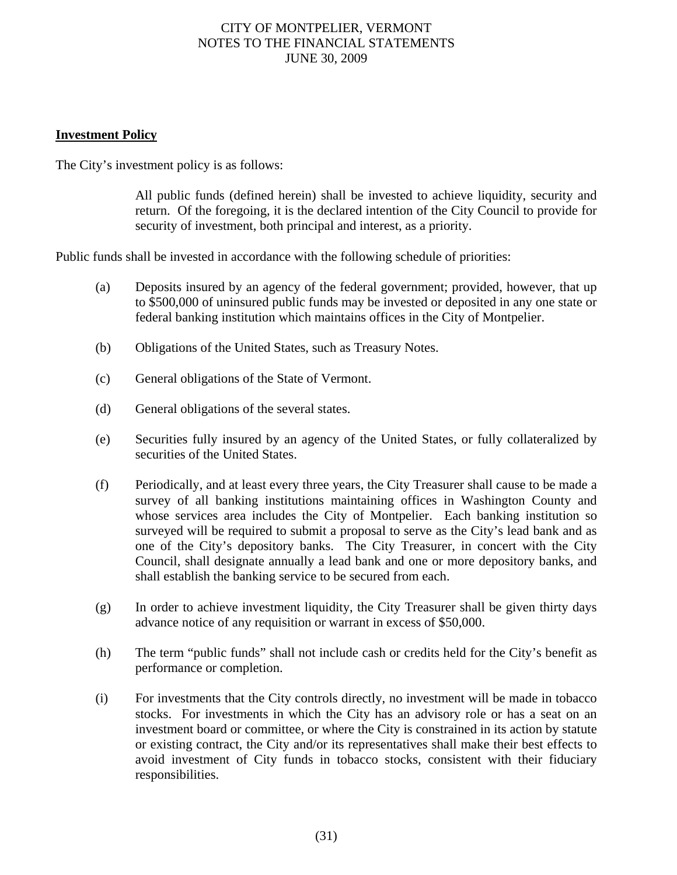#### **Investment Policy**

The City's investment policy is as follows:

All public funds (defined herein) shall be invested to achieve liquidity, security and return. Of the foregoing, it is the declared intention of the City Council to provide for security of investment, both principal and interest, as a priority.

Public funds shall be invested in accordance with the following schedule of priorities:

- (a) Deposits insured by an agency of the federal government; provided, however, that up to \$500,000 of uninsured public funds may be invested or deposited in any one state or federal banking institution which maintains offices in the City of Montpelier.
- (b) Obligations of the United States, such as Treasury Notes.
- (c) General obligations of the State of Vermont.
- (d) General obligations of the several states.
- (e) Securities fully insured by an agency of the United States, or fully collateralized by securities of the United States.
- (f) Periodically, and at least every three years, the City Treasurer shall cause to be made a survey of all banking institutions maintaining offices in Washington County and whose services area includes the City of Montpelier. Each banking institution so surveyed will be required to submit a proposal to serve as the City's lead bank and as one of the City's depository banks. The City Treasurer, in concert with the City Council, shall designate annually a lead bank and one or more depository banks, and shall establish the banking service to be secured from each.
- (g) In order to achieve investment liquidity, the City Treasurer shall be given thirty days advance notice of any requisition or warrant in excess of \$50,000.
- (h) The term "public funds" shall not include cash or credits held for the City's benefit as performance or completion.
- (i) For investments that the City controls directly, no investment will be made in tobacco stocks. For investments in which the City has an advisory role or has a seat on an investment board or committee, or where the City is constrained in its action by statute or existing contract, the City and/or its representatives shall make their best effects to avoid investment of City funds in tobacco stocks, consistent with their fiduciary responsibilities.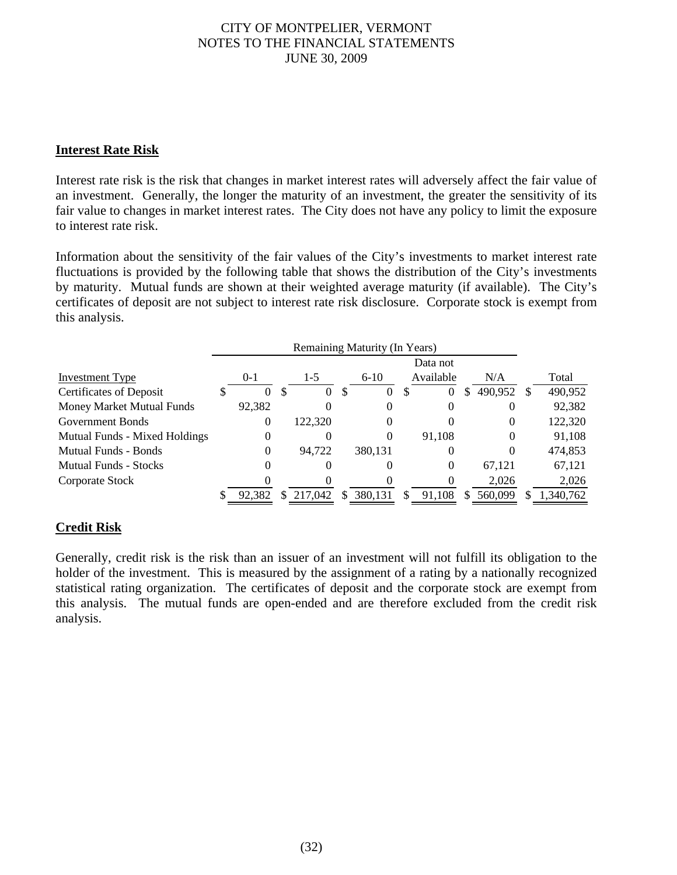#### **Interest Rate Risk**

Interest rate risk is the risk that changes in market interest rates will adversely affect the fair value of an investment. Generally, the longer the maturity of an investment, the greater the sensitivity of its fair value to changes in market interest rates. The City does not have any policy to limit the exposure to interest rate risk.

Information about the sensitivity of the fair values of the City's investments to market interest rate fluctuations is provided by the following table that shows the distribution of the City's investments by maturity. Mutual funds are shown at their weighted average maturity (if available). The City's certificates of deposit are not subject to interest rate risk disclosure. Corporate stock is exempt from this analysis.

|                                | Remaining Maturity (In Years) |          |   |          |   |          |   |              |               |   |           |
|--------------------------------|-------------------------------|----------|---|----------|---|----------|---|--------------|---------------|---|-----------|
|                                |                               |          |   |          |   |          |   | Data not     |               |   |           |
| Investment Type                |                               | $0 - 1$  |   | 1-5      |   | $6 - 10$ |   | Available    | N/A           |   | Total     |
| <b>Certificates of Deposit</b> |                               | O        | S | $\theta$ | S | U        | S | 0            | \$<br>490,952 | S | 490,952   |
| Money Market Mutual Funds      |                               | 92,382   |   | 0        |   | $\theta$ |   | $\mathbf{0}$ | 0             |   | 92,382    |
| <b>Government Bonds</b>        |                               | 0        |   | 122,320  |   | $\theta$ |   |              | $\Omega$      |   | 122,320   |
| Mutual Funds - Mixed Holdings  |                               | $\theta$ |   | 0        |   | 0        |   | 91,108       | $\Omega$      |   | 91,108    |
| <b>Mutual Funds - Bonds</b>    |                               | $\Omega$ |   | 94,722   |   | 380,131  |   |              | $\Omega$      |   | 474,853   |
| <b>Mutual Funds - Stocks</b>   |                               |          |   | 0        |   |          |   | $\theta$     | 67.121        |   | 67,121    |
| Corporate Stock                |                               |          |   |          |   |          |   |              | 2,026         |   | 2,026     |
|                                |                               | 92,382   |   | 217,042  |   | 380.131  |   | 91.108       | 560.099       | S | 1,340,762 |

## **Credit Risk**

Generally, credit risk is the risk than an issuer of an investment will not fulfill its obligation to the holder of the investment. This is measured by the assignment of a rating by a nationally recognized statistical rating organization. The certificates of deposit and the corporate stock are exempt from this analysis. The mutual funds are open-ended and are therefore excluded from the credit risk analysis.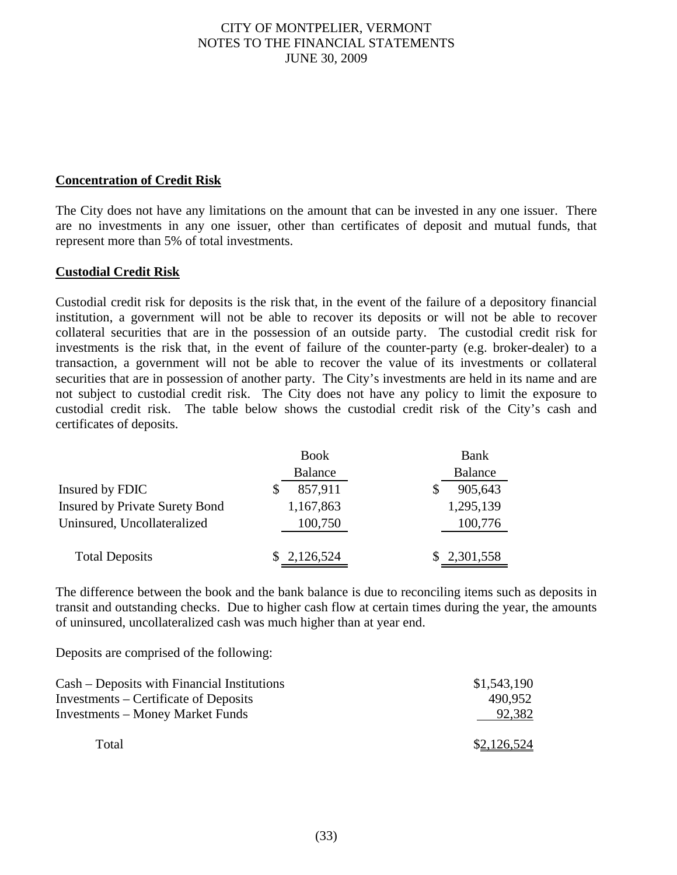#### **Concentration of Credit Risk**

The City does not have any limitations on the amount that can be invested in any one issuer. There are no investments in any one issuer, other than certificates of deposit and mutual funds, that represent more than 5% of total investments.

## **Custodial Credit Risk**

Custodial credit risk for deposits is the risk that, in the event of the failure of a depository financial institution, a government will not be able to recover its deposits or will not be able to recover collateral securities that are in the possession of an outside party. The custodial credit risk for investments is the risk that, in the event of failure of the counter-party (e.g. broker-dealer) to a transaction, a government will not be able to recover the value of its investments or collateral securities that are in possession of another party. The City's investments are held in its name and are not subject to custodial credit risk. The City does not have any policy to limit the exposure to custodial credit risk. The table below shows the custodial credit risk of the City's cash and certificates of deposits.

|                                       | <b>Book</b>    | <b>Bank</b>    |
|---------------------------------------|----------------|----------------|
|                                       | <b>Balance</b> | <b>Balance</b> |
| Insured by FDIC                       | 857,911<br>S   | 905,643<br>\$  |
| <b>Insured by Private Surety Bond</b> | 1,167,863      | 1,295,139      |
| Uninsured, Uncollateralized           | 100,750        | 100,776        |
|                                       |                |                |
| <b>Total Deposits</b>                 | \$2,126,524    | \$2,301,558    |

The difference between the book and the bank balance is due to reconciling items such as deposits in transit and outstanding checks. Due to higher cash flow at certain times during the year, the amounts of uninsured, uncollateralized cash was much higher than at year end.

Deposits are comprised of the following:

| Cash – Deposits with Financial Institutions | \$1,543,190 |
|---------------------------------------------|-------------|
| Investments – Certificate of Deposits       | 490.952     |
| <b>Investments</b> – Money Market Funds     | 92,382      |
| Total                                       | \$2,126,524 |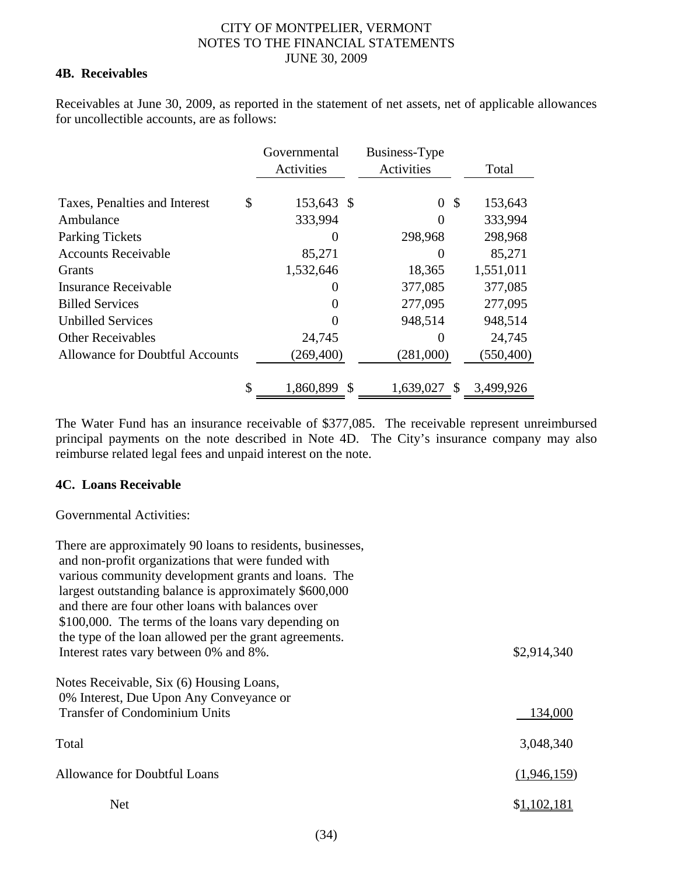#### **4B. Receivables**

Receivables at June 30, 2009, as reported in the statement of net assets, net of applicable allowances for uncollectible accounts, are as follows:

|                                        | Governmental    | Business-Type                  |            |
|----------------------------------------|-----------------|--------------------------------|------------|
|                                        | Activities      | Activities                     | Total      |
|                                        |                 |                                |            |
| \$<br>Taxes, Penalties and Interest    | 153,643<br>- \$ | $\overline{0}$<br>$\mathbb{S}$ | 153,643    |
| Ambulance                              | 333,994         | $\Omega$                       | 333,994    |
| <b>Parking Tickets</b>                 |                 | 298,968                        | 298,968    |
| <b>Accounts Receivable</b>             | 85,271          | $\theta$                       | 85,271     |
| <b>Grants</b>                          | 1,532,646       | 18,365                         | 1,551,011  |
| <b>Insurance Receivable</b>            |                 | 377,085                        | 377,085    |
| <b>Billed Services</b>                 |                 | 277,095                        | 277,095    |
| <b>Unbilled Services</b>               |                 | 948,514                        | 948,514    |
| <b>Other Receivables</b>               | 24,745          | $\theta$                       | 24,745     |
| <b>Allowance for Doubtful Accounts</b> | (269, 400)      | (281,000)                      | (550, 400) |
|                                        |                 |                                |            |
| \$                                     | 1,860,899<br>S  | 1,639,027<br>\$.               | 3,499,926  |

The Water Fund has an insurance receivable of \$377,085. The receivable represent unreimbursed principal payments on the note described in Note 4D. The City's insurance company may also reimburse related legal fees and unpaid interest on the note.

#### **4C. Loans Receivable**

Governmental Activities:

| There are approximately 90 loans to residents, businesses,                          |             |
|-------------------------------------------------------------------------------------|-------------|
| and non-profit organizations that were funded with                                  |             |
| various community development grants and loans. The                                 |             |
| largest outstanding balance is approximately \$600,000                              |             |
| and there are four other loans with balances over                                   |             |
| \$100,000. The terms of the loans vary depending on                                 |             |
| the type of the loan allowed per the grant agreements.                              |             |
| Interest rates vary between 0% and 8%.                                              | \$2,914,340 |
| Notes Receivable, Six (6) Housing Loans,<br>0% Interest, Due Upon Any Conveyance or |             |
| <b>Transfer of Condominium Units</b>                                                | 134,000     |
| Total                                                                               | 3,048,340   |
| <b>Allowance for Doubtful Loans</b>                                                 | (1,946,159) |
| <b>Net</b>                                                                          | \$1,102,181 |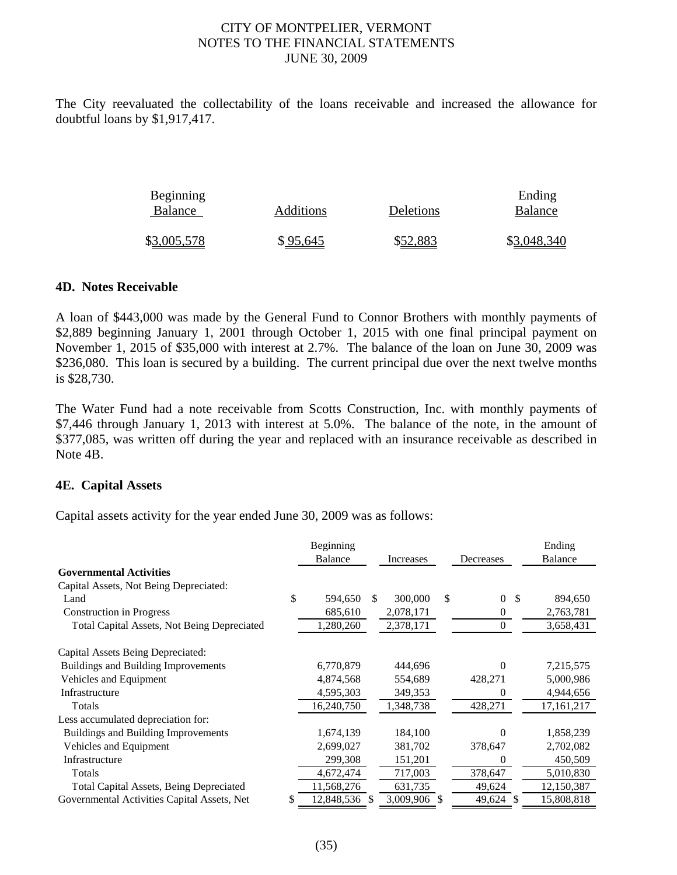The City reevaluated the collectability of the loans receivable and increased the allowance for doubtful loans by \$1,917,417.

| <b>Beginning</b> |                  |                  | Ending      |
|------------------|------------------|------------------|-------------|
| <b>Balance</b>   | <b>Additions</b> | <b>Deletions</b> | Balance     |
|                  |                  |                  |             |
| \$3,005,578      | \$95,645         | \$52,883         | \$3,048,340 |

#### **4D. Notes Receivable**

A loan of \$443,000 was made by the General Fund to Connor Brothers with monthly payments of \$2,889 beginning January 1, 2001 through October 1, 2015 with one final principal payment on November 1, 2015 of \$35,000 with interest at 2.7%. The balance of the loan on June 30, 2009 was \$236,080. This loan is secured by a building. The current principal due over the next twelve months is \$28,730.

The Water Fund had a note receivable from Scotts Construction, Inc. with monthly payments of \$7,446 through January 1, 2013 with interest at 5.0%. The balance of the note, in the amount of \$377,085, was written off during the year and replaced with an insurance receivable as described in Note 4B.

#### **4E. Capital Assets**

Capital assets activity for the year ended June 30, 2009 was as follows:

|                                             |    | Beginning      |    |           |                      | Ending         |
|---------------------------------------------|----|----------------|----|-----------|----------------------|----------------|
|                                             |    | <b>Balance</b> |    | Increases | Decreases            | <b>Balance</b> |
| <b>Governmental Activities</b>              |    |                |    |           |                      |                |
| Capital Assets, Not Being Depreciated:      |    |                |    |           |                      |                |
| Land                                        | \$ | 594,650        | \$ | 300,000   | \$<br>$\Omega$<br>-8 | 894,650        |
| <b>Construction in Progress</b>             |    | 685,610        |    | 2,078,171 | $\boldsymbol{0}$     | 2,763,781      |
| Total Capital Assets, Not Being Depreciated |    | 1,280,260      |    | 2,378,171 | $\theta$             | 3,658,431      |
| Capital Assets Being Depreciated:           |    |                |    |           |                      |                |
| Buildings and Building Improvements         |    | 6,770,879      |    | 444,696   | 0                    | 7,215,575      |
| Vehicles and Equipment                      |    | 4,874,568      |    | 554,689   | 428,271              | 5,000,986      |
| Infrastructure                              |    | 4,595,303      |    | 349,353   | 0                    | 4,944,656      |
| Totals                                      |    | 16,240,750     |    | 1,348,738 | 428,271              | 17, 161, 217   |
| Less accumulated depreciation for:          |    |                |    |           |                      |                |
| Buildings and Building Improvements         |    | 1,674,139      |    | 184,100   | $\Omega$             | 1,858,239      |
| Vehicles and Equipment                      |    | 2,699,027      |    | 381,702   | 378,647              | 2,702,082      |
| Infrastructure                              |    | 299,308        |    | 151,201   | 0                    | 450,509        |
| Totals                                      |    | 4,672,474      |    | 717,003   | 378,647              | 5,010,830      |
| Total Capital Assets, Being Depreciated     |    | 11,568,276     |    | 631,735   | 49,624               | 12,150,387     |
| Governmental Activities Capital Assets, Net | S  | 12,848,536     | S. | 3,009,906 | 49,624<br>-S         | 15,808,818     |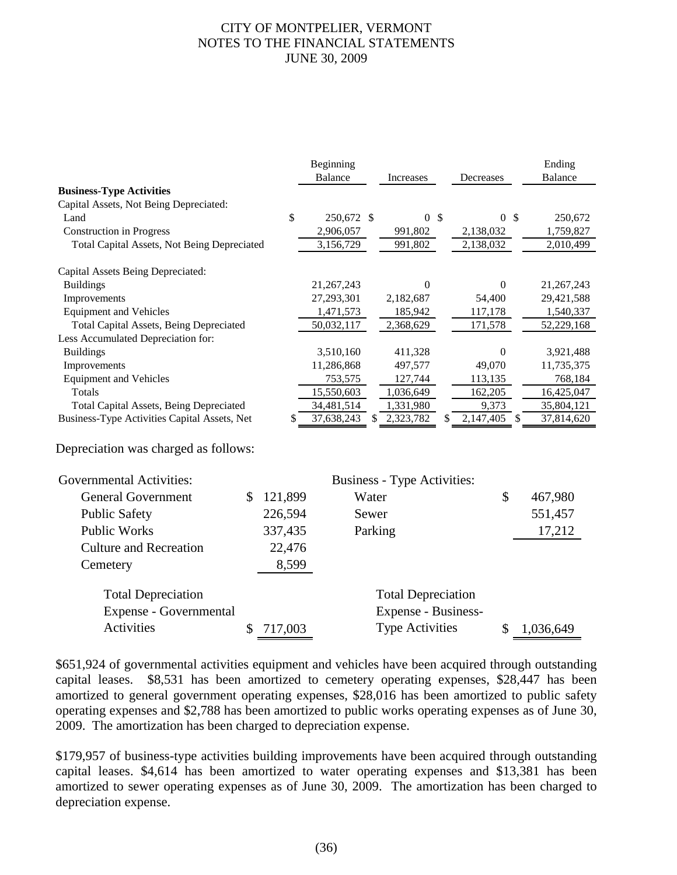|                                                    |         | Beginning      |                                    |                    |                | Ending                  |
|----------------------------------------------------|---------|----------------|------------------------------------|--------------------|----------------|-------------------------|
|                                                    |         | <b>Balance</b> | Increases                          | Decreases          |                | <b>Balance</b>          |
| <b>Business-Type Activities</b>                    |         |                |                                    |                    |                |                         |
| Capital Assets, Not Being Depreciated:             |         |                |                                    |                    |                |                         |
| Land                                               | \$      | 250,672 \$     | 0 <sup>5</sup>                     |                    | 0 <sup>5</sup> | 250,672                 |
| <b>Construction in Progress</b>                    |         | 2,906,057      | 991,802                            | 2,138,032          |                | 1,759,827               |
| <b>Total Capital Assets, Not Being Depreciated</b> |         | 3,156,729      | 991,802                            | 2,138,032          |                | 2,010,499               |
| Capital Assets Being Depreciated:                  |         |                |                                    |                    |                |                         |
| <b>Buildings</b>                                   |         | 21,267,243     | 0                                  |                    | 0              | 21,267,243              |
| Improvements                                       |         | 27,293,301     | 2,182,687                          | 54,400             |                | 29,421,588              |
| <b>Equipment and Vehicles</b>                      |         | 1,471,573      | 185,942                            | 117,178            |                | 1,540,337               |
| <b>Total Capital Assets, Being Depreciated</b>     |         | 50,032,117     | 2,368,629                          | 171,578            |                | $\overline{52,}229,168$ |
| Less Accumulated Depreciation for:                 |         |                |                                    |                    |                |                         |
| <b>Buildings</b>                                   |         | 3,510,160      | 411,328                            |                    | $\mathbf{0}$   | 3,921,488               |
| Improvements                                       |         | 11,286,868     | 497,577                            | 49,070             |                | 11,735,375              |
| <b>Equipment and Vehicles</b>                      |         | 753,575        | 127,744                            | 113,135            |                | 768,184                 |
| Totals                                             |         | 15,550,603     | 1,036,649                          | 162,205            |                | 16,425,047              |
| <b>Total Capital Assets, Being Depreciated</b>     |         | 34,481,514     | 1,331,980                          | 9,373              |                | 35,804,121              |
| Business-Type Activities Capital Assets, Net       | S       | 37,638,243     | 2,323,782<br>S.                    | 2,147,405 \$<br>\$ |                | 37,814,620              |
| Depreciation was charged as follows:               |         |                |                                    |                    |                |                         |
| <b>Governmental Activities:</b>                    |         |                | <b>Business - Type Activities:</b> |                    |                |                         |
| <b>General Government</b><br>\$                    | 121,899 |                | Water                              |                    | $\mathcal{S}$  | 467,980                 |
| <b>Public Safety</b>                               | 226,594 |                | Sewer                              |                    |                | 551,457                 |
| <b>Public Works</b>                                | 337,435 |                | Parking                            |                    |                | 17,212                  |
| <b>Culture and Recreation</b>                      | 22,476  |                |                                    |                    |                |                         |
| Cemetery                                           | 8,599   |                |                                    |                    |                |                         |
| <b>Total Depreciation</b>                          |         |                | <b>Total Depreciation</b>          |                    |                |                         |
| Expense - Governmental                             |         |                | Expense - Business-                |                    |                |                         |
|                                                    |         |                |                                    |                    |                |                         |
| <b>Activities</b><br>\$                            | 717,003 |                | <b>Type Activities</b>             |                    | \$             | 1,036,649               |

\$651,924 of governmental activities equipment and vehicles have been acquired through outstanding capital leases. \$8,531 has been amortized to cemetery operating expenses, \$28,447 has been amortized to general government operating expenses, \$28,016 has been amortized to public safety operating expenses and \$2,788 has been amortized to public works operating expenses as of June 30, 2009. The amortization has been charged to depreciation expense.

\$179,957 of business-type activities building improvements have been acquired through outstanding capital leases. \$4,614 has been amortized to water operating expenses and \$13,381 has been amortized to sewer operating expenses as of June 30, 2009. The amortization has been charged to depreciation expense.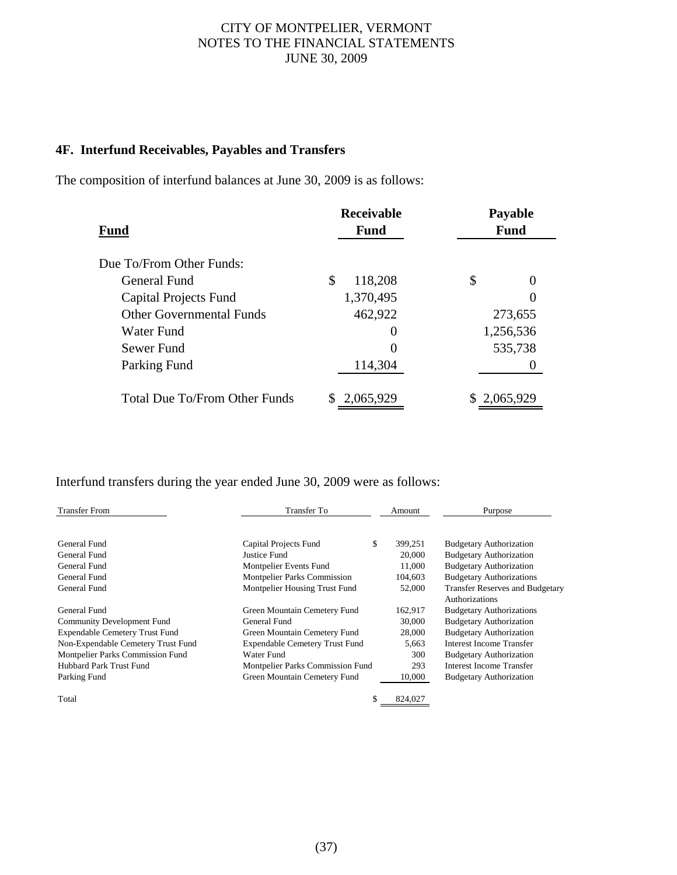## **4F. Interfund Receivables, Payables and Transfers**

The composition of interfund balances at June 30, 2009 is as follows:

| <b>Fund</b>                     | <b>Receivable</b><br><b>Fund</b> | Payable<br><b>Fund</b> |  |  |  |
|---------------------------------|----------------------------------|------------------------|--|--|--|
| Due To/From Other Funds:        |                                  |                        |  |  |  |
| General Fund                    | \$<br>118,208                    | \$<br>$\Omega$         |  |  |  |
| Capital Projects Fund           | 1,370,495                        | $\mathbf{\Omega}$      |  |  |  |
| <b>Other Governmental Funds</b> | 462,922                          | 273,655                |  |  |  |
| <b>Water Fund</b>               | 0                                | 1,256,536              |  |  |  |
| Sewer Fund                      | 0                                | 535,738                |  |  |  |
| Parking Fund                    | 114,304                          |                        |  |  |  |
| Total Due To/From Other Funds   | 2,065,929                        | 2,065,929              |  |  |  |

## Interfund transfers during the year ended June 30, 2009 were as follows:

| <b>Transfer From</b>                  | Transfer To                           | Amount  | Purpose                                                  |  |
|---------------------------------------|---------------------------------------|---------|----------------------------------------------------------|--|
| General Fund                          | \$<br>Capital Projects Fund           | 399,251 | <b>Budgetary Authorization</b>                           |  |
| General Fund                          | Justice Fund                          | 20,000  | <b>Budgetary Authorization</b>                           |  |
| General Fund                          | Montpelier Events Fund                | 11,000  | <b>Budgetary Authorization</b>                           |  |
| General Fund                          | <b>Montpelier Parks Commission</b>    | 104,603 | <b>Budgetary Authorizations</b>                          |  |
| General Fund                          | Montpelier Housing Trust Fund         | 52,000  | <b>Transfer Reserves and Budgetary</b><br>Authorizations |  |
| General Fund                          | Green Mountain Cemetery Fund          | 162,917 | <b>Budgetary Authorizations</b>                          |  |
| <b>Community Development Fund</b>     | General Fund                          | 30,000  | <b>Budgetary Authorization</b>                           |  |
| <b>Expendable Cemetery Trust Fund</b> | Green Mountain Cemetery Fund          | 28,000  | <b>Budgetary Authorization</b>                           |  |
| Non-Expendable Cemetery Trust Fund    | <b>Expendable Cemetery Trust Fund</b> | 5.663   | Interest Income Transfer                                 |  |
| Montpelier Parks Commission Fund      | Water Fund                            | 300     | <b>Budgetary Authorization</b>                           |  |
| Hubbard Park Trust Fund               | Montpelier Parks Commission Fund      | 293     | Interest Income Transfer                                 |  |
| Parking Fund                          | Green Mountain Cemetery Fund          | 10,000  | <b>Budgetary Authorization</b>                           |  |
| Total                                 | \$                                    | 824,027 |                                                          |  |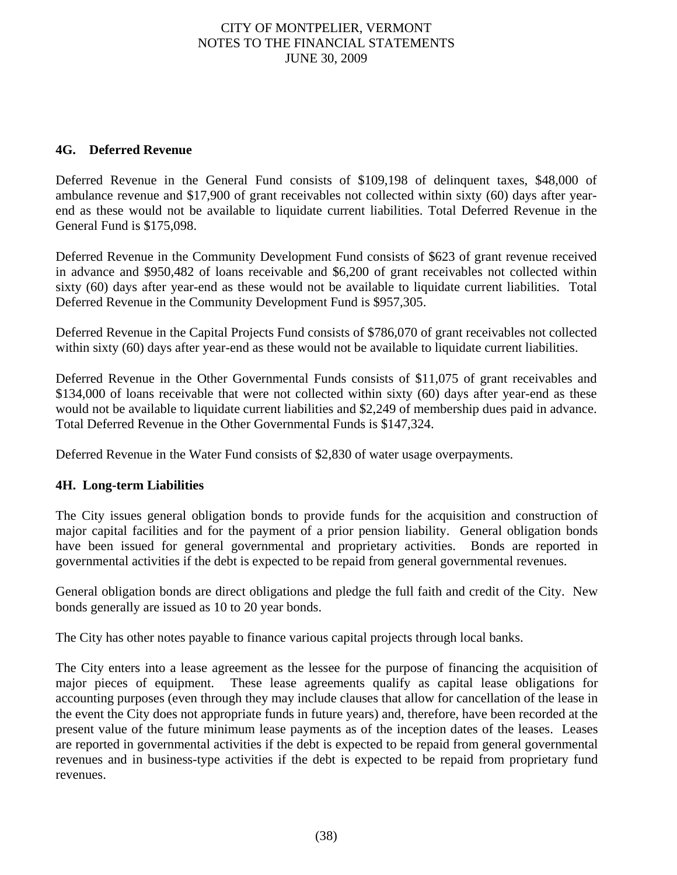## **4G. Deferred Revenue**

Deferred Revenue in the General Fund consists of \$109,198 of delinquent taxes, \$48,000 of ambulance revenue and \$17,900 of grant receivables not collected within sixty (60) days after yearend as these would not be available to liquidate current liabilities. Total Deferred Revenue in the General Fund is \$175,098.

Deferred Revenue in the Community Development Fund consists of \$623 of grant revenue received in advance and \$950,482 of loans receivable and \$6,200 of grant receivables not collected within sixty (60) days after year-end as these would not be available to liquidate current liabilities. Total Deferred Revenue in the Community Development Fund is \$957,305.

Deferred Revenue in the Capital Projects Fund consists of \$786,070 of grant receivables not collected within sixty (60) days after year-end as these would not be available to liquidate current liabilities.

Deferred Revenue in the Other Governmental Funds consists of \$11,075 of grant receivables and \$134,000 of loans receivable that were not collected within sixty (60) days after year-end as these would not be available to liquidate current liabilities and \$2,249 of membership dues paid in advance. Total Deferred Revenue in the Other Governmental Funds is \$147,324.

Deferred Revenue in the Water Fund consists of \$2,830 of water usage overpayments.

## **4H. Long-term Liabilities**

The City issues general obligation bonds to provide funds for the acquisition and construction of major capital facilities and for the payment of a prior pension liability. General obligation bonds have been issued for general governmental and proprietary activities. Bonds are reported in governmental activities if the debt is expected to be repaid from general governmental revenues.

General obligation bonds are direct obligations and pledge the full faith and credit of the City. New bonds generally are issued as 10 to 20 year bonds.

The City has other notes payable to finance various capital projects through local banks.

The City enters into a lease agreement as the lessee for the purpose of financing the acquisition of major pieces of equipment. These lease agreements qualify as capital lease obligations for accounting purposes (even through they may include clauses that allow for cancellation of the lease in the event the City does not appropriate funds in future years) and, therefore, have been recorded at the present value of the future minimum lease payments as of the inception dates of the leases. Leases are reported in governmental activities if the debt is expected to be repaid from general governmental revenues and in business-type activities if the debt is expected to be repaid from proprietary fund revenues.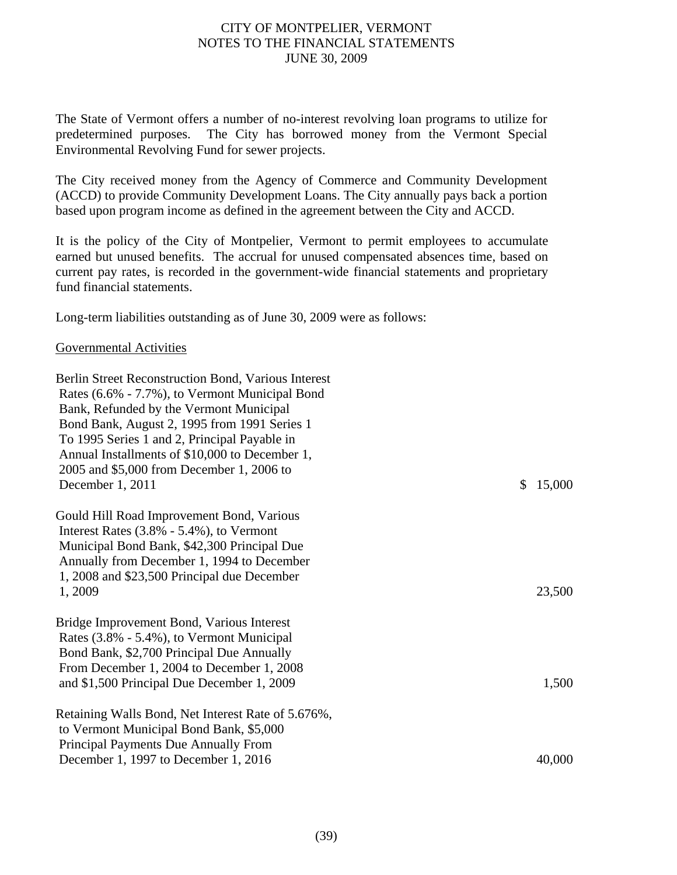The State of Vermont offers a number of no-interest revolving loan programs to utilize for predetermined purposes. The City has borrowed money from the Vermont Special Environmental Revolving Fund for sewer projects.

The City received money from the Agency of Commerce and Community Development (ACCD) to provide Community Development Loans. The City annually pays back a portion based upon program income as defined in the agreement between the City and ACCD.

It is the policy of the City of Montpelier, Vermont to permit employees to accumulate earned but unused benefits. The accrual for unused compensated absences time, based on current pay rates, is recorded in the government-wide financial statements and proprietary fund financial statements.

Long-term liabilities outstanding as of June 30, 2009 were as follows:

#### Governmental Activities

| <b>Berlin Street Reconstruction Bond, Various Interest</b><br>Rates (6.6% - 7.7%), to Vermont Municipal Bond<br>Bank, Refunded by the Vermont Municipal<br>Bond Bank, August 2, 1995 from 1991 Series 1<br>To 1995 Series 1 and 2, Principal Payable in<br>Annual Installments of \$10,000 to December 1,<br>2005 and \$5,000 from December 1, 2006 to<br>December 1, 2011 | \$<br>15,000 |
|----------------------------------------------------------------------------------------------------------------------------------------------------------------------------------------------------------------------------------------------------------------------------------------------------------------------------------------------------------------------------|--------------|
|                                                                                                                                                                                                                                                                                                                                                                            |              |
| Gould Hill Road Improvement Bond, Various<br>Interest Rates $(3.8\% - 5.4\%)$ , to Vermont<br>Municipal Bond Bank, \$42,300 Principal Due<br>Annually from December 1, 1994 to December<br>1, 2008 and \$23,500 Principal due December                                                                                                                                     |              |
| 1, 2009                                                                                                                                                                                                                                                                                                                                                                    | 23,500       |
| Bridge Improvement Bond, Various Interest<br>Rates (3.8% - 5.4%), to Vermont Municipal<br>Bond Bank, \$2,700 Principal Due Annually<br>From December 1, 2004 to December 1, 2008<br>and \$1,500 Principal Due December 1, 2009                                                                                                                                             | 1,500        |
| Retaining Walls Bond, Net Interest Rate of 5.676%,<br>to Vermont Municipal Bond Bank, \$5,000<br>Principal Payments Due Annually From                                                                                                                                                                                                                                      |              |
| December 1, 1997 to December 1, 2016                                                                                                                                                                                                                                                                                                                                       | 40,000       |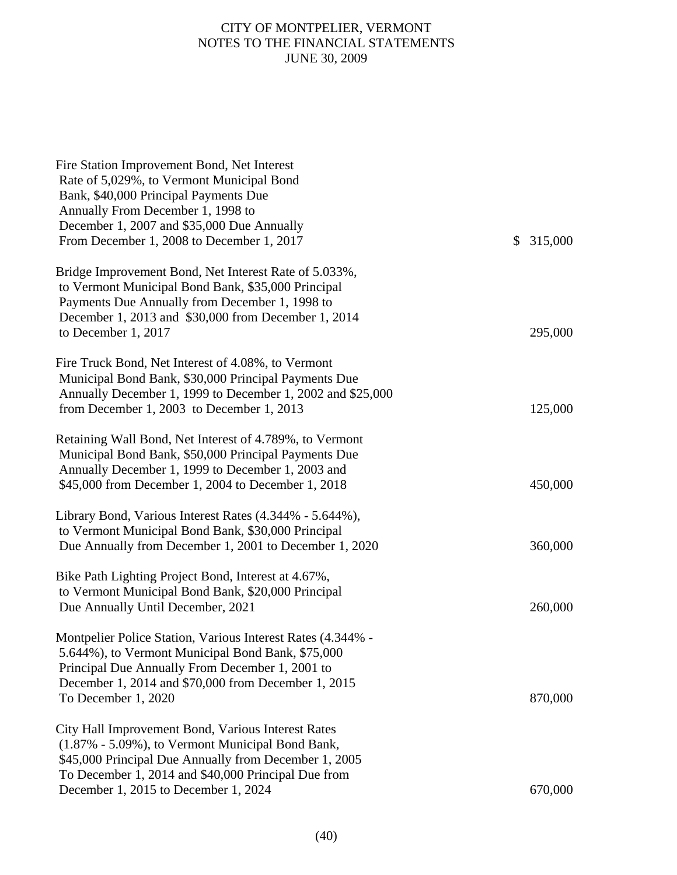| Fire Station Improvement Bond, Net Interest<br>Rate of 5,029%, to Vermont Municipal Bond<br>Bank, \$40,000 Principal Payments Due<br>Annually From December 1, 1998 to<br>December 1, 2007 and \$35,000 Due Annually                                           |                         |
|----------------------------------------------------------------------------------------------------------------------------------------------------------------------------------------------------------------------------------------------------------------|-------------------------|
| From December 1, 2008 to December 1, 2017                                                                                                                                                                                                                      | 315,000<br>$\mathbb{S}$ |
| Bridge Improvement Bond, Net Interest Rate of 5.033%,<br>to Vermont Municipal Bond Bank, \$35,000 Principal<br>Payments Due Annually from December 1, 1998 to<br>December 1, 2013 and \$30,000 from December 1, 2014<br>to December 1, 2017                    | 295,000                 |
| Fire Truck Bond, Net Interest of 4.08%, to Vermont<br>Municipal Bond Bank, \$30,000 Principal Payments Due<br>Annually December 1, 1999 to December 1, 2002 and \$25,000<br>from December 1, 2003 to December 1, 2013                                          | 125,000                 |
| Retaining Wall Bond, Net Interest of 4.789%, to Vermont<br>Municipal Bond Bank, \$50,000 Principal Payments Due<br>Annually December 1, 1999 to December 1, 2003 and<br>\$45,000 from December 1, 2004 to December 1, 2018                                     | 450,000                 |
| Library Bond, Various Interest Rates (4.344% - 5.644%),<br>to Vermont Municipal Bond Bank, \$30,000 Principal<br>Due Annually from December 1, 2001 to December 1, 2020                                                                                        | 360,000                 |
| Bike Path Lighting Project Bond, Interest at 4.67%,<br>to Vermont Municipal Bond Bank, \$20,000 Principal<br>Due Annually Until December, 2021                                                                                                                 | 260,000                 |
| <b>Montpelier Police Station, Various Interest Rates (4.344% -</b><br>5.644%), to Vermont Municipal Bond Bank, \$75,000<br>Principal Due Annually From December 1, 2001 to<br>December 1, 2014 and \$70,000 from December 1, 2015<br>To December 1, 2020       | 870,000                 |
| City Hall Improvement Bond, Various Interest Rates<br>(1.87% - 5.09%), to Vermont Municipal Bond Bank,<br>\$45,000 Principal Due Annually from December 1, 2005<br>To December 1, 2014 and \$40,000 Principal Due from<br>December 1, 2015 to December 1, 2024 | 670,000                 |
|                                                                                                                                                                                                                                                                |                         |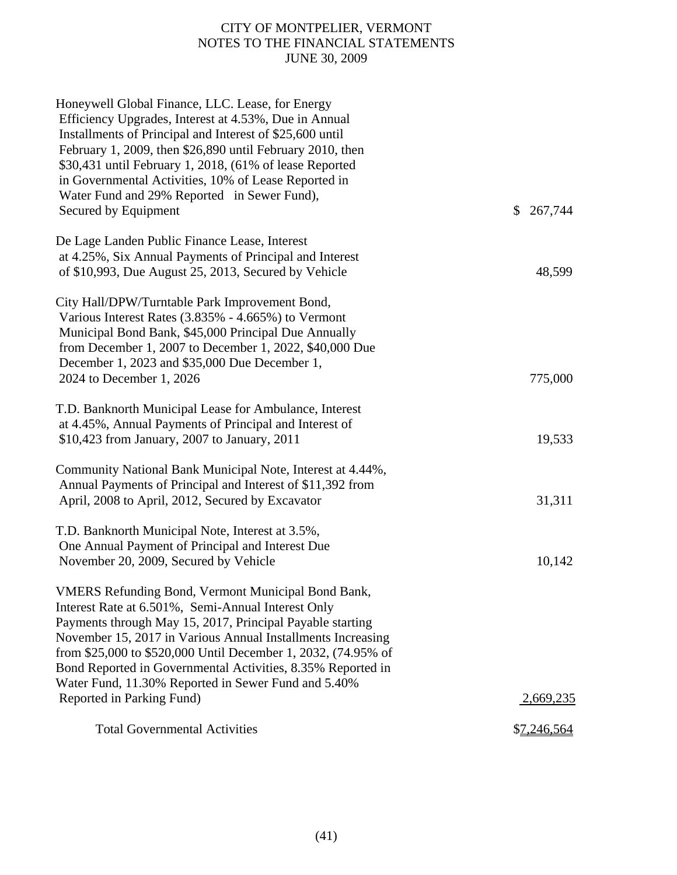| Honeywell Global Finance, LLC. Lease, for Energy<br>Efficiency Upgrades, Interest at 4.53%, Due in Annual<br>Installments of Principal and Interest of \$25,600 until<br>February 1, 2009, then \$26,890 until February 2010, then<br>\$30,431 until February 1, 2018, (61% of lease Reported<br>in Governmental Activities, 10% of Lease Reported in                                                                              |             |
|------------------------------------------------------------------------------------------------------------------------------------------------------------------------------------------------------------------------------------------------------------------------------------------------------------------------------------------------------------------------------------------------------------------------------------|-------------|
| Water Fund and 29% Reported in Sewer Fund),<br>Secured by Equipment                                                                                                                                                                                                                                                                                                                                                                | \$267,744   |
| De Lage Landen Public Finance Lease, Interest<br>at 4.25%, Six Annual Payments of Principal and Interest<br>of \$10,993, Due August 25, 2013, Secured by Vehicle                                                                                                                                                                                                                                                                   | 48,599      |
| City Hall/DPW/Turntable Park Improvement Bond,<br>Various Interest Rates (3.835% - 4.665%) to Vermont<br>Municipal Bond Bank, \$45,000 Principal Due Annually<br>from December 1, 2007 to December 1, 2022, \$40,000 Due                                                                                                                                                                                                           |             |
| December 1, 2023 and \$35,000 Due December 1,<br>2024 to December 1, 2026                                                                                                                                                                                                                                                                                                                                                          | 775,000     |
| T.D. Banknorth Municipal Lease for Ambulance, Interest<br>at 4.45%, Annual Payments of Principal and Interest of<br>\$10,423 from January, 2007 to January, 2011                                                                                                                                                                                                                                                                   | 19,533      |
| Community National Bank Municipal Note, Interest at 4.44%,<br>Annual Payments of Principal and Interest of \$11,392 from<br>April, 2008 to April, 2012, Secured by Excavator                                                                                                                                                                                                                                                       | 31,311      |
| T.D. Banknorth Municipal Note, Interest at 3.5%,<br>One Annual Payment of Principal and Interest Due<br>November 20, 2009, Secured by Vehicle                                                                                                                                                                                                                                                                                      | 10,142      |
| <b>VMERS Refunding Bond, Vermont Municipal Bond Bank,</b><br>Interest Rate at 6.501%, Semi-Annual Interest Only<br>Payments through May 15, 2017, Principal Payable starting<br>November 15, 2017 in Various Annual Installments Increasing<br>from \$25,000 to \$520,000 Until December 1, 2032, (74.95% of<br>Bond Reported in Governmental Activities, 8.35% Reported in<br>Water Fund, 11.30% Reported in Sewer Fund and 5.40% |             |
| Reported in Parking Fund)                                                                                                                                                                                                                                                                                                                                                                                                          | 2,669,235   |
| <b>Total Governmental Activities</b>                                                                                                                                                                                                                                                                                                                                                                                               | \$7,246,564 |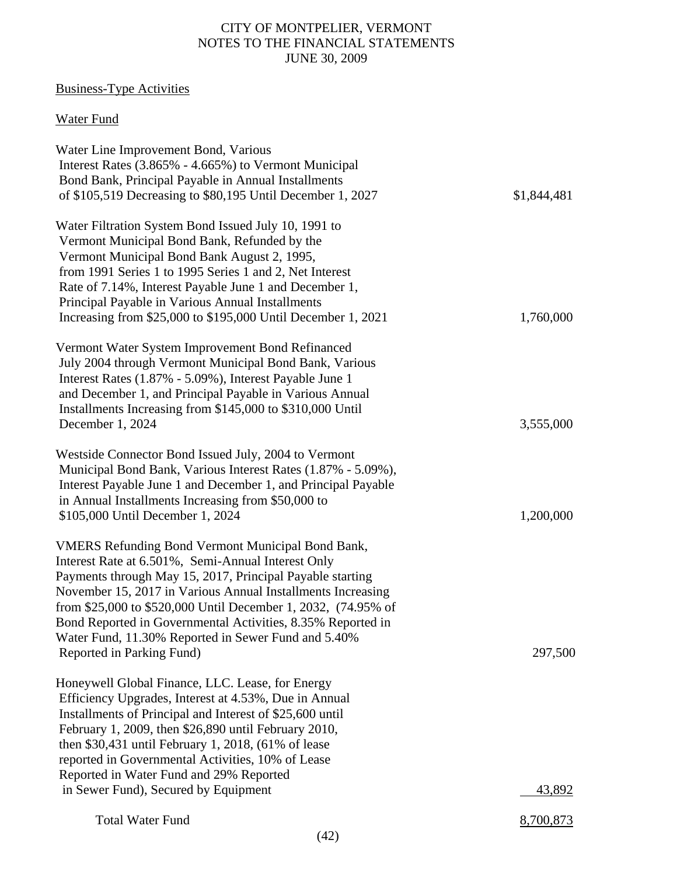# Business-Type Activities

# Water Fund

| Water Line Improvement Bond, Various<br>Interest Rates (3.865% - 4.665%) to Vermont Municipal |             |
|-----------------------------------------------------------------------------------------------|-------------|
| Bond Bank, Principal Payable in Annual Installments                                           |             |
| of \$105,519 Decreasing to \$80,195 Until December 1, 2027                                    | \$1,844,481 |
| Water Filtration System Bond Issued July 10, 1991 to                                          |             |
| Vermont Municipal Bond Bank, Refunded by the                                                  |             |
| Vermont Municipal Bond Bank August 2, 1995,                                                   |             |
| from 1991 Series 1 to 1995 Series 1 and 2, Net Interest                                       |             |
| Rate of 7.14%, Interest Payable June 1 and December 1,                                        |             |
| Principal Payable in Various Annual Installments                                              |             |
| Increasing from \$25,000 to \$195,000 Until December 1, 2021                                  | 1,760,000   |
| Vermont Water System Improvement Bond Refinanced                                              |             |
| July 2004 through Vermont Municipal Bond Bank, Various                                        |             |
| Interest Rates (1.87% - 5.09%), Interest Payable June 1                                       |             |
| and December 1, and Principal Payable in Various Annual                                       |             |
| Installments Increasing from \$145,000 to \$310,000 Until                                     |             |
| December 1, 2024                                                                              | 3,555,000   |
| Westside Connector Bond Issued July, 2004 to Vermont                                          |             |
| Municipal Bond Bank, Various Interest Rates (1.87% - 5.09%),                                  |             |
| Interest Payable June 1 and December 1, and Principal Payable                                 |             |
| in Annual Installments Increasing from \$50,000 to                                            |             |
| \$105,000 Until December 1, 2024                                                              | 1,200,000   |
| <b>VMERS Refunding Bond Vermont Municipal Bond Bank,</b>                                      |             |
| Interest Rate at 6.501%, Semi-Annual Interest Only                                            |             |
| Payments through May 15, 2017, Principal Payable starting                                     |             |
| November 15, 2017 in Various Annual Installments Increasing                                   |             |
| from \$25,000 to \$520,000 Until December 1, 2032, (74.95% of                                 |             |
| Bond Reported in Governmental Activities, 8.35% Reported in                                   |             |
| Water Fund, 11.30% Reported in Sewer Fund and 5.40%                                           |             |
| Reported in Parking Fund)                                                                     | 297,500     |
| Honeywell Global Finance, LLC. Lease, for Energy                                              |             |
| Efficiency Upgrades, Interest at 4.53%, Due in Annual                                         |             |
| Installments of Principal and Interest of \$25,600 until                                      |             |
| February 1, 2009, then \$26,890 until February 2010,                                          |             |
| then \$30,431 until February 1, 2018, $(61\% \text{ of }$ lease                               |             |
| reported in Governmental Activities, 10% of Lease                                             |             |
| Reported in Water Fund and 29% Reported                                                       |             |
| in Sewer Fund), Secured by Equipment                                                          | 43,892      |
| <b>Total Water Fund</b>                                                                       | 8,700,873   |
| (42)                                                                                          |             |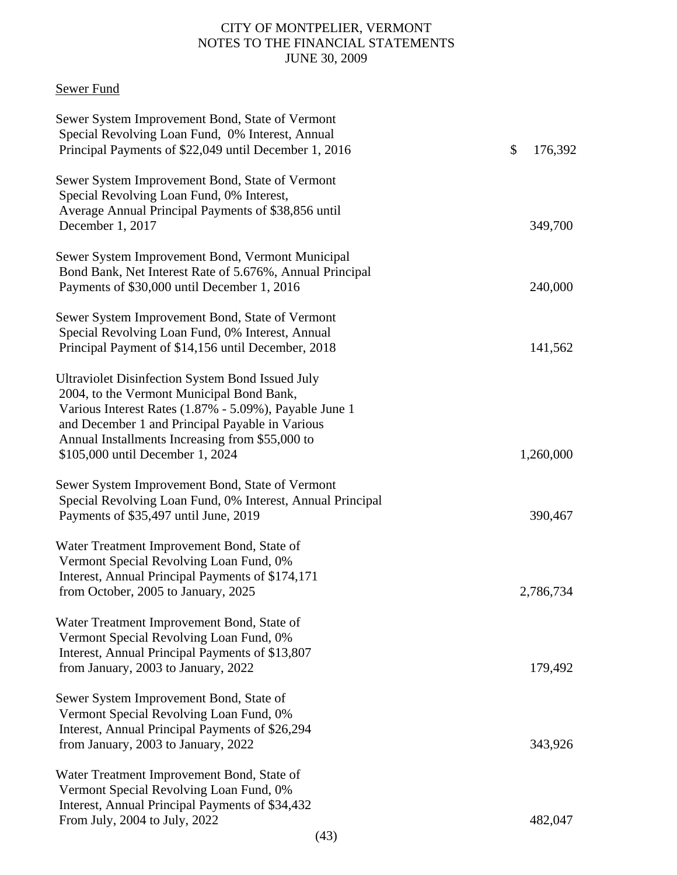# Sewer Fund

| Sewer System Improvement Bond, State of Vermont<br>Special Revolving Loan Fund, 0% Interest, Annual<br>Principal Payments of \$22,049 until December 1, 2016                                                                                                         | \$<br>176,392        |
|----------------------------------------------------------------------------------------------------------------------------------------------------------------------------------------------------------------------------------------------------------------------|----------------------|
| Sewer System Improvement Bond, State of Vermont<br>Special Revolving Loan Fund, 0% Interest,<br>Average Annual Principal Payments of \$38,856 until<br>December 1, 2017                                                                                              | 349,700              |
| Sewer System Improvement Bond, Vermont Municipal<br>Bond Bank, Net Interest Rate of 5.676%, Annual Principal<br>Payments of \$30,000 until December 1, 2016                                                                                                          | 240,000              |
| Sewer System Improvement Bond, State of Vermont<br>Special Revolving Loan Fund, 0% Interest, Annual<br>Principal Payment of \$14,156 until December, 2018                                                                                                            | 141,562              |
| <b>Ultraviolet Disinfection System Bond Issued July</b><br>2004, to the Vermont Municipal Bond Bank,<br>Various Interest Rates (1.87% - 5.09%), Payable June 1<br>and December 1 and Principal Payable in Various<br>Annual Installments Increasing from \$55,000 to |                      |
| \$105,000 until December 1, 2024<br>Sewer System Improvement Bond, State of Vermont<br>Special Revolving Loan Fund, 0% Interest, Annual Principal<br>Payments of \$35,497 until June, 2019                                                                           | 1,260,000<br>390,467 |
| Water Treatment Improvement Bond, State of<br>Vermont Special Revolving Loan Fund, 0%<br>Interest, Annual Principal Payments of \$174,171<br>from October, 2005 to January, 2025                                                                                     | 2,786,734            |
| Water Treatment Improvement Bond, State of<br>Vermont Special Revolving Loan Fund, 0%<br>Interest, Annual Principal Payments of \$13,807<br>from January, 2003 to January, 2022                                                                                      | 179,492              |
| Sewer System Improvement Bond, State of<br>Vermont Special Revolving Loan Fund, 0%<br>Interest, Annual Principal Payments of \$26,294<br>from January, 2003 to January, 2022                                                                                         | 343,926              |
| Water Treatment Improvement Bond, State of<br>Vermont Special Revolving Loan Fund, 0%<br>Interest, Annual Principal Payments of \$34,432<br>From July, 2004 to July, 2022                                                                                            | 482,047              |
|                                                                                                                                                                                                                                                                      |                      |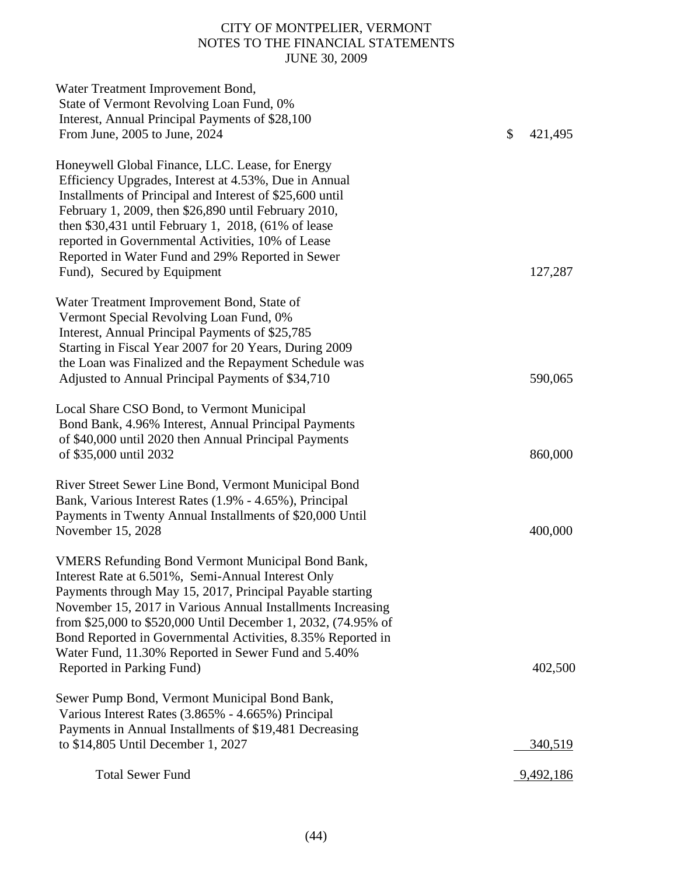| Water Treatment Improvement Bond,<br>State of Vermont Revolving Loan Fund, 0%<br>Interest, Annual Principal Payments of \$28,100<br>From June, 2005 to June, 2024                                                                                                                                                                                                                                                                                              | \$<br>421,495 |
|----------------------------------------------------------------------------------------------------------------------------------------------------------------------------------------------------------------------------------------------------------------------------------------------------------------------------------------------------------------------------------------------------------------------------------------------------------------|---------------|
| Honeywell Global Finance, LLC. Lease, for Energy<br>Efficiency Upgrades, Interest at 4.53%, Due in Annual<br>Installments of Principal and Interest of \$25,600 until<br>February 1, 2009, then \$26,890 until February 2010,<br>then \$30,431 until February 1, 2018, $(61\% \text{ of }$ lease<br>reported in Governmental Activities, 10% of Lease<br>Reported in Water Fund and 29% Reported in Sewer<br>Fund), Secured by Equipment                       | 127,287       |
| Water Treatment Improvement Bond, State of<br>Vermont Special Revolving Loan Fund, 0%<br>Interest, Annual Principal Payments of \$25,785<br>Starting in Fiscal Year 2007 for 20 Years, During 2009<br>the Loan was Finalized and the Repayment Schedule was<br>Adjusted to Annual Principal Payments of \$34,710                                                                                                                                               | 590,065       |
| Local Share CSO Bond, to Vermont Municipal<br>Bond Bank, 4.96% Interest, Annual Principal Payments<br>of \$40,000 until 2020 then Annual Principal Payments<br>of \$35,000 until 2032                                                                                                                                                                                                                                                                          | 860,000       |
| River Street Sewer Line Bond, Vermont Municipal Bond<br>Bank, Various Interest Rates (1.9% - 4.65%), Principal<br>Payments in Twenty Annual Installments of \$20,000 Until<br>November 15, 2028                                                                                                                                                                                                                                                                | 400,000       |
| <b>VMERS Refunding Bond Vermont Municipal Bond Bank,</b><br>Interest Rate at 6.501%, Semi-Annual Interest Only<br>Payments through May 15, 2017, Principal Payable starting<br>November 15, 2017 in Various Annual Installments Increasing<br>from \$25,000 to \$520,000 Until December 1, 2032, (74.95% of<br>Bond Reported in Governmental Activities, 8.35% Reported in<br>Water Fund, 11.30% Reported in Sewer Fund and 5.40%<br>Reported in Parking Fund) | 402,500       |
| Sewer Pump Bond, Vermont Municipal Bond Bank,<br>Various Interest Rates (3.865% - 4.665%) Principal<br>Payments in Annual Installments of \$19,481 Decreasing<br>to \$14,805 Until December 1, 2027                                                                                                                                                                                                                                                            | 340,519       |
| <b>Total Sewer Fund</b>                                                                                                                                                                                                                                                                                                                                                                                                                                        | 9,492,186     |
|                                                                                                                                                                                                                                                                                                                                                                                                                                                                |               |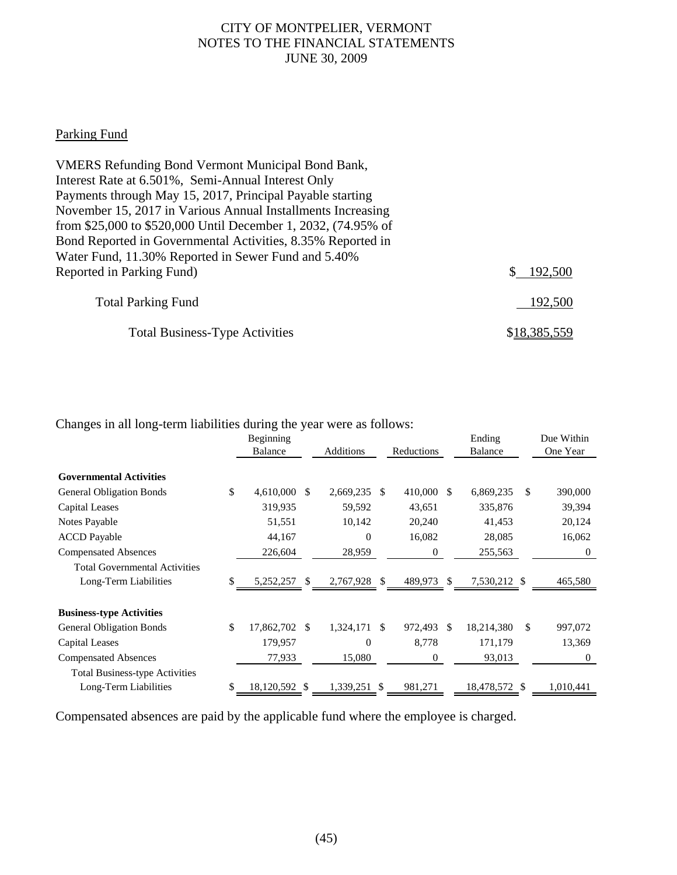## Parking Fund

| <b>VMERS Refunding Bond Vermont Municipal Bond Bank,</b>      |              |
|---------------------------------------------------------------|--------------|
| Interest Rate at 6.501%, Semi-Annual Interest Only            |              |
| Payments through May 15, 2017, Principal Payable starting     |              |
| November 15, 2017 in Various Annual Installments Increasing   |              |
| from \$25,000 to \$520,000 Until December 1, 2032, (74.95% of |              |
| Bond Reported in Governmental Activities, 8.35% Reported in   |              |
| Water Fund, 11.30% Reported in Sewer Fund and 5.40%           |              |
| Reported in Parking Fund)                                     | \$192,500    |
| <b>Total Parking Fund</b>                                     | 192,500      |
| <b>Total Business-Type Activities</b>                         | \$18,385,559 |

Changes in all long-term liabilities during the year were as follows:

|                                       | Beginning<br><b>Balance</b> |    | <b>Additions</b> |               | Reductions   |     | Ending<br><b>Balance</b> | Due Within<br>One Year |
|---------------------------------------|-----------------------------|----|------------------|---------------|--------------|-----|--------------------------|------------------------|
| <b>Governmental Activities</b>        |                             |    |                  |               |              |     |                          |                        |
| <b>General Obligation Bonds</b>       | \$<br>4,610,000 \$          |    | 2,669,235        | <sup>\$</sup> | 410,000 \$   |     | 6,869,235                | \$<br>390,000          |
| Capital Leases                        | 319,935                     |    | 59,592           |               | 43,651       |     | 335,876                  | 39,394                 |
| Notes Payable                         | 51,551                      |    | 10,142           |               | 20,240       |     | 41,453                   | 20,124                 |
| <b>ACCD</b> Payable                   | 44,167                      |    | $\Omega$         |               | 16,082       |     | 28,085                   | 16,062                 |
| <b>Compensated Absences</b>           | 226,604                     |    | 28,959           |               | $\theta$     |     | 255,563                  | $\theta$               |
| <b>Total Governmental Activities</b>  |                             |    |                  |               |              |     |                          |                        |
| Long-Term Liabilities                 | \$<br>5,252,257             | S. | 2,767,928 \$     |               | 489,973 \$   |     | 7,530,212 \$             | 465,580                |
| <b>Business-type Activities</b>       |                             |    |                  |               |              |     |                          |                        |
| <b>General Obligation Bonds</b>       | \$<br>17,862,702            | -S | 1,324,171        | \$.           | 972,493      | \$. | 18,214,380               | \$<br>997,072          |
| Capital Leases                        | 179,957                     |    | $\Omega$         |               | 8,778        |     | 171,179                  | 13,369                 |
| <b>Compensated Absences</b>           | 77,933                      |    | 15,080           |               | $\mathbf{0}$ |     | 93,013                   | $\overline{0}$         |
| <b>Total Business-type Activities</b> |                             |    |                  |               |              |     |                          |                        |
| Long-Term Liabilities                 | \$<br>18,120,592 \$         |    | 1,339,251        | \$            | 981,271      |     | 18,478,572 \$            | 1,010,441              |

Compensated absences are paid by the applicable fund where the employee is charged.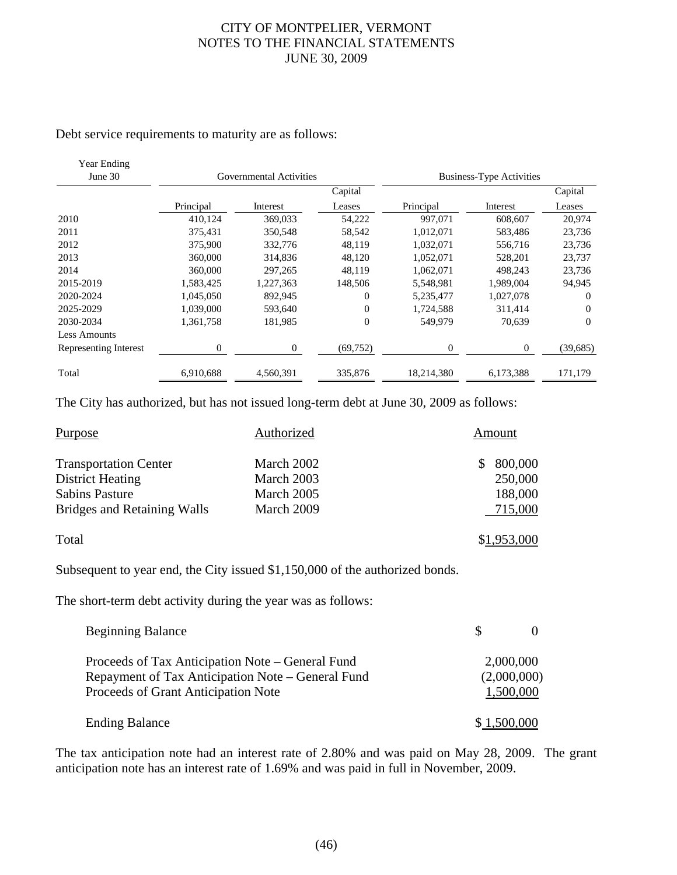| Year Ending           |           |                         |                  |                                 |                |           |  |  |  |
|-----------------------|-----------|-------------------------|------------------|---------------------------------|----------------|-----------|--|--|--|
| June $30$             |           | Governmental Activities |                  | <b>Business-Type Activities</b> |                |           |  |  |  |
|                       |           |                         | Capital          |                                 |                | Capital   |  |  |  |
|                       | Principal | Interest                | Leases           | Principal                       | Interest       | Leases    |  |  |  |
| 2010                  | 410,124   | 369,033                 | 54,222           | 997,071                         | 608,607        | 20,974    |  |  |  |
| 2011                  | 375.431   | 350,548                 | 58,542           | 1,012,071                       | 583,486        | 23,736    |  |  |  |
| 2012                  | 375,900   | 332,776                 | 48,119           | 1,032,071                       | 556,716        | 23,736    |  |  |  |
| 2013                  | 360,000   | 314,836                 | 48,120           | 1,052,071                       | 528,201        | 23,737    |  |  |  |
| 2014                  | 360,000   | 297,265                 | 48,119           | 1,062,071                       | 498.243        | 23,736    |  |  |  |
| 2015-2019             | 1,583,425 | 1,227,363               | 148,506          | 5,548,981                       | 1,989,004      | 94,945    |  |  |  |
| 2020-2024             | 1,045,050 | 892,945                 | $\Omega$         | 5,235,477                       | 1,027,078      | 0         |  |  |  |
| 2025-2029             | 1,039,000 | 593,640                 | $\theta$         | 1,724,588                       | 311,414        | 0         |  |  |  |
| 2030-2034             | 1,361,758 | 181,985                 | $\boldsymbol{0}$ | 549,979                         | 70,639         | $\Omega$  |  |  |  |
| <b>Less Amounts</b>   |           |                         |                  |                                 |                |           |  |  |  |
| Representing Interest | $\theta$  | $\Omega$                | (69, 752)        | $\overline{0}$                  | $\overline{0}$ | (39, 685) |  |  |  |
| Total                 | 6,910,688 | 4,560,391               | 335,876          | 18,214,380                      | 6,173,388      | 171,179   |  |  |  |

#### Debt service requirements to maturity are as follows:

The City has authorized, but has not issued long-term debt at June 30, 2009 as follows:

| <b>Purpose</b>                     | Authorized | Amount         |
|------------------------------------|------------|----------------|
| <b>Transportation Center</b>       | March 2002 | 800,000<br>\$. |
| District Heating                   | March 2003 | 250,000        |
| <b>Sabins Pasture</b>              | March 2005 | 188,000        |
| <b>Bridges and Retaining Walls</b> | March 2009 | 715,000        |
| Total                              |            | \$1,953,000    |

Subsequent to year end, the City issued \$1,150,000 of the authorized bonds.

The short-term debt activity during the year was as follows:

| <b>Beginning Balance</b>                                                                                                                     |                                       |
|----------------------------------------------------------------------------------------------------------------------------------------------|---------------------------------------|
| Proceeds of Tax Anticipation Note – General Fund<br>Repayment of Tax Anticipation Note – General Fund<br>Proceeds of Grant Anticipation Note | 2,000,000<br>(2,000,000)<br>1,500,000 |
| <b>Ending Balance</b>                                                                                                                        |                                       |

The tax anticipation note had an interest rate of 2.80% and was paid on May 28, 2009. The grant anticipation note has an interest rate of 1.69% and was paid in full in November, 2009.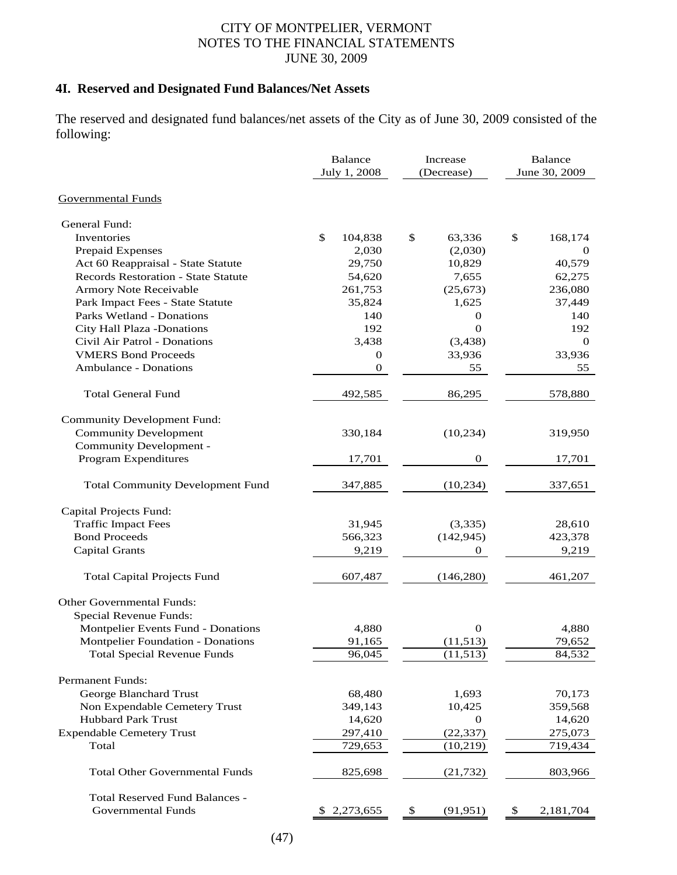## **4I. Reserved and Designated Fund Balances/Net Assets**

The reserved and designated fund balances/net assets of the City as of June 30, 2009 consisted of the following:

|                                            | <b>Balance</b><br>July 1, 2008 | Increase<br>(Decrease) | Balance<br>June 30, 2009 |  |  |
|--------------------------------------------|--------------------------------|------------------------|--------------------------|--|--|
| <b>Governmental Funds</b>                  |                                |                        |                          |  |  |
| General Fund:                              |                                |                        |                          |  |  |
| Inventories                                | \$<br>104,838                  | \$<br>63,336           | \$<br>168,174            |  |  |
| <b>Prepaid Expenses</b>                    | 2,030                          | (2,030)                | 0                        |  |  |
| Act 60 Reappraisal - State Statute         | 29,750                         | 10,829                 | 40,579                   |  |  |
| <b>Records Restoration - State Statute</b> | 54,620                         | 7,655                  | 62,275                   |  |  |
| Armory Note Receivable                     | 261,753                        | (25, 673)              | 236,080                  |  |  |
| Park Impact Fees - State Statute           | 35,824                         | 1,625                  | 37,449                   |  |  |
| Parks Wetland - Donations                  | 140                            | 0                      | 140                      |  |  |
| City Hall Plaza -Donations                 | 192                            | $\overline{0}$         | 192                      |  |  |
| Civil Air Patrol - Donations               | 3,438                          | (3, 438)               | $\mathbf 0$              |  |  |
| <b>VMERS Bond Proceeds</b>                 | $\mathbf 0$                    | 33,936                 | 33,936                   |  |  |
| <b>Ambulance - Donations</b>               | $\mathbf 0$                    | 55                     | 55                       |  |  |
| <b>Total General Fund</b>                  | 492,585                        | 86,295                 | 578,880                  |  |  |
| <b>Community Development Fund:</b>         |                                |                        |                          |  |  |
| <b>Community Development</b>               | 330,184                        | (10, 234)              | 319,950                  |  |  |
| Community Development -                    |                                |                        |                          |  |  |
| <b>Program Expenditures</b>                | 17,701                         | $\mathbf 0$            | 17,701                   |  |  |
| <b>Total Community Development Fund</b>    | 347,885                        | (10, 234)              | 337,651                  |  |  |
| Capital Projects Fund:                     |                                |                        |                          |  |  |
| <b>Traffic Impact Fees</b>                 | 31,945                         | (3,335)                | 28,610                   |  |  |
| <b>Bond Proceeds</b>                       | 566,323                        | (142, 945)             | 423,378                  |  |  |
| Capital Grants                             | 9,219                          | 0                      | 9,219                    |  |  |
| <b>Total Capital Projects Fund</b>         | 607,487                        | (146,280)              | 461,207                  |  |  |
| Other Governmental Funds:                  |                                |                        |                          |  |  |
| Special Revenue Funds:                     |                                |                        |                          |  |  |
| Montpelier Events Fund - Donations         | 4,880                          | 0                      | 4,880                    |  |  |
| Montpelier Foundation - Donations          | 91.165                         | (11,513)               | 79.652                   |  |  |
| <b>Total Special Revenue Funds</b>         | 96,045                         | (11,513)               | 84,532                   |  |  |
| <b>Permanent Funds:</b>                    |                                |                        |                          |  |  |
| George Blanchard Trust                     | 68,480                         | 1,693                  | 70,173                   |  |  |
| Non Expendable Cemetery Trust              | 349,143                        | 10,425                 | 359,568                  |  |  |
| <b>Hubbard Park Trust</b>                  | 14,620                         | 0                      | 14,620                   |  |  |
| <b>Expendable Cemetery Trust</b>           | 297,410                        | (22, 337)              | 275,073                  |  |  |
| Total                                      | 729,653                        | (10,219)               | 719,434                  |  |  |
| <b>Total Other Governmental Funds</b>      | 825,698                        | (21, 732)              | 803,966                  |  |  |
| <b>Total Reserved Fund Balances -</b>      |                                |                        |                          |  |  |
| <b>Governmental Funds</b>                  | 2,273,655<br>P.                | \$<br>(91, 951)        | \$<br>2, 181, 704        |  |  |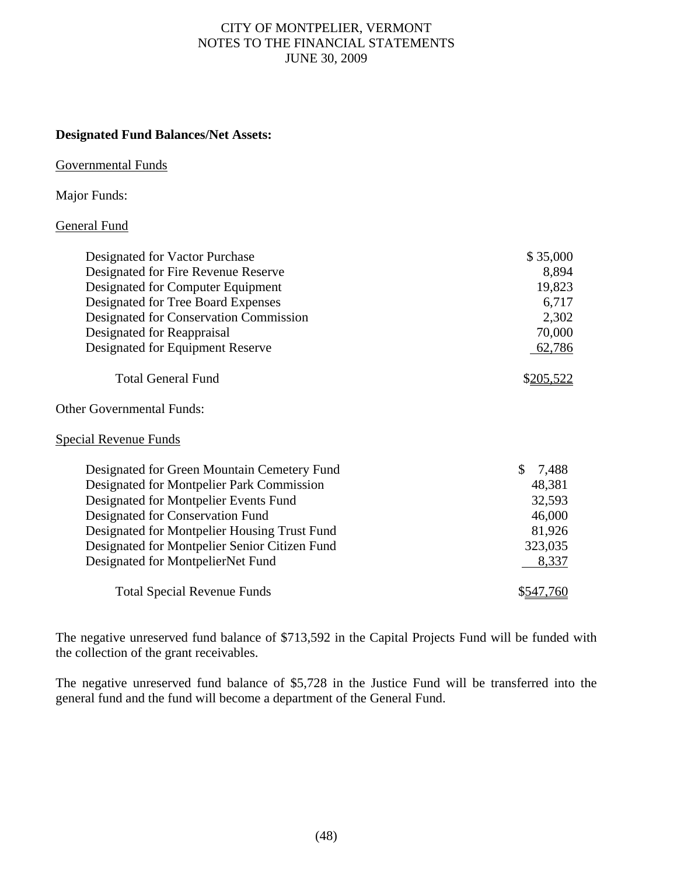#### **Designated Fund Balances/Net Assets:**

#### Governmental Funds

#### Major Funds:

#### General Fund

| Designated for Vactor Purchase                | \$35,000              |
|-----------------------------------------------|-----------------------|
| Designated for Fire Revenue Reserve           | 8,894                 |
| Designated for Computer Equipment             | 19,823                |
| Designated for Tree Board Expenses            | 6,717                 |
| Designated for Conservation Commission        | 2,302                 |
| Designated for Reappraisal                    | 70,000                |
| Designated for Equipment Reserve              | 62,786                |
| <b>Total General Fund</b>                     | \$205,522             |
| <b>Other Governmental Funds:</b>              |                       |
| <b>Special Revenue Funds</b>                  |                       |
| Designated for Green Mountain Cemetery Fund   | $\mathbb{S}$<br>7,488 |
| Designated for Montpelier Park Commission     | 48,381                |
| Designated for Montpelier Events Fund         | 32,593                |
| Designated for Conservation Fund              | 46,000                |
| Designated for Montpelier Housing Trust Fund  | 81,926                |
| Designated for Montpelier Senior Citizen Fund | 323,035               |
| Designated for MontpelierNet Fund             | 8,337                 |
| <b>Total Special Revenue Funds</b>            | \$547,760             |

The negative unreserved fund balance of \$713,592 in the Capital Projects Fund will be funded with the collection of the grant receivables.

The negative unreserved fund balance of \$5,728 in the Justice Fund will be transferred into the general fund and the fund will become a department of the General Fund.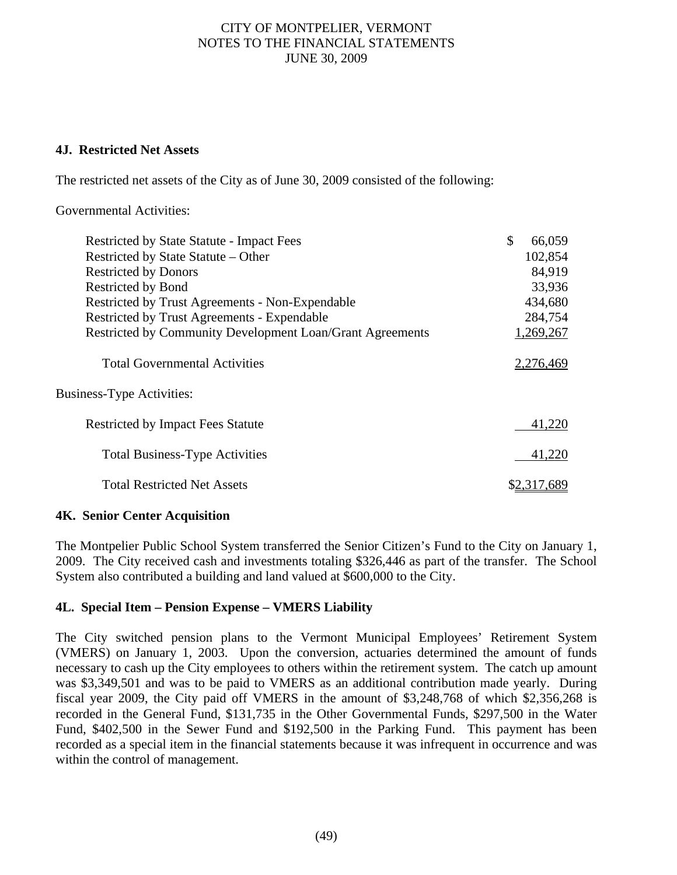### **4J. Restricted Net Assets**

The restricted net assets of the City as of June 30, 2009 consisted of the following:

Governmental Activities:

| <b>Restricted by State Statute - Impact Fees</b>                 | $\mathcal{S}$<br>66,059 |
|------------------------------------------------------------------|-------------------------|
| Restricted by State Statute - Other                              | 102,854                 |
| <b>Restricted by Donors</b>                                      | 84,919                  |
| <b>Restricted by Bond</b>                                        | 33,936                  |
| Restricted by Trust Agreements - Non-Expendable                  | 434,680                 |
| <b>Restricted by Trust Agreements - Expendable</b>               | 284,754                 |
| <b>Restricted by Community Development Loan/Grant Agreements</b> | 1,269,267               |
| <b>Total Governmental Activities</b>                             | 2,276,469               |
| <b>Business-Type Activities:</b>                                 |                         |
| <b>Restricted by Impact Fees Statute</b>                         | 41,220                  |
| <b>Total Business-Type Activities</b>                            | 41,220                  |
| <b>Total Restricted Net Assets</b>                               | \$2,317,689             |

## **4K. Senior Center Acquisition**

The Montpelier Public School System transferred the Senior Citizen's Fund to the City on January 1, 2009. The City received cash and investments totaling \$326,446 as part of the transfer. The School System also contributed a building and land valued at \$600,000 to the City.

## **4L. Special Item – Pension Expense – VMERS Liability**

The City switched pension plans to the Vermont Municipal Employees' Retirement System (VMERS) on January 1, 2003. Upon the conversion, actuaries determined the amount of funds necessary to cash up the City employees to others within the retirement system. The catch up amount was \$3,349,501 and was to be paid to VMERS as an additional contribution made yearly. During fiscal year 2009, the City paid off VMERS in the amount of \$3,248,768 of which \$2,356,268 is recorded in the General Fund, \$131,735 in the Other Governmental Funds, \$297,500 in the Water Fund, \$402,500 in the Sewer Fund and \$192,500 in the Parking Fund. This payment has been recorded as a special item in the financial statements because it was infrequent in occurrence and was within the control of management.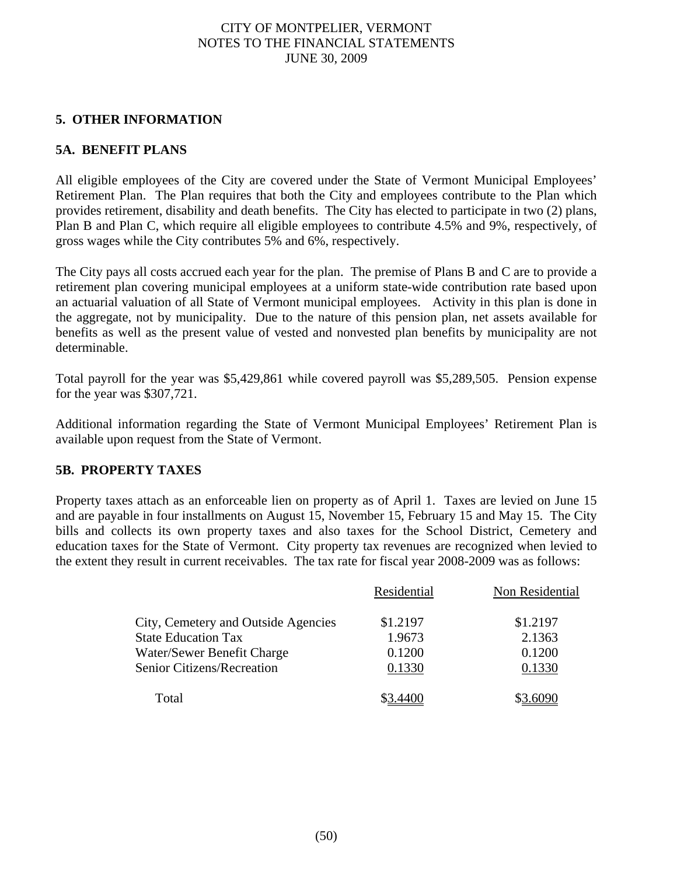## **5. OTHER INFORMATION**

## **5A. BENEFIT PLANS**

All eligible employees of the City are covered under the State of Vermont Municipal Employees' Retirement Plan. The Plan requires that both the City and employees contribute to the Plan which provides retirement, disability and death benefits. The City has elected to participate in two (2) plans, Plan B and Plan C, which require all eligible employees to contribute 4.5% and 9%, respectively, of gross wages while the City contributes 5% and 6%, respectively.

The City pays all costs accrued each year for the plan. The premise of Plans B and C are to provide a retirement plan covering municipal employees at a uniform state-wide contribution rate based upon an actuarial valuation of all State of Vermont municipal employees. Activity in this plan is done in the aggregate, not by municipality. Due to the nature of this pension plan, net assets available for benefits as well as the present value of vested and nonvested plan benefits by municipality are not determinable.

Total payroll for the year was \$5,429,861 while covered payroll was \$5,289,505. Pension expense for the year was \$307,721.

Additional information regarding the State of Vermont Municipal Employees' Retirement Plan is available upon request from the State of Vermont.

#### **5B. PROPERTY TAXES**

Property taxes attach as an enforceable lien on property as of April 1. Taxes are levied on June 15 and are payable in four installments on August 15, November 15, February 15 and May 15. The City bills and collects its own property taxes and also taxes for the School District, Cemetery and education taxes for the State of Vermont. City property tax revenues are recognized when levied to the extent they result in current receivables. The tax rate for fiscal year 2008-2009 was as follows:

|                                     | Residential | Non Residential |
|-------------------------------------|-------------|-----------------|
| City, Cemetery and Outside Agencies | \$1.2197    | \$1.2197        |
| <b>State Education Tax</b>          | 1.9673      | 2.1363          |
| Water/Sewer Benefit Charge          | 0.1200      | 0.1200          |
| Senior Citizens/Recreation          | 0.1330      | 0.1330          |
| Total                               | \$3.4400    | \$3.6090        |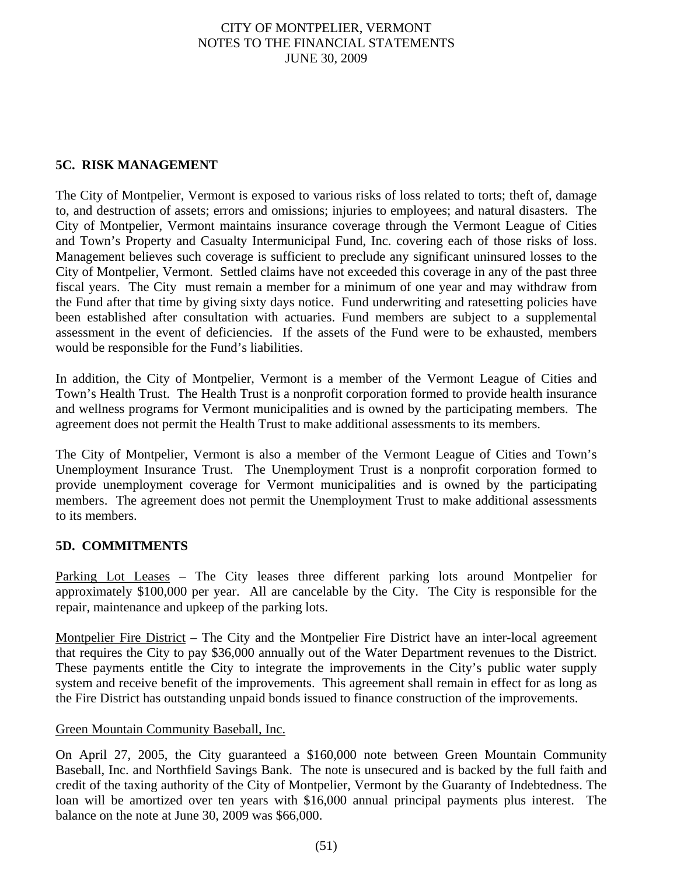## **5C. RISK MANAGEMENT**

The City of Montpelier, Vermont is exposed to various risks of loss related to torts; theft of, damage to, and destruction of assets; errors and omissions; injuries to employees; and natural disasters. The City of Montpelier, Vermont maintains insurance coverage through the Vermont League of Cities and Town's Property and Casualty Intermunicipal Fund, Inc. covering each of those risks of loss. Management believes such coverage is sufficient to preclude any significant uninsured losses to the City of Montpelier, Vermont. Settled claims have not exceeded this coverage in any of the past three fiscal years. The City must remain a member for a minimum of one year and may withdraw from the Fund after that time by giving sixty days notice. Fund underwriting and ratesetting policies have been established after consultation with actuaries. Fund members are subject to a supplemental assessment in the event of deficiencies. If the assets of the Fund were to be exhausted, members would be responsible for the Fund's liabilities.

In addition, the City of Montpelier, Vermont is a member of the Vermont League of Cities and Town's Health Trust. The Health Trust is a nonprofit corporation formed to provide health insurance and wellness programs for Vermont municipalities and is owned by the participating members. The agreement does not permit the Health Trust to make additional assessments to its members.

The City of Montpelier, Vermont is also a member of the Vermont League of Cities and Town's Unemployment Insurance Trust. The Unemployment Trust is a nonprofit corporation formed to provide unemployment coverage for Vermont municipalities and is owned by the participating members. The agreement does not permit the Unemployment Trust to make additional assessments to its members.

## **5D. COMMITMENTS**

Parking Lot Leases – The City leases three different parking lots around Montpelier for approximately \$100,000 per year. All are cancelable by the City. The City is responsible for the repair, maintenance and upkeep of the parking lots.

Montpelier Fire District – The City and the Montpelier Fire District have an inter-local agreement that requires the City to pay \$36,000 annually out of the Water Department revenues to the District. These payments entitle the City to integrate the improvements in the City's public water supply system and receive benefit of the improvements. This agreement shall remain in effect for as long as the Fire District has outstanding unpaid bonds issued to finance construction of the improvements.

#### Green Mountain Community Baseball, Inc.

On April 27, 2005, the City guaranteed a \$160,000 note between Green Mountain Community Baseball, Inc. and Northfield Savings Bank. The note is unsecured and is backed by the full faith and credit of the taxing authority of the City of Montpelier, Vermont by the Guaranty of Indebtedness. The loan will be amortized over ten years with \$16,000 annual principal payments plus interest. The balance on the note at June 30, 2009 was \$66,000.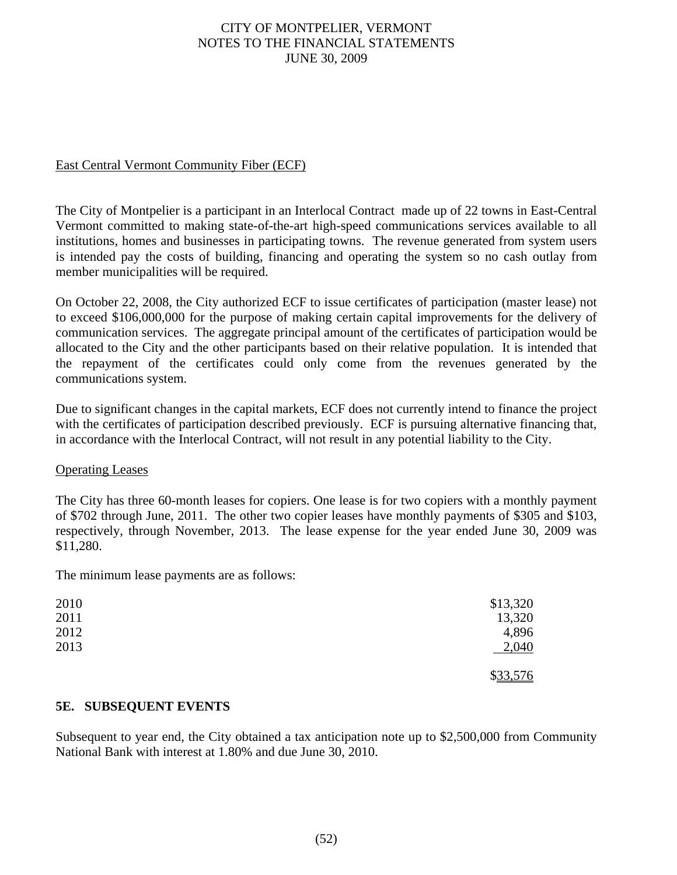### East Central Vermont Community Fiber (ECF)

The City of Montpelier is a participant in an Interlocal Contract made up of 22 towns in East-Central Vermont committed to making state-of-the-art high-speed communications services available to all institutions, homes and businesses in participating towns. The revenue generated from system users is intended pay the costs of building, financing and operating the system so no cash outlay from member municipalities will be required.

On October 22, 2008, the City authorized ECF to issue certificates of participation (master lease) not to exceed \$106,000,000 for the purpose of making certain capital improvements for the delivery of communication services. The aggregate principal amount of the certificates of participation would be allocated to the City and the other participants based on their relative population. It is intended that the repayment of the certificates could only come from the revenues generated by the communications system.

Due to significant changes in the capital markets, ECF does not currently intend to finance the project with the certificates of participation described previously. ECF is pursuing alternative financing that, in accordance with the Interlocal Contract, will not result in any potential liability to the City.

#### Operating Leases

The City has three 60-month leases for copiers. One lease is for two copiers with a monthly payment of \$702 through June, 2011. The other two copier leases have monthly payments of \$305 and \$103, respectively, through November, 2013. The lease expense for the year ended June 30, 2009 was \$11,280.

The minimum lease payments are as follows:

| 2010 | \$13,320 |
|------|----------|
| 2011 | 13,320   |
| 2012 | 4,896    |
| 2013 | 2,040    |
|      |          |
|      | \$33,576 |

#### **5E. SUBSEQUENT EVENTS**

Subsequent to year end, the City obtained a tax anticipation note up to \$2,500,000 from Community National Bank with interest at 1.80% and due June 30, 2010.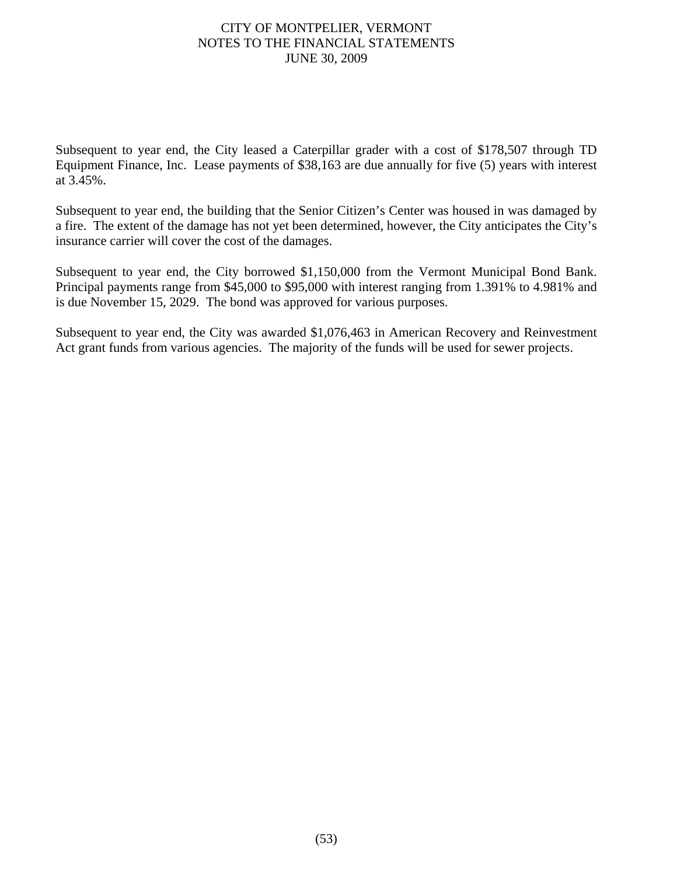Subsequent to year end, the City leased a Caterpillar grader with a cost of \$178,507 through TD Equipment Finance, Inc. Lease payments of \$38,163 are due annually for five (5) years with interest at 3.45%.

Subsequent to year end, the building that the Senior Citizen's Center was housed in was damaged by a fire. The extent of the damage has not yet been determined, however, the City anticipates the City's insurance carrier will cover the cost of the damages.

Subsequent to year end, the City borrowed \$1,150,000 from the Vermont Municipal Bond Bank. Principal payments range from \$45,000 to \$95,000 with interest ranging from 1.391% to 4.981% and is due November 15, 2029. The bond was approved for various purposes.

Subsequent to year end, the City was awarded \$1,076,463 in American Recovery and Reinvestment Act grant funds from various agencies. The majority of the funds will be used for sewer projects.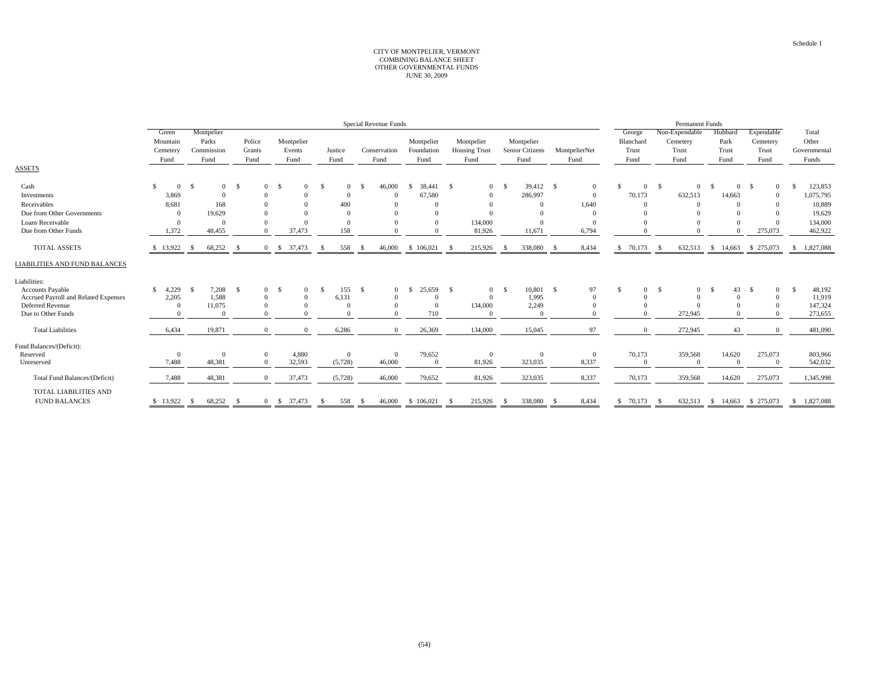#### CITY OF MONTPELIER, VERMONT COMBINING BALANCE SHEET OTHER GOVERNMENTAL FUNDS JUNE 30, 2009

|                                      | Special Revenue Funds |                  |        |                              |               |                      |                 |                       |                   |               |                      |                         |                       |                  |               |
|--------------------------------------|-----------------------|------------------|--------|------------------------------|---------------|----------------------|-----------------|-----------------------|-------------------|---------------|----------------------|-------------------------|-----------------------|------------------|---------------|
|                                      | Green                 | Montpelier       |        |                              |               |                      |                 |                       |                   |               | George               | Non-Expendable          | Hubbard               | Expendable       | Total         |
|                                      | Mountain              | Parks            | Police | Montpelier                   |               |                      | Montpelier      | Montpelier            | Montpelier        |               | Blanchard            | Cemetery                | Park                  | Cemetery         | Other         |
|                                      | Cemetery              | Commission       | Grants | Events                       | Justice       | Conservation         | Foundation      | <b>Housing Trust</b>  | Senior Citizens   | MontpelierNet | Trust                | Trust                   | Trust                 | Trust            | Governmental  |
|                                      | Fund                  | Fund             | Fund   | Fund                         | Fund          | Fund                 | Fund            | Fund                  | Fund              | Fund          | Fund                 | Fund                    | Fund                  | Fund             | Funds         |
| <b>ASSETS</b>                        |                       |                  |        |                              |               |                      |                 |                       |                   |               |                      |                         |                       |                  |               |
| Cash                                 | $\overline{0}$<br>£.  | -S<br>$\Omega$   | - \$   | - \$<br>$\Omega$<br>$\Omega$ | $\mathcal{S}$ | 46,000<br>-8         | 38.441 \$<br>-S | $\Omega$              | 39,412 \$<br>- \$ |               | $\overline{0}$<br>S  | - \$<br>$\overline{0}$  | $\overline{0}$<br>- S | - S<br>$\Omega$  | 123,853<br>-S |
| Investments                          | 3,869                 | $\Omega$         |        | $\Omega$                     |               |                      | 67,580          |                       | 286,997           |               | 70,173               | 632,513                 | 14,663                | $\Omega$         | 1,075,795     |
| Receivables                          | 8,681                 | 168              |        | $\Omega$                     | 400           | $\Omega$             | $\Omega$        |                       | $\Omega$          | 1,640         | $\Omega$             | $\Omega$                | $\Omega$              | $\Omega$         | 10,889        |
| Due from Other Governments           | $\Omega$              | 19,629           |        | $\Omega$                     |               |                      |                 |                       | $\Omega$          |               |                      |                         | $\Omega$              |                  | 19,629        |
| Loans Receivable                     | $\Omega$              | $\Omega$         |        | $\Omega$                     |               |                      | $^{0}$          | 134,000               | $\Omega$          |               |                      |                         | $\Omega$              | $\Omega$         | 134,000       |
| Due from Other Funds                 | 1,372                 | 48,455           |        | 37,473                       | 158           |                      | $\Omega$        | 81,926                | 11,671            | 6,794         |                      |                         | $\Omega$              | 275,073          | 462,922       |
| <b>TOTAL ASSETS</b>                  | \$13,922              | 68,252<br>-S     | - S    | $0 \quad$ \$ 37,473          | 558<br>-8     | 46,000<br>-S         | \$106,021       | 215,926               | 338,080<br>-S     | 8,434<br>- \$ | \$70,173             | - \$                    | 632,513 \$ 14,663     | \$275,073        | \$1,827,088   |
| <b>LIABILITIES AND FUND BALANCES</b> |                       |                  |        |                              |               |                      |                 |                       |                   |               |                      |                         |                       |                  |               |
| Liabilities:                         |                       |                  |        |                              |               |                      |                 |                       |                   |               |                      |                         |                       |                  |               |
| <b>Accounts Payable</b>              | 4,229<br>-S           | 7,208<br>-8      | - S    | - \$<br>$\Omega$<br>$\Omega$ | 155           | <b>S</b><br>$\Omega$ | 25,659<br>-S    | $\overline{0}$<br>- S | 10,801            | 97<br>- \$    | $\Omega$<br><b>S</b> | - \$<br>$\Omega$        | 43                    | - \$<br>$\Omega$ | 48,192<br>-8  |
| Accrued Payroll and Related Expenses | 2,205                 | 1,588            |        | $\Omega$                     | 6,131         | $\Omega$             | $\Omega$        | $\Omega$              | 1.995             |               |                      |                         | $\Omega$              | $\mathbf{0}$     | 11,919        |
| Deferred Revenue                     | 0                     | 11,075           |        | $\Omega$                     |               |                      | $\Omega$        | 134,000               | 2,249             |               |                      |                         | $\Omega$              | $\Omega$         | 147,324       |
| Due to Other Funds                   | $\Omega$              | $\Omega$         |        | $\Omega$                     |               | $\Omega$             | 710             | $\Omega$              | $\Omega$          |               |                      | 272,945                 | $\Omega$              |                  | 273,655       |
| <b>Total Liabilities</b>             | 6,434                 | 19,871           |        | $\Omega$<br>$\Omega$         | 6,286         | $\Omega$             | 26,369          | 134,000               | 15,045            | 97            | $\Omega$             | 272,945                 | 43                    | $\Omega$         | 481,090       |
| Fund Balances/(Deficit):             |                       |                  |        |                              |               |                      |                 |                       |                   |               |                      |                         |                       |                  |               |
| Reserved                             | $\mathbf{0}$          | $\Omega$         |        | 4,880<br>$\Omega$            | $\Omega$      | $\overline{0}$       | 79,652          | $\mathbf{0}$          | $\theta$          |               | 70,173               | 359,568                 | 14,620                | 275,073          | 803,966       |
| Unreserved                           | 7,488                 | 48,381           |        | 32,593<br>$\Omega$           | (5,728)       | 46,000               | $\overline{0}$  | 81,926                | 323,035           | 8,337         | $\Omega$             | $\Omega$                | $\Omega$              | $\Omega$         | 542,032       |
| Total Fund Balances/(Deficit)        | 7,488                 | 48,381           |        | 37,473<br>$\Omega$           | (5,728)       | 46,000               | 79,652          | 81,926                | 323,035           | 8,337         | 70,173               | 359,568                 | 14,620                | 275,073          | 1,345,998     |
| TOTAL LIABILITIES AND                |                       |                  |        |                              |               |                      |                 |                       |                   |               |                      |                         |                       |                  |               |
| <b>FUND BALANCES</b>                 | \$13,922              | 68,252 \$<br>- S |        | $0 \quad$ \$ 37,473          | 558<br>- S    | 46,000<br>- S        | \$106,021       | 215,926<br>- S        | 338,080 \$<br>- S | 8,434         | \$70,173             | 632,513<br>$\mathbf{s}$ | $$14,663$ $$275,073$  |                  | \$1,827,088   |